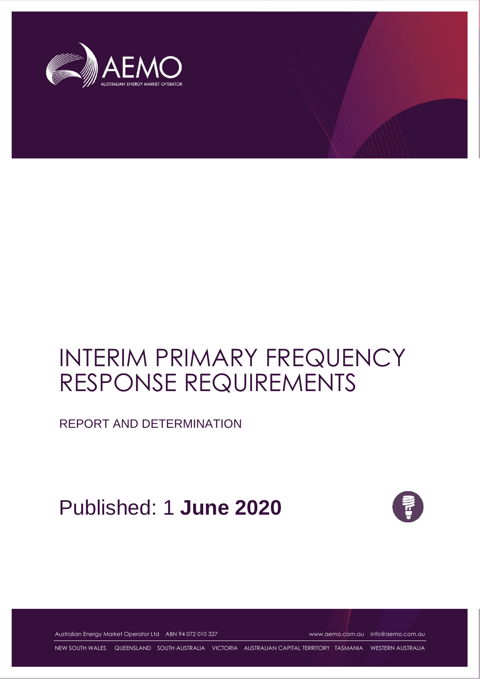

# INTERIM PRIMARY FREQUENCY RESPONSE REQUIREMENTS

REPORT AND DETERMINATION

# Published: 1 **June 2020**



Australian Energy Market Operator Ltd ABN 94 072 010 327 [www.aemo.com.au](http://www.aemo.com.au/) [info@aemo.com.au](mailto:info@aemo.com.au)

NEW SOUTH WALES QUEENSLAND SOUTH AUSTRALIA VICTORIA AUSTRALIAN CAPITAL TERRITORY TASMANIA WESTERN AUSTRALIA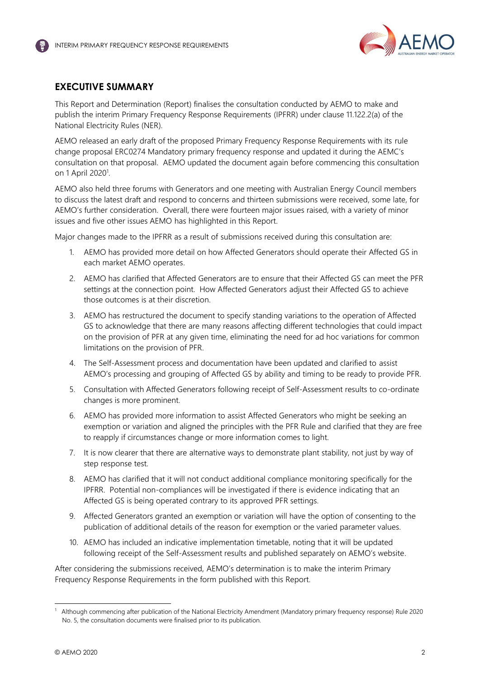

# <span id="page-1-0"></span>**EXECUTIVE SUMMARY**

This Report and Determination (Report) finalises the consultation conducted by AEMO to make and publish the interim Primary Frequency Response Requirements (IPFRR) under clause 11.122.2(a) of the National Electricity Rules (NER).

AEMO released an early draft of the proposed Primary Frequency Response Requirements with its rule change proposal ERC0274 Mandatory primary frequency response and updated it during the AEMC's consultation on that proposal. AEMO updated the document again before commencing this consultation on 1 April 2020<sup>1</sup>.

AEMO also held three forums with Generators and one meeting with Australian Energy Council members to discuss the latest draft and respond to concerns and thirteen submissions were received, some late, for AEMO's further consideration. Overall, there were fourteen major issues raised, with a variety of minor issues and five other issues AEMO has highlighted in this Report.

Major changes made to the IPFRR as a result of submissions received during this consultation are:

- 1. AEMO has provided more detail on how Affected Generators should operate their Affected GS in each market AEMO operates.
- 2. AEMO has clarified that Affected Generators are to ensure that their Affected GS can meet the PFR settings at the connection point. How Affected Generators adjust their Affected GS to achieve those outcomes is at their discretion.
- 3. AEMO has restructured the document to specify standing variations to the operation of Affected GS to acknowledge that there are many reasons affecting different technologies that could impact on the provision of PFR at any given time, eliminating the need for ad hoc variations for common limitations on the provision of PFR.
- 4. The Self-Assessment process and documentation have been updated and clarified to assist AEMO's processing and grouping of Affected GS by ability and timing to be ready to provide PFR.
- 5. Consultation with Affected Generators following receipt of Self-Assessment results to co-ordinate changes is more prominent.
- 6. AEMO has provided more information to assist Affected Generators who might be seeking an exemption or variation and aligned the principles with the PFR Rule and clarified that they are free to reapply if circumstances change or more information comes to light.
- 7. It is now clearer that there are alternative ways to demonstrate plant stability, not just by way of step response test.
- 8. AEMO has clarified that it will not conduct additional compliance monitoring specifically for the IPFRR. Potential non-compliances will be investigated if there is evidence indicating that an Affected GS is being operated contrary to its approved PFR settings.
- 9. Affected Generators granted an exemption or variation will have the option of consenting to the publication of additional details of the reason for exemption or the varied parameter values.
- 10. AEMO has included an indicative implementation timetable, noting that it will be updated following receipt of the Self-Assessment results and published separately on AEMO's website.

After considering the submissions received, AEMO's determination is to make the interim Primary Frequency Response Requirements in the form published with this Report.

<sup>1</sup> Although commencing after publication of the National Electricity Amendment (Mandatory primary frequency response) Rule 2020 No. 5, the consultation documents were finalised prior to its publication.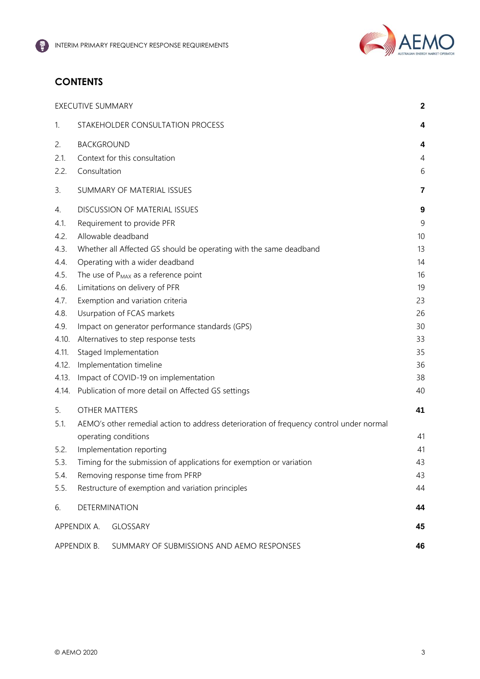

# **CONTENTS**

|       | <b>EXECUTIVE SUMMARY</b> |                                                                                         | $\mathbf 2$ |
|-------|--------------------------|-----------------------------------------------------------------------------------------|-------------|
| 1.    |                          | STAKEHOLDER CONSULTATION PROCESS                                                        | 4           |
| 2.    | <b>BACKGROUND</b>        |                                                                                         | 4           |
| 2.1.  |                          | Context for this consultation                                                           | 4           |
| 2.2.  | Consultation             |                                                                                         | 6           |
| 3.    |                          | SUMMARY OF MATERIAL ISSUES                                                              | 7           |
| 4.    |                          | <b>DISCUSSION OF MATERIAL ISSUES</b>                                                    | 9           |
| 4.1.  |                          | Requirement to provide PFR                                                              | 9           |
| 4.2.  |                          | Allowable deadband                                                                      | 10          |
| 4.3.  |                          | Whether all Affected GS should be operating with the same deadband                      | 13          |
| 4.4.  |                          | Operating with a wider deadband                                                         | 14          |
| 4.5.  |                          | The use of P <sub>MAX</sub> as a reference point                                        | 16          |
| 4.6.  |                          | Limitations on delivery of PFR                                                          | 19          |
| 4.7.  |                          | Exemption and variation criteria                                                        | 23          |
| 4.8.  |                          | Usurpation of FCAS markets                                                              | 26          |
| 4.9.  |                          | Impact on generator performance standards (GPS)                                         | 30          |
| 4.10. |                          | Alternatives to step response tests                                                     | 33          |
| 4.11. |                          | Staged Implementation                                                                   | 35          |
| 4.12. |                          | Implementation timeline                                                                 | 36          |
| 4.13. |                          | Impact of COVID-19 on implementation                                                    | 38          |
| 4.14. |                          | Publication of more detail on Affected GS settings                                      | 40          |
| 5.    | <b>OTHER MATTERS</b>     |                                                                                         | 41          |
| 5.1.  |                          | AEMO's other remedial action to address deterioration of frequency control under normal |             |
|       |                          | operating conditions                                                                    | 41          |
| 5.2.  |                          | Implementation reporting                                                                | 41          |
| 5.3.  |                          | Timing for the submission of applications for exemption or variation                    | 43          |
| 5.4.  |                          | Removing response time from PFRP                                                        | 43          |
| 5.5.  |                          | Restructure of exemption and variation principles                                       | 44          |
| 6.    | DETERMINATION            |                                                                                         | 44          |
|       | APPENDIX A.              | <b>GLOSSARY</b>                                                                         | 45          |
|       | APPENDIX B.              | SUMMARY OF SUBMISSIONS AND AEMO RESPONSES                                               | 46          |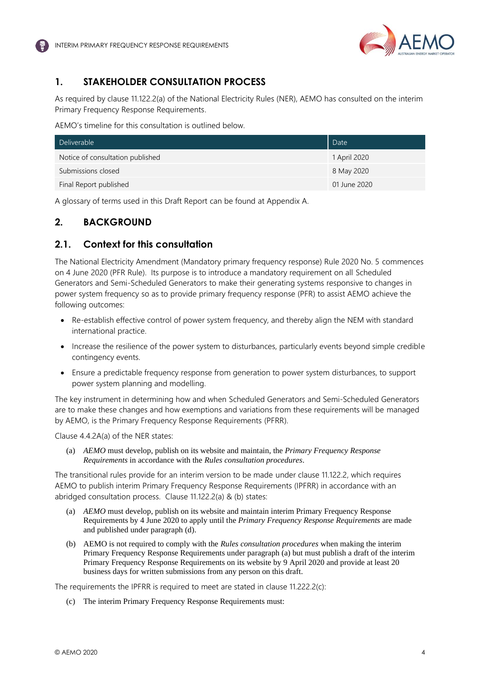

# <span id="page-3-0"></span>**1. STAKEHOLDER CONSULTATION PROCESS**

As required by clause 11.122.2(a) of the National Electricity Rules (NER), AEMO has consulted on the interim Primary Frequency Response Requirements.

AEMO's timeline for this consultation is outlined below.

| Deliverable                      | Date         |
|----------------------------------|--------------|
| Notice of consultation published | 1 April 2020 |
| Submissions closed               | 8 May 2020   |
| Final Report published           | 01 June 2020 |

A glossary of terms used in this Draft Report can be found at Appendix A.

# <span id="page-3-1"></span>**2. BACKGROUND**

# <span id="page-3-2"></span>**2.1. Context for this consultation**

The National Electricity Amendment (Mandatory primary frequency response) Rule 2020 No. 5 commences on 4 June 2020 (PFR Rule). Its purpose is to introduce a mandatory requirement on all Scheduled Generators and Semi-Scheduled Generators to make their generating systems responsive to changes in power system frequency so as to provide primary frequency response (PFR) to assist AEMO achieve the following outcomes:

- Re-establish effective control of power system frequency, and thereby align the NEM with standard international practice.
- Increase the resilience of the power system to disturbances, particularly events beyond simple credible contingency events.
- Ensure a predictable frequency response from generation to power system disturbances, to support power system planning and modelling.

The key instrument in determining how and when Scheduled Generators and Semi-Scheduled Generators are to make these changes and how exemptions and variations from these requirements will be managed by AEMO, is the Primary Frequency Response Requirements (PFRR).

Clause 4.4.2A(a) of the NER states:

(a) *AEMO* must develop, publish on its website and maintain, the *Primary Frequency Response Requirements* in accordance with the *Rules consultation procedures*.

The transitional rules provide for an interim version to be made under clause 11.122.2, which requires AEMO to publish interim Primary Frequency Response Requirements (IPFRR) in accordance with an abridged consultation process. Clause 11.122.2(a) & (b) states:

- (a) *AEMO* must develop, publish on its website and maintain interim Primary Frequency Response Requirements by 4 June 2020 to apply until the *Primary Frequency Response Requirements* are made and published under paragraph (d).
- (b) AEMO is not required to comply with the *Rules consultation procedures* when making the interim Primary Frequency Response Requirements under paragraph (a) but must publish a draft of the interim Primary Frequency Response Requirements on its website by 9 April 2020 and provide at least 20 business days for written submissions from any person on this draft.

The requirements the IPFRR is required to meet are stated in clause 11.222.2(c):

(c) The interim Primary Frequency Response Requirements must: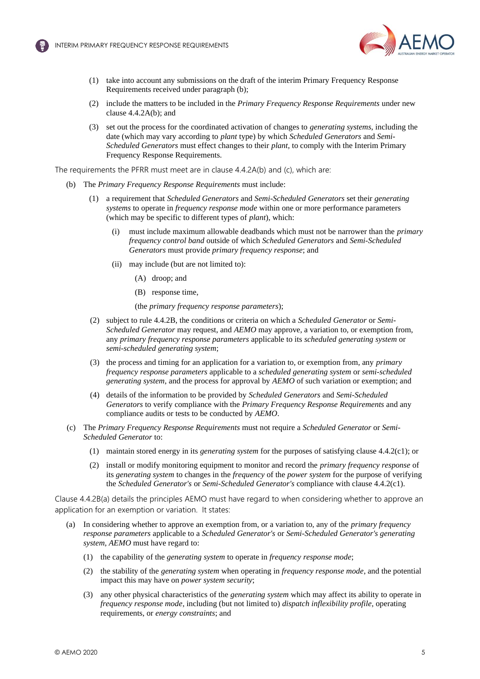

- (1) take into account any submissions on the draft of the interim Primary Frequency Response Requirements received under paragraph (b);
- (2) include the matters to be included in the *Primary Frequency Response Requirements* under new clause 4.4.2A(b); and
- (3) set out the process for the coordinated activation of changes to *generating systems*, including the date (which may vary according to *plant* type) by which *Scheduled Generators* and *Semi-Scheduled Generators* must effect changes to their *plant*, to comply with the Interim Primary Frequency Response Requirements.

The requirements the PFRR must meet are in clause 4.4.2A(b) and (c), which are:

- (b) The *Primary Frequency Response Requirements* must include:
	- (1) a requirement that *Scheduled Generators* and *Semi-Scheduled Generators* set their *generating systems* to operate in *frequency response mode* within one or more performance parameters (which may be specific to different types of *plant*), which:
		- (i) must include maximum allowable deadbands which must not be narrower than the *primary frequency control band* outside of which *Scheduled Generators* and *Semi-Scheduled Generators* must provide *primary frequency response*; and
		- (ii) may include (but are not limited to):
			- (A) droop; and
			- (B) response time,

(the *primary frequency response parameters*);

- (2) subject to rule 4.4.2B, the conditions or criteria on which a *Scheduled Generator* or *Semi-Scheduled Generator* may request, and *AEMO* may approve, a variation to, or exemption from, any *primary frequency response parameters* applicable to its *scheduled generating system* or *semi-scheduled generating system*;
- (3) the process and timing for an application for a variation to, or exemption from, any *primary frequency response parameters* applicable to a *scheduled generating system* or *semi-scheduled generating system*, and the process for approval by *AEMO* of such variation or exemption; and
- (4) details of the information to be provided by *Scheduled Generators* and *Semi-Scheduled Generators* to verify compliance with the *Primary Frequency Response Requirements* and any compliance audits or tests to be conducted by *AEMO*.
- (c) The *Primary Frequency Response Requirements* must not require a *Scheduled Generator* or *Semi-Scheduled Generator* to:
	- (1) maintain stored energy in its *generating system* for the purposes of satisfying clause 4.4.2(c1); or
	- (2) install or modify monitoring equipment to monitor and record the *primary frequency response* of its *generating system* to changes in the *frequency* of the *power system* for the purpose of verifying the *Scheduled Generator's* or *Semi-Scheduled Generator's* compliance with clause 4.4.2(c1).

Clause 4.4.2B(a) details the principles AEMO must have regard to when considering whether to approve an application for an exemption or variation. It states:

- (a) In considering whether to approve an exemption from, or a variation to, any of the *primary frequency response parameters* applicable to a *Scheduled Generator's* or *Semi-Scheduled Generator's generating system*, *AEMO* must have regard to:
	- (1) the capability of the *generating system* to operate in *frequency response mode*;
	- (2) the stability of the *generating system* when operating in *frequency response mode*, and the potential impact this may have on *power system security*;
	- (3) any other physical characteristics of the *generating system* which may affect its ability to operate in *frequency response mode*, including (but not limited to) *dispatch inflexibility profile*, operating requirements, or *energy constraints*; and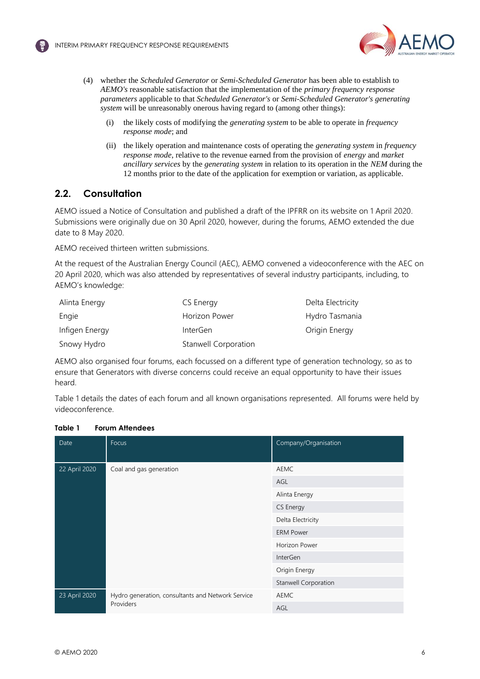



- (4) whether the *Scheduled Generator* or *Semi-Scheduled Generator* has been able to establish to *AEMO's* reasonable satisfaction that the implementation of the *primary frequency response parameters* applicable to that *Scheduled Generator's* or *Semi-Scheduled Generator's generating system* will be unreasonably onerous having regard to (among other things):
	- (i) the likely costs of modifying the *generating system* to be able to operate in *frequency response mode*; and
	- (ii) the likely operation and maintenance costs of operating the *generating system* in *frequency response mode*, relative to the revenue earned from the provision of *energy* and *market ancillary services* by the *generating system* in relation to its operation in the *NEM* during the 12 months prior to the date of the application for exemption or variation, as applicable.

# <span id="page-5-0"></span>**2.2. Consultation**

AEMO issued a Notice of Consultation and published a draft of the IPFRR on its website on 1 April 2020. Submissions were originally due on 30 April 2020, however, during the forums, AEMO extended the due date to 8 May 2020.

AEMO received thirteen written submissions.

At the request of the Australian Energy Council (AEC), AEMO convened a videoconference with the AEC on 20 April 2020, which was also attended by representatives of several industry participants, including, to AEMO's knowledge:

| Alinta Energy  | CS Energy                   | Delta Electricity |
|----------------|-----------------------------|-------------------|
| Engie          | Horizon Power               | Hydro Tasmania    |
| Infigen Energy | <b>InterGen</b>             | Origin Energy     |
| Snowy Hydro    | <b>Stanwell Corporation</b> |                   |

AEMO also organised four forums, each focussed on a different type of generation technology, so as to ensure that Generators with diverse concerns could receive an equal opportunity to have their issues heard.

[Table 1](#page-5-1) details the dates of each forum and all known organisations represented. All forums were held by videoconference.

# <span id="page-5-1"></span>**Table 1 Forum Attendees**

| Date          | Focus                                                          | Company/Organisation |
|---------------|----------------------------------------------------------------|----------------------|
| 22 April 2020 | Coal and gas generation                                        | AEMC                 |
|               |                                                                | AGL                  |
|               |                                                                | Alinta Energy        |
|               |                                                                | CS Energy            |
|               |                                                                | Delta Electricity    |
|               |                                                                | <b>ERM Power</b>     |
|               |                                                                | Horizon Power        |
|               |                                                                | <b>InterGen</b>      |
|               |                                                                | Origin Energy        |
|               |                                                                | Stanwell Corporation |
| 23 April 2020 | Hydro generation, consultants and Network Service<br>Providers | AEMC                 |
|               |                                                                | AGL                  |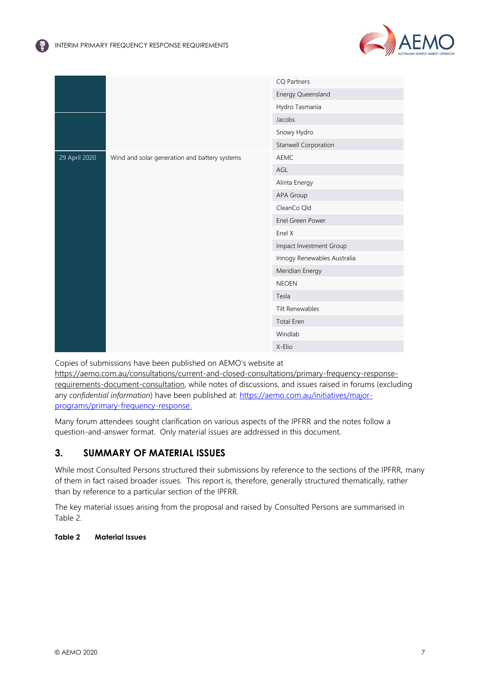

|               |                                               | <b>CQ Partners</b>          |
|---------------|-----------------------------------------------|-----------------------------|
|               |                                               | Energy Queensland           |
|               |                                               | Hydro Tasmania              |
|               |                                               | Jacobs                      |
|               |                                               | Snowy Hydro                 |
|               |                                               | Stanwell Corporation        |
| 29 April 2020 | Wind and solar generation and battery systems | <b>AEMC</b>                 |
|               |                                               | AGL                         |
|               |                                               | Alinta Energy               |
|               |                                               | APA Group                   |
|               |                                               | CleanCo Qld                 |
|               |                                               | Enel Green Power            |
|               |                                               | Enel X                      |
|               |                                               | Impact Investment Group     |
|               |                                               | Innogy Renewables Australia |
|               |                                               | Meridian Energy             |
|               |                                               | <b>NEOEN</b>                |
|               |                                               | Tesla                       |
|               |                                               | Tilt Renewables             |
|               |                                               | <b>Total Eren</b>           |
|               |                                               | Windlab                     |
|               |                                               | X-Elio                      |

Copies of submissions have been published on AEMO's website at

[https://aemo.com.au/consultations/current-and-closed-consultations/primary-frequency-response](https://aemo.com.au/consultations/current-and-closed-consultations/primary-frequency-response-requirements-document-consultation)[requirements-document-consultation,](https://aemo.com.au/consultations/current-and-closed-consultations/primary-frequency-response-requirements-document-consultation) while notes of discussions, and issues raised in forums (excluding any *confidential information*) have been published at: [https://aemo.com.au/initiatives/major](https://aemo.com.au/initiatives/major-programs/primary-frequency-response)[programs/primary-frequency-response.](https://aemo.com.au/initiatives/major-programs/primary-frequency-response) 

Many forum attendees sought clarification on various aspects of the IPFRR and the notes follow a question-and-answer format. Only material issues are addressed in this document.

# <span id="page-6-0"></span>**3. SUMMARY OF MATERIAL ISSUES**

While most Consulted Persons structured their submissions by reference to the sections of the IPFRR, many of them in fact raised broader issues. This report is, therefore, generally structured thematically, rather than by reference to a particular section of the IPFRR.

The key material issues arising from the proposal and raised by Consulted Persons are summarised in [Table 2.](#page-6-1)

# <span id="page-6-1"></span>**Table 2 Material Issues**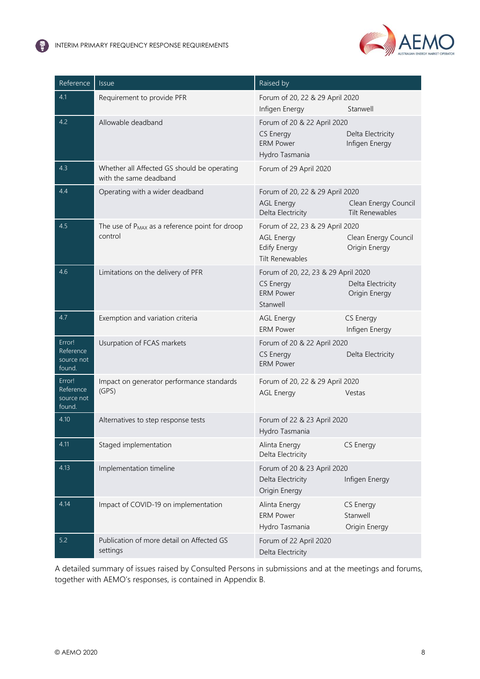( 2



| Reference                                   | <b>Issue</b>                                                          | Raised by                                                                                      |                                                |
|---------------------------------------------|-----------------------------------------------------------------------|------------------------------------------------------------------------------------------------|------------------------------------------------|
| 4.1                                         | Requirement to provide PFR                                            | Forum of 20, 22 & 29 April 2020<br>Infigen Energy                                              | Stanwell                                       |
| 4.2                                         | Allowable deadband                                                    | Forum of 20 & 22 April 2020<br>CS Energy<br><b>ERM Power</b><br>Hydro Tasmania                 | Delta Electricity<br>Infigen Energy            |
| 4.3                                         | Whether all Affected GS should be operating<br>with the same deadband | Forum of 29 April 2020                                                                         |                                                |
| 4.4                                         | Operating with a wider deadband                                       | Forum of 20, 22 & 29 April 2020<br><b>AGL Energy</b><br>Delta Electricity                      | Clean Energy Council<br><b>Tilt Renewables</b> |
| 4.5                                         | The use of P <sub>MAX</sub> as a reference point for droop<br>control | Forum of 22, 23 & 29 April 2020<br><b>AGL Energy</b><br>Edify Energy<br><b>Tilt Renewables</b> | Clean Energy Council<br>Origin Energy          |
| 4.6                                         | Limitations on the delivery of PFR                                    | Forum of 20, 22, 23 & 29 April 2020<br><b>CS Energy</b><br><b>ERM Power</b><br>Stanwell        | Delta Electricity<br>Origin Energy             |
| 4.7                                         | Exemption and variation criteria                                      | <b>AGL Energy</b><br><b>ERM Power</b>                                                          | CS Energy<br>Infigen Energy                    |
| Error!<br>Reference<br>source not<br>found. | Usurpation of FCAS markets                                            | Forum of 20 & 22 April 2020<br><b>CS Energy</b><br><b>ERM Power</b>                            | Delta Electricity                              |
| Error!<br>Reference<br>source not<br>found. | Impact on generator performance standards<br>(GPS)                    | Forum of 20, 22 & 29 April 2020<br><b>AGL Energy</b>                                           | Vestas                                         |
| 4.10                                        | Alternatives to step response tests                                   | Forum of 22 & 23 April 2020<br>Hydro Tasmania                                                  |                                                |
| 4.11                                        | Staged implementation                                                 | Alinta Energy<br>Delta Electricity                                                             | CS Energy                                      |
| 4.13                                        | Implementation timeline                                               | Forum of 20 & 23 April 2020<br>Delta Electricity<br>Origin Energy                              | Infigen Energy                                 |
| 4.14                                        | Impact of COVID-19 on implementation                                  | Alinta Energy<br><b>ERM Power</b><br>Hydro Tasmania                                            | CS Energy<br>Stanwell<br>Origin Energy         |
| $5.2$                                       | Publication of more detail on Affected GS<br>settings                 | Forum of 22 April 2020<br>Delta Electricity                                                    |                                                |

A detailed summary of issues raised by Consulted Persons in submissions and at the meetings and forums, together with AEMO's responses, is contained in Appendix B.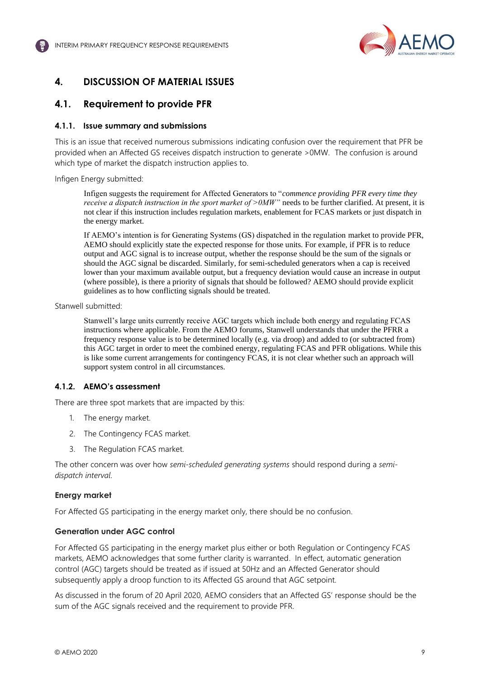

# <span id="page-8-4"></span><span id="page-8-2"></span><span id="page-8-0"></span>**4. DISCUSSION OF MATERIAL ISSUES**

# <span id="page-8-1"></span>**4.1. Requirement to provide PFR**

# **4.1.1. Issue summary and submissions**

This is an issue that received numerous submissions indicating confusion over the requirement that PFR be provided when an Affected GS receives dispatch instruction to generate >0MW. The confusion is around which type of market the dispatch instruction applies to.

<span id="page-8-3"></span>Infigen Energy submitted:

Infigen suggests the requirement for Affected Generators to "*commence providing PFR every time they receive a dispatch instruction in the sport market of >0MW"* needs to be further clarified. At present, it is not clear if this instruction includes regulation markets, enablement for FCAS markets or just dispatch in the energy market.

If AEMO's intention is for Generating Systems (GS) dispatched in the regulation market to provide PFR, AEMO should explicitly state the expected response for those units. For example, if PFR is to reduce output and AGC signal is to increase output, whether the response should be the sum of the signals or should the AGC signal be discarded. Similarly, for semi-scheduled generators when a cap is received lower than your maximum available output, but a frequency deviation would cause an increase in output (where possible), is there a priority of signals that should be followed? AEMO should provide explicit guidelines as to how conflicting signals should be treated.

Stanwell submitted:

Stanwell's large units currently receive AGC targets which include both energy and regulating FCAS instructions where applicable. From the AEMO forums, Stanwell understands that under the PFRR a frequency response value is to be determined locally (e.g. via droop) and added to (or subtracted from) this AGC target in order to meet the combined energy, regulating FCAS and PFR obligations. While this is like some current arrangements for contingency FCAS, it is not clear whether such an approach will support system control in all circumstances.

# **4.1.2. AEMO's assessment**

There are three spot markets that are impacted by this:

- 1. The energy market.
- 2. The Contingency FCAS market.
- 3. The Regulation FCAS market.

The other concern was over how *semi-scheduled generating systems* should respond during a *semidispatch interval*.

# **Energy market**

For Affected GS participating in the energy market only, there should be no confusion.

# **Generation under AGC control**

For Affected GS participating in the energy market plus either or both Regulation or Contingency FCAS markets, AEMO acknowledges that some further clarity is warranted. In effect, automatic generation control (AGC) targets should be treated as if issued at 50Hz and an Affected Generator should subsequently apply a droop function to its Affected GS around that AGC setpoint.

As discussed in the forum of 20 April 2020, AEMO considers that an Affected GS' response should be the sum of the AGC signals received and the requirement to provide PFR.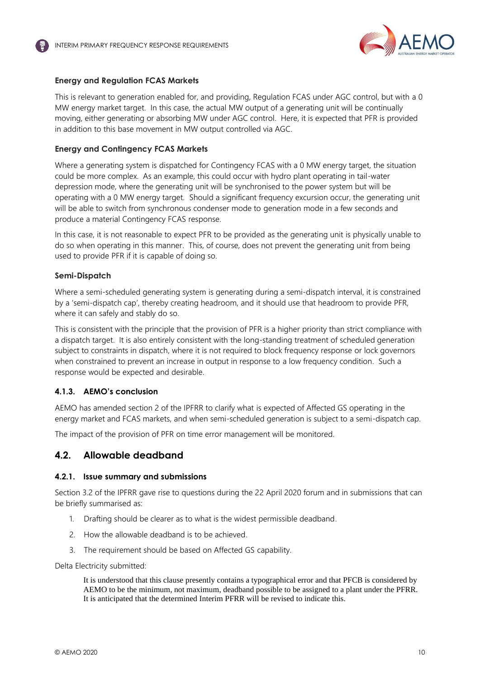

# **Energy and Regulation FCAS Markets**

This is relevant to generation enabled for, and providing, Regulation FCAS under AGC control, but with a 0 MW energy market target. In this case, the actual MW output of a generating unit will be continually moving, either generating or absorbing MW under AGC control. Here, it is expected that PFR is provided in addition to this base movement in MW output controlled via AGC.

### **Energy and Contingency FCAS Markets**

<span id="page-9-1"></span>Where a generating system is dispatched for Contingency FCAS with a 0 MW energy target, the situation could be more complex. As an example, this could occur with hydro plant operating in tail-water depression mode, where the generating unit will be synchronised to the power system but will be operating with a 0 MW energy target. Should a significant frequency excursion occur, the generating unit will be able to switch from synchronous condenser mode to generation mode in a few seconds and produce a material Contingency FCAS response.

In this case, it is not reasonable to expect PFR to be provided as the generating unit is physically unable to do so when operating in this manner. This, of course, does not prevent the generating unit from being used to provide PFR if it is capable of doing so.

### <span id="page-9-2"></span>**Semi-Dispatch**

Where a semi-scheduled generating system is generating during a semi-dispatch interval, it is constrained by a 'semi-dispatch cap', thereby creating headroom, and it should use that headroom to provide PFR, where it can safely and stably do so.

This is consistent with the principle that the provision of PFR is a higher priority than strict compliance with a dispatch target. It is also entirely consistent with the long-standing treatment of scheduled generation subject to constraints in dispatch, where it is not required to block frequency response or lock governors when constrained to prevent an increase in output in response to a low frequency condition. Such a response would be expected and desirable.

# **4.1.3. AEMO's conclusion**

AEMO has amended section 2 of the IPFRR to clarify what is expected of Affected GS operating in the energy market and FCAS markets, and when semi-scheduled generation is subject to a semi-dispatch cap.

The impact of the provision of PFR on time error management will be monitored.

# <span id="page-9-0"></span>**4.2. Allowable deadband**

### **4.2.1. Issue summary and submissions**

Section 3.2 of the IPFRR gave rise to questions during the 22 April 2020 forum and in submissions that can be briefly summarised as:

- 1. Drafting should be clearer as to what is the widest permissible deadband.
- 2. How the allowable deadband is to be achieved.
- 3. The requirement should be based on Affected GS capability.

### Delta Electricity submitted:

It is understood that this clause presently contains a typographical error and that PFCB is considered by AEMO to be the minimum, not maximum, deadband possible to be assigned to a plant under the PFRR. It is anticipated that the determined Interim PFRR will be revised to indicate this.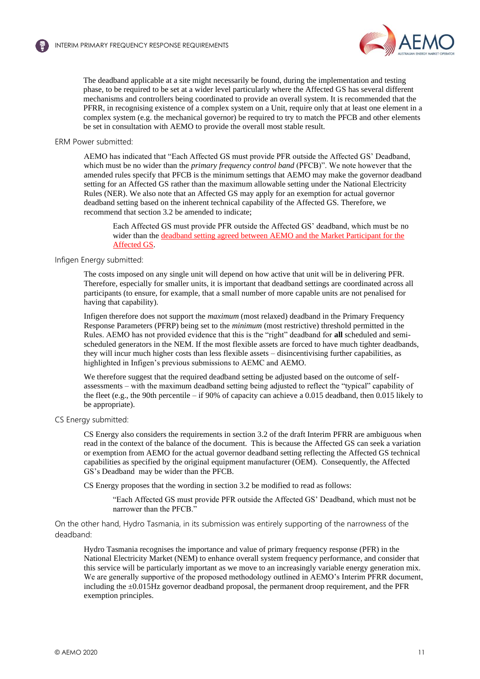

The deadband applicable at a site might necessarily be found, during the implementation and testing phase, to be required to be set at a wider level particularly where the Affected GS has several different mechanisms and controllers being coordinated to provide an overall system. It is recommended that the PFRR, in recognising existence of a complex system on a Unit, require only that at least one element in a complex system (e.g. the mechanical governor) be required to try to match the PFCB and other elements be set in consultation with AEMO to provide the overall most stable result.

#### ERM Power submitted:

AEMO has indicated that "Each Affected GS must provide PFR outside the Affected GS' Deadband, which must be no wider than the *primary frequency control band* (PFCB)". We note however that the amended rules specify that PFCB is the minimum settings that AEMO may make the governor deadband setting for an Affected GS rather than the maximum allowable setting under the National Electricity Rules (NER). We also note that an Affected GS may apply for an exemption for actual governor deadband setting based on the inherent technical capability of the Affected GS. Therefore, we recommend that section 3.2 be amended to indicate;

Each Affected GS must provide PFR outside the Affected GS' deadband, which must be no wider than the deadband setting agreed between AEMO and the Market Participant for the Affected GS.

# Infigen Energy submitted:

The costs imposed on any single unit will depend on how active that unit will be in delivering PFR. Therefore, especially for smaller units, it is important that deadband settings are coordinated across all participants (to ensure, for example, that a small number of more capable units are not penalised for having that capability).

Infigen therefore does not support the *maximum* (most relaxed) deadband in the Primary Frequency Response Parameters (PFRP) being set to the *minimum* (most restrictive) threshold permitted in the Rules. AEMO has not provided evidence that this is the "right" deadband for **all** scheduled and semischeduled generators in the NEM. If the most flexible assets are forced to have much tighter deadbands, they will incur much higher costs than less flexible assets – disincentivising further capabilities, as highlighted in Infigen's previous submissions to AEMC and AEMO.

We therefore suggest that the required deadband setting be adjusted based on the outcome of selfassessments – with the maximum deadband setting being adjusted to reflect the "typical" capability of the fleet (e.g., the 90th percentile – if 90% of capacity can achieve a 0.015 deadband, then 0.015 likely to be appropriate).

#### CS Energy submitted:

CS Energy also considers the requirements in section 3.2 of the draft Interim PFRR are ambiguous when read in the context of the balance of the document. This is because the Affected GS can seek a variation or exemption from AEMO for the actual governor deadband setting reflecting the Affected GS technical capabilities as specified by the original equipment manufacturer (OEM). Consequently, the Affected GS's Deadband may be wider than the PFCB.

CS Energy proposes that the wording in section 3.2 be modified to read as follows:

"Each Affected GS must provide PFR outside the Affected GS' Deadband, which must not be narrower than the PFCB."

On the other hand, Hydro Tasmania, in its submission was entirely supporting of the narrowness of the deadband:

Hydro Tasmania recognises the importance and value of primary frequency response (PFR) in the National Electricity Market (NEM) to enhance overall system frequency performance, and consider that this service will be particularly important as we move to an increasingly variable energy generation mix. We are generally supportive of the proposed methodology outlined in AEMO's Interim PFRR document, including the ±0.015Hz governor deadband proposal, the permanent droop requirement, and the PFR exemption principles.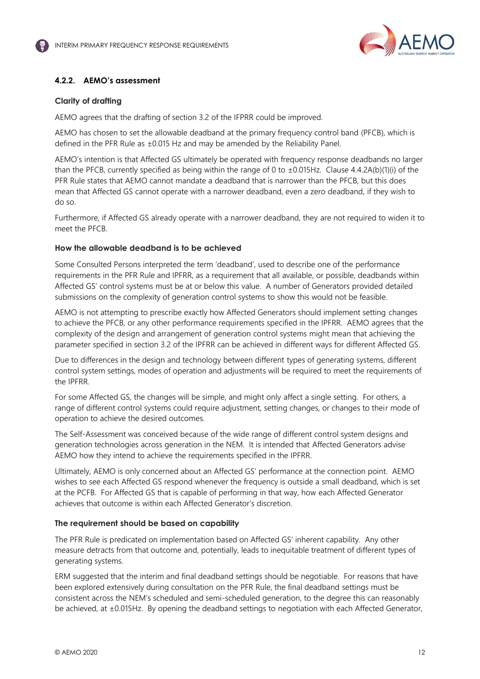

# <span id="page-11-0"></span>**4.2.2. AEMO's assessment**

### **Clarity of drafting**

AEMO agrees that the drafting of section 3.2 of the IFPRR could be improved.

AEMO has chosen to set the allowable deadband at the primary frequency control band (PFCB), which is defined in the PFR Rule as ±0.015 Hz and may be amended by the Reliability Panel.

AEMO's intention is that Affected GS ultimately be operated with frequency response deadbands no larger than the PFCB, currently specified as being within the range of 0 to ±0.015Hz. Clause 4.4.2A(b)(1)(i) of the PFR Rule states that AEMO cannot mandate a deadband that is narrower than the PFCB, but this does mean that Affected GS cannot operate with a narrower deadband, even a zero deadband, if they wish to do so.

Furthermore, if Affected GS already operate with a narrower deadband, they are not required to widen it to meet the PFCB.

### **How the allowable deadband is to be achieved**

Some Consulted Persons interpreted the term 'deadband', used to describe one of the performance requirements in the PFR Rule and IPFRR, as a requirement that all available, or possible, deadbands within Affected GS' control systems must be at or below this value. A number of Generators provided detailed submissions on the complexity of generation control systems to show this would not be feasible.

AEMO is not attempting to prescribe exactly how Affected Generators should implement setting changes to achieve the PFCB, or any other performance requirements specified in the IPFRR. AEMO agrees that the complexity of the design and arrangement of generation control systems might mean that achieving the parameter specified in section 3.2 of the IPFRR can be achieved in different ways for different Affected GS.

Due to differences in the design and technology between different types of generating systems, different control system settings, modes of operation and adjustments will be required to meet the requirements of the IPFRR.

For some Affected GS, the changes will be simple, and might only affect a single setting. For others, a range of different control systems could require adjustment, setting changes, or changes to their mode of operation to achieve the desired outcomes.

The Self-Assessment was conceived because of the wide range of different control system designs and generation technologies across generation in the NEM. It is intended that Affected Generators advise AEMO how they intend to achieve the requirements specified in the IPFRR.

Ultimately, AEMO is only concerned about an Affected GS' performance at the connection point. AEMO wishes to see each Affected GS respond whenever the frequency is outside a small deadband, which is set at the PCFB. For Affected GS that is capable of performing in that way, how each Affected Generator achieves that outcome is within each Affected Generator's discretion.

# **The requirement should be based on capability**

The PFR Rule is predicated on implementation based on Affected GS' inherent capability. Any other measure detracts from that outcome and, potentially, leads to inequitable treatment of different types of generating systems.

ERM suggested that the interim and final deadband settings should be negotiable. For reasons that have been explored extensively during consultation on the PFR Rule, the final deadband settings must be consistent across the NEM's scheduled and semi-scheduled generation, to the degree this can reasonably be achieved, at ±0.015Hz. By opening the deadband settings to negotiation with each Affected Generator,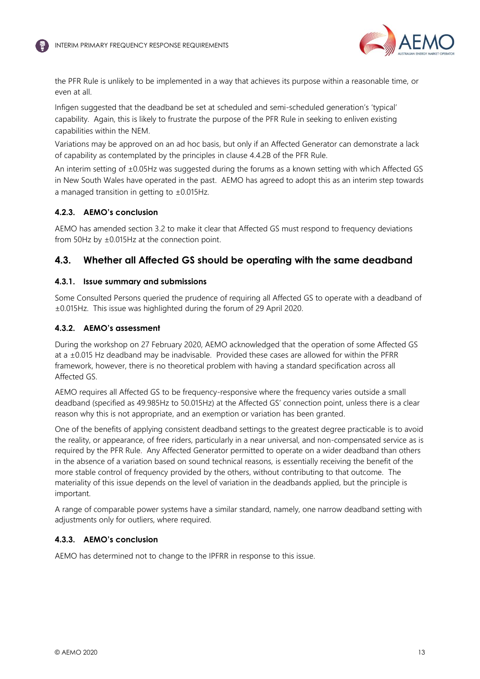

<span id="page-12-1"></span>the PFR Rule is unlikely to be implemented in a way that achieves its purpose within a reasonable time, or even at all.

Infigen suggested that the deadband be set at scheduled and semi-scheduled generation's 'typical' capability. Again, this is likely to frustrate the purpose of the PFR Rule in seeking to enliven existing capabilities within the NEM.

Variations may be approved on an ad hoc basis, but only if an Affected Generator can demonstrate a lack of capability as contemplated by the principles in clause 4.4.2B of the PFR Rule.

An interim setting of ±0.05Hz was suggested during the forums as a known setting with which Affected GS in New South Wales have operated in the past. AEMO has agreed to adopt this as an interim step towards a managed transition in getting to  $\pm 0.015$ Hz.

# **4.2.3. AEMO's conclusion**

AEMO has amended section 3.2 to make it clear that Affected GS must respond to frequency deviations from 50Hz by ±0.015Hz at the connection point.

# <span id="page-12-0"></span>**4.3. Whether all Affected GS should be operating with the same deadband**

### **4.3.1. Issue summary and submissions**

Some Consulted Persons queried the prudence of requiring all Affected GS to operate with a deadband of ±0.015Hz. This issue was highlighted during the forum of 29 April 2020.

### **4.3.2. AEMO's assessment**

During the workshop on 27 February 2020, AEMO acknowledged that the operation of some Affected GS at a ±0.015 Hz deadband may be inadvisable. Provided these cases are allowed for within the PFRR framework, however, there is no theoretical problem with having a standard specification across all Affected GS.

AEMO requires all Affected GS to be frequency-responsive where the frequency varies outside a small deadband (specified as 49.985Hz to 50.015Hz) at the Affected GS' connection point, unless there is a clear reason why this is not appropriate, and an exemption or variation has been granted.

One of the benefits of applying consistent deadband settings to the greatest degree practicable is to avoid the reality, or appearance, of free riders, particularly in a near universal, and non-compensated service as is required by the PFR Rule. Any Affected Generator permitted to operate on a wider deadband than others in the absence of a variation based on sound technical reasons, is essentially receiving the benefit of the more stable control of frequency provided by the others, without contributing to that outcome. The materiality of this issue depends on the level of variation in the deadbands applied, but the principle is important.

A range of comparable power systems have a similar standard, namely, one narrow deadband setting with adjustments only for outliers, where required.

### **4.3.3. AEMO's conclusion**

AEMO has determined not to change to the IPFRR in response to this issue.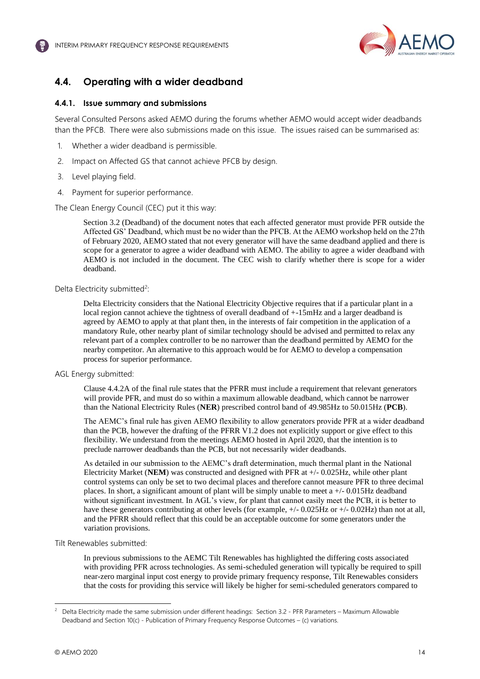

# <span id="page-13-0"></span>**4.4. Operating with a wider deadband**

### **4.4.1. Issue summary and submissions**

Several Consulted Persons asked AEMO during the forums whether AEMO would accept wider deadbands than the PFCB. There were also submissions made on this issue. The issues raised can be summarised as:

- 1. Whether a wider deadband is permissible.
- 2. Impact on Affected GS that cannot achieve PFCB by design.
- 3. Level playing field.
- 4. Payment for superior performance.

The Clean Energy Council (CEC) put it this way:

Section 3.2 (Deadband) of the document notes that each affected generator must provide PFR outside the Affected GS' Deadband, which must be no wider than the PFCB. At the AEMO workshop held on the 27th of February 2020, AEMO stated that not every generator will have the same deadband applied and there is scope for a generator to agree a wider deadband with AEMO. The ability to agree a wider deadband with AEMO is not included in the document. The CEC wish to clarify whether there is scope for a wider deadband.

### Delta Electricity submitted<sup>2</sup>:

Delta Electricity considers that the National Electricity Objective requires that if a particular plant in a local region cannot achieve the tightness of overall deadband of  $+15mHz$  and a larger deadband is agreed by AEMO to apply at that plant then, in the interests of fair competition in the application of a mandatory Rule, other nearby plant of similar technology should be advised and permitted to relax any relevant part of a complex controller to be no narrower than the deadband permitted by AEMO for the nearby competitor. An alternative to this approach would be for AEMO to develop a compensation process for superior performance.

### AGL Energy submitted:

Clause 4.4.2A of the final rule states that the PFRR must include a requirement that relevant generators will provide PFR, and must do so within a maximum allowable deadband, which cannot be narrower than the National Electricity Rules (**NER**) prescribed control band of 49.985Hz to 50.015Hz (**PCB**).

The AEMC's final rule has given AEMO flexibility to allow generators provide PFR at a wider deadband than the PCB, however the drafting of the PFRR V1.2 does not explicitly support or give effect to this flexibility. We understand from the meetings AEMO hosted in April 2020, that the intention is to preclude narrower deadbands than the PCB, but not necessarily wider deadbands.

As detailed in our submission to the AEMC's draft determination, much thermal plant in the National Electricity Market (**NEM**) was constructed and designed with PFR at +/- 0.025Hz, while other plant control systems can only be set to two decimal places and therefore cannot measure PFR to three decimal places. In short, a significant amount of plant will be simply unable to meet  $a +/- 0.015$ Hz deadband without significant investment. In AGL's view, for plant that cannot easily meet the PCB, it is better to have these generators contributing at other levels (for example, +/- 0.025Hz or +/- 0.02Hz) than not at all, and the PFRR should reflect that this could be an acceptable outcome for some generators under the variation provisions.

### Tilt Renewables submitted:

In previous submissions to the AEMC Tilt Renewables has highlighted the differing costs associated with providing PFR across technologies. As semi-scheduled generation will typically be required to spill near-zero marginal input cost energy to provide primary frequency response, Tilt Renewables considers that the costs for providing this service will likely be higher for semi-scheduled generators compared to

<sup>2</sup> Delta Electricity made the same submission under different headings: Section 3.2 - PFR Parameters – Maximum Allowable Deadband and Section 10(c) - Publication of Primary Frequency Response Outcomes – (c) variations.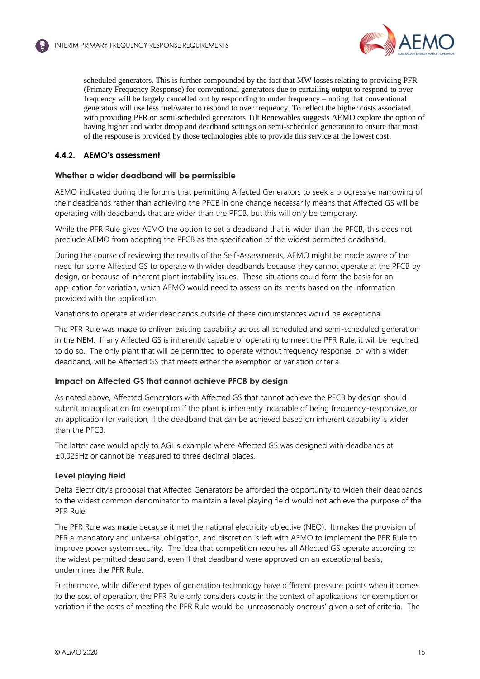

scheduled generators. This is further compounded by the fact that MW losses relating to providing PFR (Primary Frequency Response) for conventional generators due to curtailing output to respond to over frequency will be largely cancelled out by responding to under frequency – noting that conventional generators will use less fuel/water to respond to over frequency. To reflect the higher costs associated with providing PFR on semi-scheduled generators Tilt Renewables suggests AEMO explore the option of having higher and wider droop and deadband settings on semi-scheduled generation to ensure that most of the response is provided by those technologies able to provide this service at the lowest cost.

# **4.4.2. AEMO's assessment**

# **Whether a wider deadband will be permissible**

AEMO indicated during the forums that permitting Affected Generators to seek a progressive narrowing of their deadbands rather than achieving the PFCB in one change necessarily means that Affected GS will be operating with deadbands that are wider than the PFCB, but this will only be temporary.

While the PFR Rule gives AEMO the option to set a deadband that is wider than the PFCB, this does not preclude AEMO from adopting the PFCB as the specification of the widest permitted deadband.

During the course of reviewing the results of the Self-Assessments, AEMO might be made aware of the need for some Affected GS to operate with wider deadbands because they cannot operate at the PFCB by design, or because of inherent plant instability issues. These situations could form the basis for an application for variation, which AEMO would need to assess on its merits based on the information provided with the application.

Variations to operate at wider deadbands outside of these circumstances would be exceptional.

The PFR Rule was made to enliven existing capability across all scheduled and semi-scheduled generation in the NEM. If any Affected GS is inherently capable of operating to meet the PFR Rule, it will be required to do so. The only plant that will be permitted to operate without frequency response, or with a wider deadband, will be Affected GS that meets either the exemption or variation criteria.

# **Impact on Affected GS that cannot achieve PFCB by design**

As noted above, Affected Generators with Affected GS that cannot achieve the PFCB by design should submit an application for exemption if the plant is inherently incapable of being frequency-responsive, or an application for variation, if the deadband that can be achieved based on inherent capability is wider than the PFCB.

The latter case would apply to AGL's example where Affected GS was designed with deadbands at ±0.025Hz or cannot be measured to three decimal places.

# **Level playing field**

Delta Electricity's proposal that Affected Generators be afforded the opportunity to widen their deadbands to the widest common denominator to maintain a level playing field would not achieve the purpose of the PFR Rule.

The PFR Rule was made because it met the national electricity objective (NEO). It makes the provision of PFR a mandatory and universal obligation, and discretion is left with AEMO to implement the PFR Rule to improve power system security. The idea that competition requires all Affected GS operate according to the widest permitted deadband, even if that deadband were approved on an exceptional basis, undermines the PFR Rule.

Furthermore, while different types of generation technology have different pressure points when it comes to the cost of operation, the PFR Rule only considers costs in the context of applications for exemption or variation if the costs of meeting the PFR Rule would be 'unreasonably onerous' given a set of criteria. The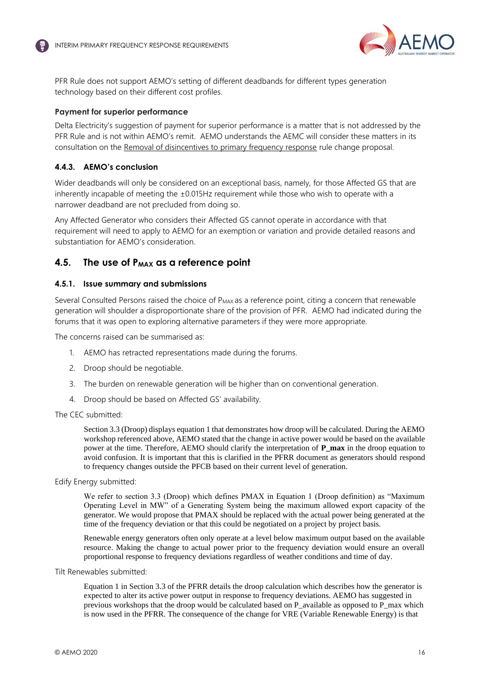

<span id="page-15-1"></span>PFR Rule does not support AEMO's setting of different deadbands for different types generation technology based on their different cost profiles.

### **Payment for superior performance**

Delta Electricity's suggestion of payment for superior performance is a matter that is not addressed by the PFR Rule and is not within AEMO's remit. AEMO understands the AEMC will consider these matters in its consultation on the [Removal of disincentives to primary frequency response](https://www.aemc.gov.au/rule-changes/removal-disincentives-primary-frequency-response) rule change proposal.

# **4.4.3. AEMO's conclusion**

Wider deadbands will only be considered on an exceptional basis, namely, for those Affected GS that are inherently incapable of meeting the  $\pm 0.015$ Hz requirement while those who wish to operate with a narrower deadband are not precluded from doing so.

Any Affected Generator who considers their Affected GS cannot operate in accordance with that requirement will need to apply to AEMO for an exemption or variation and provide detailed reasons and substantiation for AEMO's consideration.

# <span id="page-15-0"></span>**4.5. The use of PMAX as a reference point**

### **4.5.1. Issue summary and submissions**

Several Consulted Persons raised the choice of  $P_{MAX}$  as a reference point, citing a concern that renewable generation will shoulder a disproportionate share of the provision of PFR. AEMO had indicated during the forums that it was open to exploring alternative parameters if they were more appropriate.

The concerns raised can be summarised as:

- 1. AEMO has retracted representations made during the forums.
- 2. Droop should be negotiable.
- 3. The burden on renewable generation will be higher than on conventional generation.
- 4. Droop should be based on Affected GS' availability.

The CEC submitted:

Section 3.3 (Droop) displays equation 1 that demonstrates how droop will be calculated. During the AEMO workshop referenced above, AEMO stated that the change in active power would be based on the available power at the time. Therefore, AEMO should clarify the interpretation of **P\_max** in the droop equation to avoid confusion. It is important that this is clarified in the PFRR document as generators should respond to frequency changes outside the PFCB based on their current level of generation.

Edify Energy submitted:

We refer to section 3.3 (Droop) which defines PMAX in Equation 1 (Droop definition) as "Maximum Operating Level in MW" of a Generating System being the maximum allowed export capacity of the generator. We would propose that PMAX should be replaced with the actual power being generated at the time of the frequency deviation or that this could be negotiated on a project by project basis.

Renewable energy generators often only operate at a level below maximum output based on the available resource. Making the change to actual power prior to the frequency deviation would ensure an overall proportional response to frequency deviations regardless of weather conditions and time of day.

Tilt Renewables submitted:

Equation 1 in Section 3.3 of the PFRR details the droop calculation which describes how the generator is expected to alter its active power output in response to frequency deviations. AEMO has suggested in previous workshops that the droop would be calculated based on P\_available as opposed to P\_max which is now used in the PFRR. The consequence of the change for VRE (Variable Renewable Energy) is that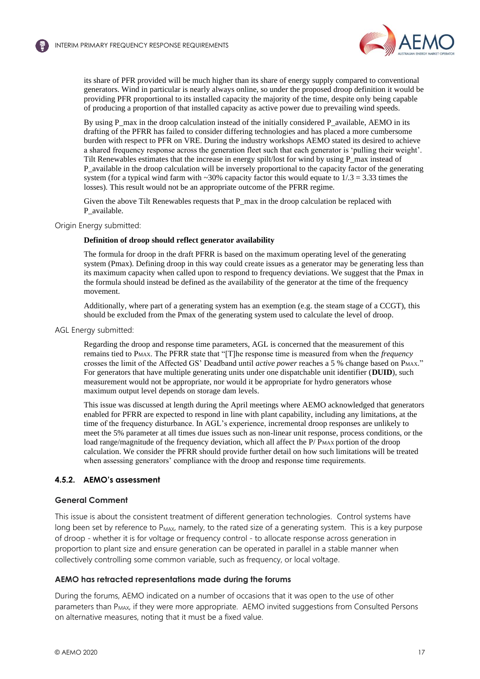

its share of PFR provided will be much higher than its share of energy supply compared to conventional generators. Wind in particular is nearly always online, so under the proposed droop definition it would be providing PFR proportional to its installed capacity the majority of the time, despite only being capable of producing a proportion of that installed capacity as active power due to prevailing wind speeds.

By using P\_max in the droop calculation instead of the initially considered P\_available, AEMO in its drafting of the PFRR has failed to consider differing technologies and has placed a more cumbersome burden with respect to PFR on VRE. During the industry workshops AEMO stated its desired to achieve a shared frequency response across the generation fleet such that each generator is 'pulling their weight'. Tilt Renewables estimates that the increase in energy spilt/lost for wind by using P\_max instead of P\_available in the droop calculation will be inversely proportional to the capacity factor of the generating system (for a typical wind farm with  $\sim$ 30% capacity factor this would equate to 1/.3 = 3.33 times the losses). This result would not be an appropriate outcome of the PFRR regime.

Given the above Tilt Renewables requests that  $P$  max in the droop calculation be replaced with P\_available.

#### Origin Energy submitted:

#### **Definition of droop should reflect generator availability**

<span id="page-16-0"></span>The formula for droop in the draft PFRR is based on the maximum operating level of the generating system (Pmax). Defining droop in this way could create issues as a generator may be generating less than its maximum capacity when called upon to respond to frequency deviations. We suggest that the Pmax in the formula should instead be defined as the availability of the generator at the time of the frequency movement.

Additionally, where part of a generating system has an exemption (e.g. the steam stage of a CCGT), this should be excluded from the Pmax of the generating system used to calculate the level of droop.

#### AGL Energy submitted:

Regarding the droop and response time parameters, AGL is concerned that the measurement of this remains tied to PMAX. The PFRR state that "[T]he response time is measured from when the *frequency*  crosses the limit of the Affected GS' Deadband until *active power* reaches a 5 % change based on PMAX." For generators that have multiple generating units under one dispatchable unit identifier (**DUID**), such measurement would not be appropriate, nor would it be appropriate for hydro generators whose maximum output level depends on storage dam levels.

This issue was discussed at length during the April meetings where AEMO acknowledged that generators enabled for PFRR are expected to respond in line with plant capability, including any limitations, at the time of the frequency disturbance. In AGL's experience, incremental droop responses are unlikely to meet the 5% parameter at all times due issues such as non-linear unit response, process conditions, or the load range/magnitude of the frequency deviation, which all affect the P/ PMAX portion of the droop calculation. We consider the PFRR should provide further detail on how such limitations will be treated when assessing generators' compliance with the droop and response time requirements.

### **4.5.2. AEMO's assessment**

#### **General Comment**

This issue is about the consistent treatment of different generation technologies. Control systems have long been set by reference to P<sub>MAX</sub>, namely, to the rated size of a generating system. This is a key purpose of droop - whether it is for voltage or frequency control - to allocate response across generation in proportion to plant size and ensure generation can be operated in parallel in a stable manner when collectively controlling some common variable, such as frequency, or local voltage.

#### **AEMO has retracted representations made during the forums**

During the forums, AEMO indicated on a number of occasions that it was open to the use of other parameters than P<sub>MAX</sub>, if they were more appropriate. AEMO invited suggestions from Consulted Persons on alternative measures, noting that it must be a fixed value.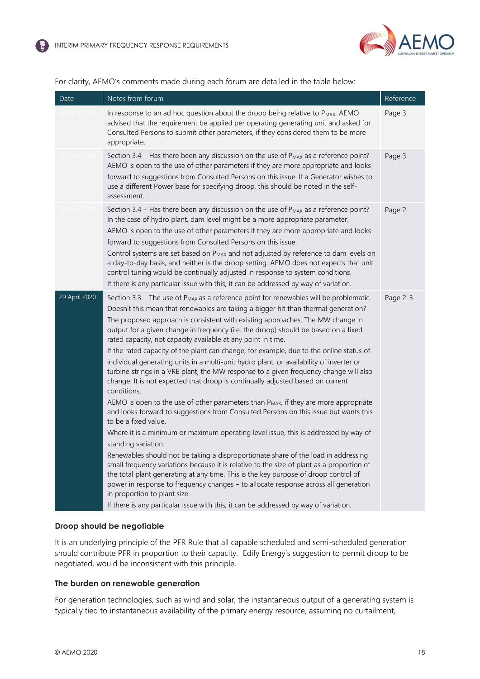

# For clarity, AEMO's comments made during each forum are detailed in the table below:

| Date          | Notes from forum                                                                                                                                                                                                                                                                                                                                                                                                                                                                                                                                                                                                                                                                                                                                                                                                                                                                                                                                                                                                                                                                                                                                                                                                                                                                                                                                                                                                                                                                                                                                                                                                                            | Reference |
|---------------|---------------------------------------------------------------------------------------------------------------------------------------------------------------------------------------------------------------------------------------------------------------------------------------------------------------------------------------------------------------------------------------------------------------------------------------------------------------------------------------------------------------------------------------------------------------------------------------------------------------------------------------------------------------------------------------------------------------------------------------------------------------------------------------------------------------------------------------------------------------------------------------------------------------------------------------------------------------------------------------------------------------------------------------------------------------------------------------------------------------------------------------------------------------------------------------------------------------------------------------------------------------------------------------------------------------------------------------------------------------------------------------------------------------------------------------------------------------------------------------------------------------------------------------------------------------------------------------------------------------------------------------------|-----------|
|               | In response to an ad hoc question about the droop being relative to P <sub>MAX</sub> , AEMO<br>advised that the requirement be applied per operating generating unit and asked for<br>Consulted Persons to submit other parameters, if they considered them to be more<br>appropriate.                                                                                                                                                                                                                                                                                                                                                                                                                                                                                                                                                                                                                                                                                                                                                                                                                                                                                                                                                                                                                                                                                                                                                                                                                                                                                                                                                      | Page 3    |
|               | Section 3.4 – Has there been any discussion on the use of $P_{MAX}$ as a reference point?<br>AEMO is open to the use of other parameters if they are more appropriate and looks<br>forward to suggestions from Consulted Persons on this issue. If a Generator wishes to<br>use a different Power base for specifying droop, this should be noted in the self-<br>assessment.                                                                                                                                                                                                                                                                                                                                                                                                                                                                                                                                                                                                                                                                                                                                                                                                                                                                                                                                                                                                                                                                                                                                                                                                                                                               | Page 3    |
|               | Section 3.4 - Has there been any discussion on the use of $P_{MAX}$ as a reference point?<br>In the case of hydro plant, dam level might be a more appropriate parameter.<br>AEMO is open to the use of other parameters if they are more appropriate and looks<br>forward to suggestions from Consulted Persons on this issue.<br>Control systems are set based on P <sub>MAX</sub> and not adjusted by reference to dam levels on<br>a day-to-day basis, and neither is the droop setting. AEMO does not expects that unit<br>control tuning would be continually adjusted in response to system conditions.<br>If there is any particular issue with this, it can be addressed by way of variation.                                                                                                                                                                                                                                                                                                                                                                                                                                                                                                                                                                                                                                                                                                                                                                                                                                                                                                                                      | Page 2    |
| 29 April 2020 | Section 3.3 - The use of P <sub>MAX</sub> as a reference point for renewables will be problematic.<br>Doesn't this mean that renewables are taking a bigger hit than thermal generation?<br>The proposed approach is consistent with existing approaches. The MW change in<br>output for a given change in frequency (i.e. the droop) should be based on a fixed<br>rated capacity, not capacity available at any point in time.<br>If the rated capacity of the plant can change, for example, due to the online status of<br>individual generating units in a multi-unit hydro plant, or availability of inverter or<br>turbine strings in a VRE plant, the MW response to a given frequency change will also<br>change. It is not expected that droop is continually adjusted based on current<br>conditions.<br>AEMO is open to the use of other parameters than P <sub>MAX</sub> , if they are more appropriate<br>and looks forward to suggestions from Consulted Persons on this issue but wants this<br>to be a fixed value.<br>Where it is a minimum or maximum operating level issue, this is addressed by way of<br>standing variation.<br>Renewables should not be taking a disproportionate share of the load in addressing<br>small frequency variations because it is relative to the size of plant as a proportion of<br>the total plant generating at any time. This is the key purpose of droop control of<br>power in response to frequency changes - to allocate response across all generation<br>in proportion to plant size.<br>If there is any particular issue with this, it can be addressed by way of variation. | Page 2-3  |

# **Droop should be negotiable**

It is an underlying principle of the PFR Rule that all capable scheduled and semi-scheduled generation should contribute PFR in proportion to their capacity. Edify Energy's suggestion to permit droop to be negotiated, would be inconsistent with this principle.

### **The burden on renewable generation**

For generation technologies, such as wind and solar, the instantaneous output of a generating system is typically tied to instantaneous availability of the primary energy resource, assuming no curtailment,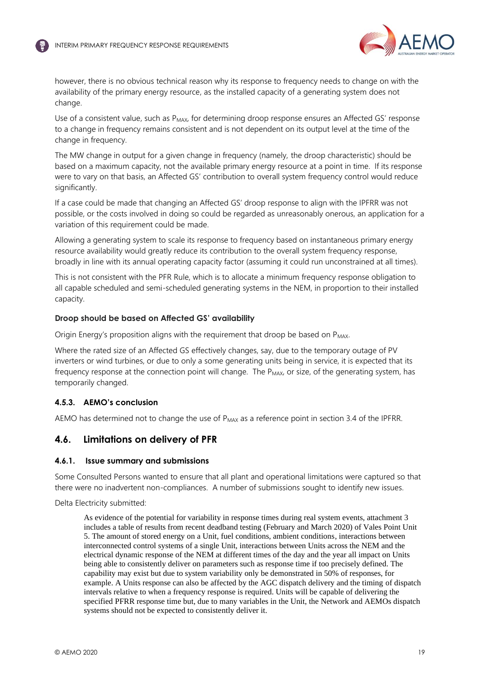

however, there is no obvious technical reason why its response to frequency needs to change on with the availability of the primary energy resource, as the installed capacity of a generating system does not change.

Use of a consistent value, such as P<sub>MAX</sub>, for determining droop response ensures an Affected GS' response to a change in frequency remains consistent and is not dependent on its output level at the time of the change in frequency.

The MW change in output for a given change in frequency (namely, the droop characteristic) should be based on a maximum capacity, not the available primary energy resource at a point in time. If its response were to vary on that basis, an Affected GS' contribution to overall system frequency control would reduce significantly.

<span id="page-18-1"></span>If a case could be made that changing an Affected GS' droop response to align with the IPFRR was not possible, or the costs involved in doing so could be regarded as unreasonably onerous, an application for a variation of this requirement could be made.

<span id="page-18-3"></span><span id="page-18-2"></span>Allowing a generating system to scale its response to frequency based on instantaneous primary energy resource availability would greatly reduce its contribution to the overall system frequency response, broadly in line with its annual operating capacity factor (assuming it could run unconstrained at all times).

This is not consistent with the PFR Rule, which is to allocate a minimum frequency response obligation to all capable scheduled and semi-scheduled generating systems in the NEM, in proportion to their installed capacity.

### **Droop should be based on Affected GS' availability**

Origin Energy's proposition aligns with the requirement that droop be based on  $P_{MAX}$ .

Where the rated size of an Affected GS effectively changes, say, due to the temporary outage of PV inverters or wind turbines, or due to only a some generating units being in service, it is expected that its frequency response at the connection point will change. The P<sub>MAX</sub>, or size, of the generating system, has temporarily changed.

# **4.5.3. AEMO's conclusion**

AEMO has determined not to change the use of P<sub>MAX</sub> as a reference point in section 3.4 of the IPFRR.

# <span id="page-18-0"></span>**4.6. Limitations on delivery of PFR**

### **4.6.1. Issue summary and submissions**

Some Consulted Persons wanted to ensure that all plant and operational limitations were captured so that there were no inadvertent non-compliances. A number of submissions sought to identify new issues.

Delta Electricity submitted:

As evidence of the potential for variability in response times during real system events, attachment 3 includes a table of results from recent deadband testing (February and March 2020) of Vales Point Unit 5. The amount of stored energy on a Unit, fuel conditions, ambient conditions, interactions between interconnected control systems of a single Unit, interactions between Units across the NEM and the electrical dynamic response of the NEM at different times of the day and the year all impact on Units being able to consistently deliver on parameters such as response time if too precisely defined. The capability may exist but due to system variability only be demonstrated in 50% of responses, for example. A Units response can also be affected by the AGC dispatch delivery and the timing of dispatch intervals relative to when a frequency response is required. Units will be capable of delivering the specified PFRR response time but, due to many variables in the Unit, the Network and AEMOs dispatch systems should not be expected to consistently deliver it.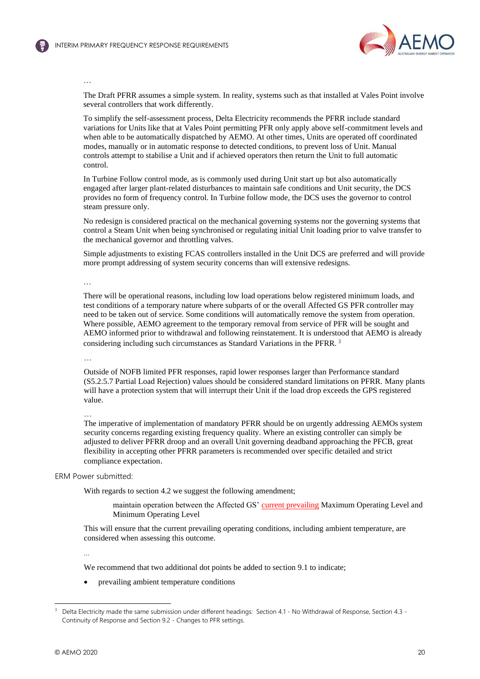

### …

The Draft PFRR assumes a simple system. In reality, systems such as that installed at Vales Point involve several controllers that work differently.

To simplify the self-assessment process, Delta Electricity recommends the PFRR include standard variations for Units like that at Vales Point permitting PFR only apply above self-commitment levels and when able to be automatically dispatched by AEMO. At other times, Units are operated off coordinated modes, manually or in automatic response to detected conditions, to prevent loss of Unit. Manual controls attempt to stabilise a Unit and if achieved operators then return the Unit to full automatic control.

In Turbine Follow control mode, as is commonly used during Unit start up but also automatically engaged after larger plant-related disturbances to maintain safe conditions and Unit security, the DCS provides no form of frequency control. In Turbine follow mode, the DCS uses the governor to control steam pressure only.

No redesign is considered practical on the mechanical governing systems nor the governing systems that control a Steam Unit when being synchronised or regulating initial Unit loading prior to valve transfer to the mechanical governor and throttling valves.

Simple adjustments to existing FCAS controllers installed in the Unit DCS are preferred and will provide more prompt addressing of system security concerns than will extensive redesigns.

…

There will be operational reasons, including low load operations below registered minimum loads, and test conditions of a temporary nature where subparts of or the overall Affected GS PFR controller may need to be taken out of service. Some conditions will automatically remove the system from operation. Where possible, AEMO agreement to the temporary removal from service of PFR will be sought and AEMO informed prior to withdrawal and following reinstatement. It is understood that AEMO is already considering including such circumstances as Standard Variations in the PFRR. <sup>3</sup>

…

Outside of NOFB limited PFR responses, rapid lower responses larger than Performance standard (S5.2.5.7 Partial Load Rejection) values should be considered standard limitations on PFRR. Many plants will have a protection system that will interrupt their Unit if the load drop exceeds the GPS registered value.

…

The imperative of implementation of mandatory PFRR should be on urgently addressing AEMOs system security concerns regarding existing frequency quality. Where an existing controller can simply be adjusted to deliver PFRR droop and an overall Unit governing deadband approaching the PFCB, great flexibility in accepting other PFRR parameters is recommended over specific detailed and strict compliance expectation.

ERM Power submitted:

With regards to section 4.2 we suggest the following amendment:

maintain operation between the Affected GS' current prevailing Maximum Operating Level and Minimum Operating Level

This will ensure that the current prevailing operating conditions, including ambient temperature, are considered when assessing this outcome.

…

We recommend that two additional dot points be added to section 9.1 to indicate;

• prevailing ambient temperature conditions

<sup>3</sup> Delta Electricity made the same submission under different headings: Section 4.1 - No Withdrawal of Response, Section 4.3 - Continuity of Response and Section 9.2 - Changes to PFR settings.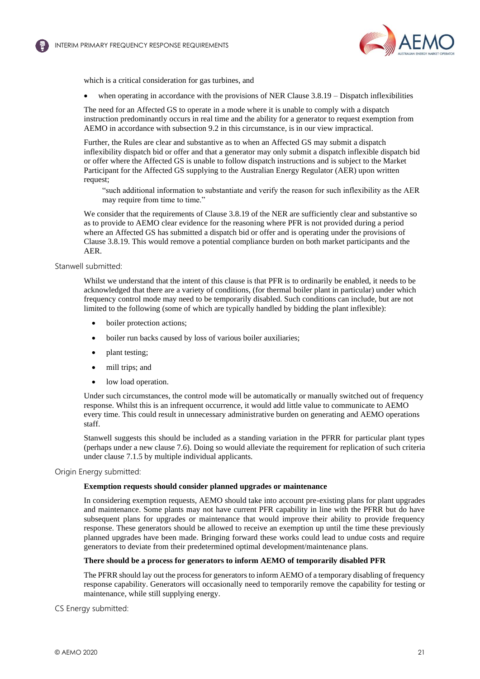

which is a critical consideration for gas turbines, and

when operating in accordance with the provisions of NER Clause  $3.8.19 -$  Dispatch inflexibilities

The need for an Affected GS to operate in a mode where it is unable to comply with a dispatch instruction predominantly occurs in real time and the ability for a generator to request exemption from AEMO in accordance with subsection 9.2 in this circumstance, is in our view impractical.

Further, the Rules are clear and substantive as to when an Affected GS may submit a dispatch inflexibility dispatch bid or offer and that a generator may only submit a dispatch inflexible dispatch bid or offer where the Affected GS is unable to follow dispatch instructions and is subject to the Market Participant for the Affected GS supplying to the Australian Energy Regulator (AER) upon written request;

"such additional information to substantiate and verify the reason for such inflexibility as the AER may require from time to time."

We consider that the requirements of Clause 3.8.19 of the NER are sufficiently clear and substantive so as to provide to AEMO clear evidence for the reasoning where PFR is not provided during a period where an Affected GS has submitted a dispatch bid or offer and is operating under the provisions of Clause 3.8.19. This would remove a potential compliance burden on both market participants and the AER.

Stanwell submitted:

Whilst we understand that the intent of this clause is that PFR is to ordinarily be enabled, it needs to be acknowledged that there are a variety of conditions, (for thermal boiler plant in particular) under which frequency control mode may need to be temporarily disabled. Such conditions can include, but are not limited to the following (some of which are typically handled by bidding the plant inflexible):

- boiler protection actions;
- boiler run backs caused by loss of various boiler auxiliaries;
- plant testing;
- mill trips; and
- low load operation.

Under such circumstances, the control mode will be automatically or manually switched out of frequency response. Whilst this is an infrequent occurrence, it would add little value to communicate to AEMO every time. This could result in unnecessary administrative burden on generating and AEMO operations staff.

Stanwell suggests this should be included as a standing variation in the PFRR for particular plant types (perhaps under a new clause 7.6). Doing so would alleviate the requirement for replication of such criteria under clause 7.1.5 by multiple individual applicants.

Origin Energy submitted:

#### **Exemption requests should consider planned upgrades or maintenance**

In considering exemption requests, AEMO should take into account pre-existing plans for plant upgrades and maintenance. Some plants may not have current PFR capability in line with the PFRR but do have subsequent plans for upgrades or maintenance that would improve their ability to provide frequency response. These generators should be allowed to receive an exemption up until the time these previously planned upgrades have been made. Bringing forward these works could lead to undue costs and require generators to deviate from their predetermined optimal development/maintenance plans.

#### **There should be a process for generators to inform AEMO of temporarily disabled PFR**

The PFRR should lay out the process for generators to inform AEMO of a temporary disabling of frequency response capability. Generators will occasionally need to temporarily remove the capability for testing or maintenance, while still supplying energy.

CS Energy submitted: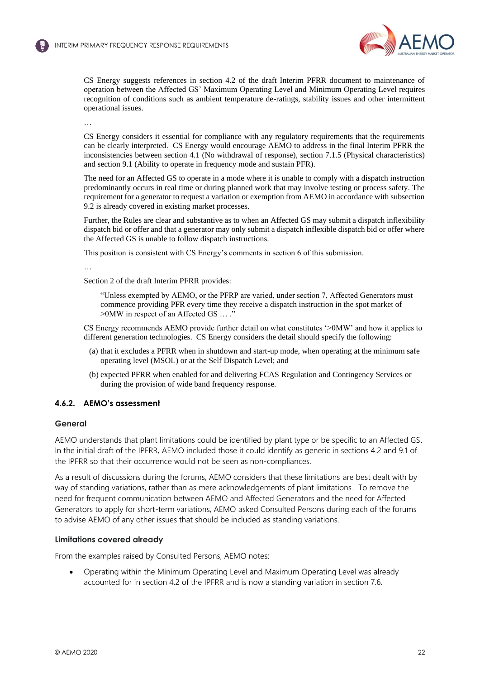

CS Energy suggests references in section 4.2 of the draft Interim PFRR document to maintenance of operation between the Affected GS' Maximum Operating Level and Minimum Operating Level requires recognition of conditions such as ambient temperature de-ratings, stability issues and other intermittent operational issues.

…

CS Energy considers it essential for compliance with any regulatory requirements that the requirements can be clearly interpreted. CS Energy would encourage AEMO to address in the final Interim PFRR the inconsistencies between section 4.1 (No withdrawal of response), section 7.1.5 (Physical characteristics) and section 9.1 (Ability to operate in frequency mode and sustain PFR).

<span id="page-21-0"></span>The need for an Affected GS to operate in a mode where it is unable to comply with a dispatch instruction predominantly occurs in real time or during planned work that may involve testing or process safety. The requirement for a generator to request a variation or exemption from AEMO in accordance with subsection 9.2 is already covered in existing market processes.

Further, the Rules are clear and substantive as to when an Affected GS may submit a dispatch inflexibility dispatch bid or offer and that a generator may only submit a dispatch inflexible dispatch bid or offer where the Affected GS is unable to follow dispatch instructions.

This position is consistent with CS Energy's comments in section 6 of this submission.

…

Section 2 of the draft Interim PFRR provides:

"Unless exempted by AEMO, or the PFRP are varied, under section 7, Affected Generators must commence providing PFR every time they receive a dispatch instruction in the spot market of >0MW in respect of an Affected GS … ."

CS Energy recommends AEMO provide further detail on what constitutes '>0MW' and how it applies to different generation technologies. CS Energy considers the detail should specify the following:

- (a) that it excludes a PFRR when in shutdown and start-up mode, when operating at the minimum safe operating level (MSOL) or at the Self Dispatch Level; and
- (b) expected PFRR when enabled for and delivering FCAS Regulation and Contingency Services or during the provision of wide band frequency response.

# **4.6.2. AEMO's assessment**

### **General**

AEMO understands that plant limitations could be identified by plant type or be specific to an Affected GS. In the initial draft of the IPFRR, AEMO included those it could identify as generic in sections 4.2 and 9.1 of the IPFRR so that their occurrence would not be seen as non-compliances.

As a result of discussions during the forums, AEMO considers that these limitations are best dealt with by way of standing variations, rather than as mere acknowledgements of plant limitations. To remove the need for frequent communication between AEMO and Affected Generators and the need for Affected Generators to apply for short-term variations, AEMO asked Consulted Persons during each of the forums to advise AEMO of any other issues that should be included as standing variations.

### **Limitations covered already**

From the examples raised by Consulted Persons, AEMO notes:

• Operating within the Minimum Operating Level and Maximum Operating Level was already accounted for in section 4.2 of the IPFRR and is now a standing variation in section 7.6.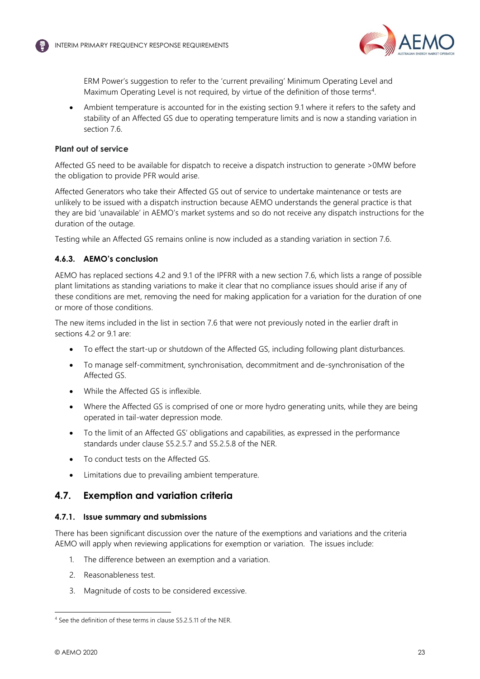

<span id="page-22-1"></span>ERM Power's suggestion to refer to the 'current prevailing' Minimum Operating Level and Maximum Operating Level is not required, by virtue of the definition of those terms<sup>4</sup>.

Ambient temperature is accounted for in the existing section 9.1 where it refers to the safety and stability of an Affected GS due to operating temperature limits and is now a standing variation in section 7.6.

# **Plant out of service**

Affected GS need to be available for dispatch to receive a dispatch instruction to generate >0MW before the obligation to provide PFR would arise.

Affected Generators who take their Affected GS out of service to undertake maintenance or tests are unlikely to be issued with a dispatch instruction because AEMO understands the general practice is that they are bid 'unavailable' in AEMO's market systems and so do not receive any dispatch instructions for the duration of the outage.

Testing while an Affected GS remains online is now included as a standing variation in section 7.6.

# **4.6.3. AEMO's conclusion**

AEMO has replaced sections 4.2 and 9.1 of the IPFRR with a new section 7.6, which lists a range of possible plant limitations as standing variations to make it clear that no compliance issues should arise if any of these conditions are met, removing the need for making application for a variation for the duration of one or more of those conditions.

<span id="page-22-2"></span>The new items included in the list in section 7.6 that were not previously noted in the earlier draft in sections 4.2 or 9.1 are:

- To effect the start-up or shutdown of the Affected GS, including following plant disturbances.
- To manage self-commitment, synchronisation, decommitment and de-synchronisation of the Affected GS.
- While the Affected GS is inflexible.
- Where the Affected GS is comprised of one or more hydro generating units, while they are being operated in tail-water depression mode.
- To the limit of an Affected GS' obligations and capabilities, as expressed in the performance standards under clause S5.2.5.7 and S5.2.5.8 of the NER.
- To conduct tests on the Affected GS.
- Limitations due to prevailing ambient temperature.

# <span id="page-22-0"></span>**4.7. Exemption and variation criteria**

# **4.7.1. Issue summary and submissions**

There has been significant discussion over the nature of the exemptions and variations and the criteria AEMO will apply when reviewing applications for exemption or variation. The issues include:

- 1. The difference between an exemption and a variation.
- 2. Reasonableness test.
- 3. Magnitude of costs to be considered excessive.

<sup>4</sup> See the definition of these terms in clause S5.2.5.11 of the NER.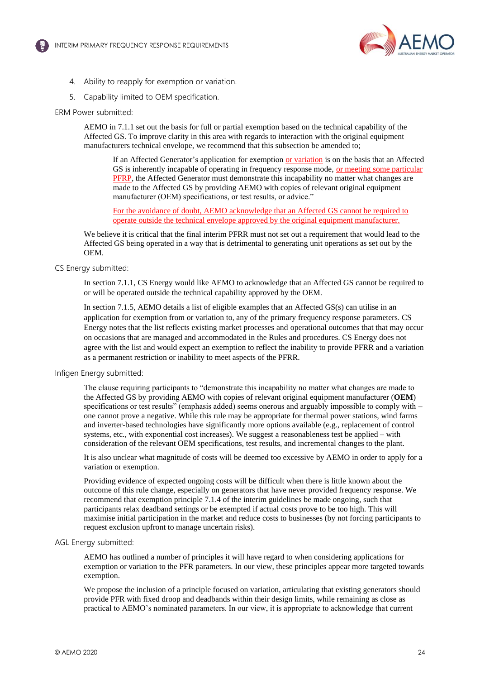

- 4. Ability to reapply for exemption or variation.
- 5. Capability limited to OEM specification.

#### ERM Power submitted:

AEMO in 7.1.1 set out the basis for full or partial exemption based on the technical capability of the Affected GS. To improve clarity in this area with regards to interaction with the original equipment manufacturers technical envelope, we recommend that this subsection be amended to;

If an Affected Generator's application for exemption or variation is on the basis that an Affected GS is inherently incapable of operating in frequency response mode, or meeting some particular PFRP, the Affected Generator must demonstrate this incapability no matter what changes are made to the Affected GS by providing AEMO with copies of relevant original equipment manufacturer (OEM) specifications, or test results, or advice."

For the avoidance of doubt, AEMO acknowledge that an Affected GS cannot be required to operate outside the technical envelope approved by the original equipment manufacturer.

We believe it is critical that the final interim PFRR must not set out a requirement that would lead to the Affected GS being operated in a way that is detrimental to generating unit operations as set out by the OEM.

### CS Energy submitted:

In section 7.1.1, CS Energy would like AEMO to acknowledge that an Affected GS cannot be required to or will be operated outside the technical capability approved by the OEM.

In section 7.1.5, AEMO details a list of eligible examples that an Affected GS(s) can utilise in an application for exemption from or variation to, any of the primary frequency response parameters. CS Energy notes that the list reflects existing market processes and operational outcomes that that may occur on occasions that are managed and accommodated in the Rules and procedures. CS Energy does not agree with the list and would expect an exemption to reflect the inability to provide PFRR and a variation as a permanent restriction or inability to meet aspects of the PFRR.

#### Infigen Energy submitted:

The clause requiring participants to "demonstrate this incapability no matter what changes are made to the Affected GS by providing AEMO with copies of relevant original equipment manufacturer (**OEM**) specifications or test results" (emphasis added) seems onerous and arguably impossible to comply with – one cannot prove a negative. While this rule may be appropriate for thermal power stations, wind farms and inverter-based technologies have significantly more options available (e.g., replacement of control systems, etc., with exponential cost increases). We suggest a reasonableness test be applied – with consideration of the relevant OEM specifications, test results, and incremental changes to the plant.

It is also unclear what magnitude of costs will be deemed too excessive by AEMO in order to apply for a variation or exemption.

Providing evidence of expected ongoing costs will be difficult when there is little known about the outcome of this rule change, especially on generators that have never provided frequency response. We recommend that exemption principle 7.1.4 of the interim guidelines be made ongoing, such that participants relax deadband settings or be exempted if actual costs prove to be too high. This will maximise initial participation in the market and reduce costs to businesses (by not forcing participants to request exclusion upfront to manage uncertain risks).

#### AGL Energy submitted:

AEMO has outlined a number of principles it will have regard to when considering applications for exemption or variation to the PFR parameters. In our view, these principles appear more targeted towards exemption.

We propose the inclusion of a principle focused on variation, articulating that existing generators should provide PFR with fixed droop and deadbands within their design limits, while remaining as close as practical to AEMO's nominated parameters. In our view, it is appropriate to acknowledge that current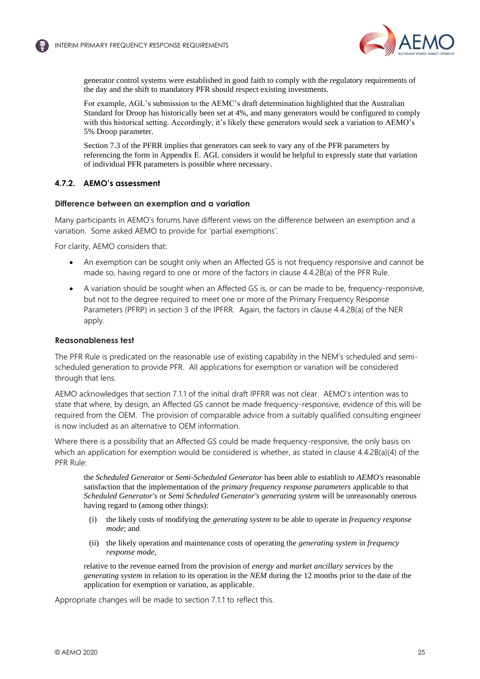

<span id="page-24-0"></span>generator control systems were established in good faith to comply with the regulatory requirements of the day and the shift to mandatory PFR should respect existing investments.

For example, AGL's submission to the AEMC's draft determination highlighted that the Australian Standard for Droop has historically been set at 4%, and many generators would be configured to comply with this historical setting. Accordingly, it's likely these generators would seek a variation to AEMO's 5% Droop parameter.

Section 7.3 of the PFRR implies that generators can seek to vary any of the PFR parameters by referencing the form in Appendix E. AGL considers it would be helpful to expressly state that variation of individual PFR parameters is possible where necessary.

### **4.7.2. AEMO's assessment**

### **Difference between an exemption and a variation**

Many participants in AEMO's forums have different views on the difference between an exemption and a variation. Some asked AEMO to provide for 'partial exemptions'.

For clarity, AEMO considers that:

- An exemption can be sought only when an Affected GS is not frequency responsive and cannot be made so, having regard to one or more of the factors in clause 4.4.2B(a) of the PFR Rule.
- A variation should be sought when an Affected GS is, or can be made to be, frequency-responsive, but not to the degree required to meet one or more of the Primary Frequency Response Parameters (PFRP) in section 3 of the IPFRR. Again, the factors in clause 4.4.2B(a) of the NER apply.

### **Reasonableness test**

The PFR Rule is predicated on the reasonable use of existing capability in the NEM's scheduled and semischeduled generation to provide PFR. All applications for exemption or variation will be considered through that lens.

AEMO acknowledges that section 7.1.1 of the initial draft IPFRR was not clear. AEMO's intention was to state that where, by design, an Affected GS cannot be made frequency-responsive, evidence of this will be required from the OEM. The provision of comparable advice from a suitably qualified consulting engineer is now included as an alternative to OEM information.

Where there is a possibility that an Affected GS could be made frequency-responsive, the only basis on which an application for exemption would be considered is whether, as stated in clause 4.4.2B(a)(4) of the PFR Rule:

the *Scheduled Generator* or *Semi-Scheduled Generator* has been able to establish to *AEMO's* reasonable satisfaction that the implementation of the *primary frequency response parameters* applicable to that *Scheduled Generator's* or *Semi Scheduled Generator's generating system* will be unreasonably onerous having regard to (among other things):

- (i) the likely costs of modifying the *generating system* to be able to operate in *frequency response mode*; and
- (ii) the likely operation and maintenance costs of operating the *generating system* in *frequency response mode*,

relative to the revenue earned from the provision of *energy* and *market ancillary services* by the *generating system* in relation to its operation in the *NEM* during the 12 months prior to the date of the application for exemption or variation, as applicable.

Appropriate changes will be made to section 7.1.1 to reflect this.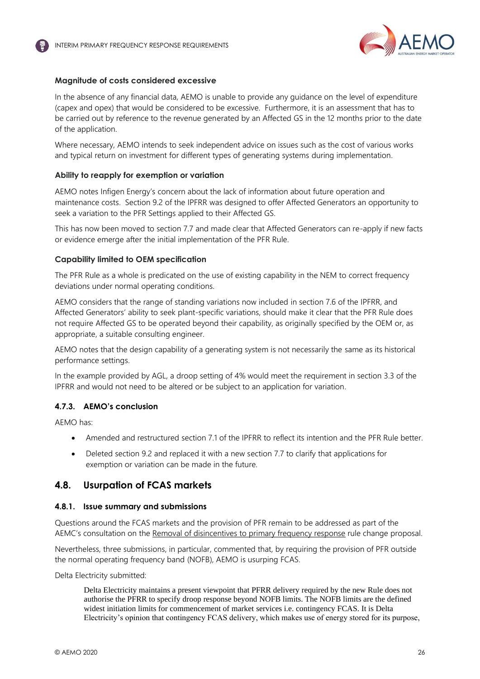

### **Magnitude of costs considered excessive**

In the absence of any financial data, AEMO is unable to provide any guidance on the level of expenditure (capex and opex) that would be considered to be excessive. Furthermore, it is an assessment that has to be carried out by reference to the revenue generated by an Affected GS in the 12 months prior to the date of the application.

Where necessary, AEMO intends to seek independent advice on issues such as the cost of various works and typical return on investment for different types of generating systems during implementation.

### **Ability to reapply for exemption or variation**

<span id="page-25-2"></span>AEMO notes Infigen Energy's concern about the lack of information about future operation and maintenance costs. Section 9.2 of the IPFRR was designed to offer Affected Generators an opportunity to seek a variation to the PFR Settings applied to their Affected GS.

This has now been moved to section 7.7 and made clear that Affected Generators can re-apply if new facts or evidence emerge after the initial implementation of the PFR Rule.

### **Capability limited to OEM specification**

The PFR Rule as a whole is predicated on the use of existing capability in the NEM to correct frequency deviations under normal operating conditions.

<span id="page-25-1"></span>AEMO considers that the range of standing variations now included in section 7.6 of the IPFRR, and Affected Generators' ability to seek plant-specific variations, should make it clear that the PFR Rule does not require Affected GS to be operated beyond their capability, as originally specified by the OEM or, as appropriate, a suitable consulting engineer.

AEMO notes that the design capability of a generating system is not necessarily the same as its historical performance settings.

In the example provided by AGL, a droop setting of 4% would meet the requirement in section 3.3 of the IPFRR and would not need to be altered or be subject to an application for variation.

# **4.7.3. AEMO's conclusion**

AEMO has:

- Amended and restructured section 7.1 of the IPFRR to reflect its intention and the PFR Rule better.
- Deleted section 9.2 and replaced it with a new section 7.7 to clarify that applications for exemption or variation can be made in the future.

# <span id="page-25-0"></span>**4.8. Usurpation of FCAS markets**

### **4.8.1. Issue summary and submissions**

Questions around the FCAS markets and the provision of PFR remain to be addressed as part of the AEMC's consultation on the [Removal of disincentives to primary frequency response](https://www.aemc.gov.au/rule-changes/removal-disincentives-primary-frequency-response) rule change proposal.

Nevertheless, three submissions, in particular, commented that, by requiring the provision of PFR outside the normal operating frequency band (NOFB), AEMO is usurping FCAS.

Delta Electricity submitted:

Delta Electricity maintains a present viewpoint that PFRR delivery required by the new Rule does not authorise the PFRR to specify droop response beyond NOFB limits. The NOFB limits are the defined widest initiation limits for commencement of market services i.e. contingency FCAS. It is Delta Electricity's opinion that contingency FCAS delivery, which makes use of energy stored for its purpose,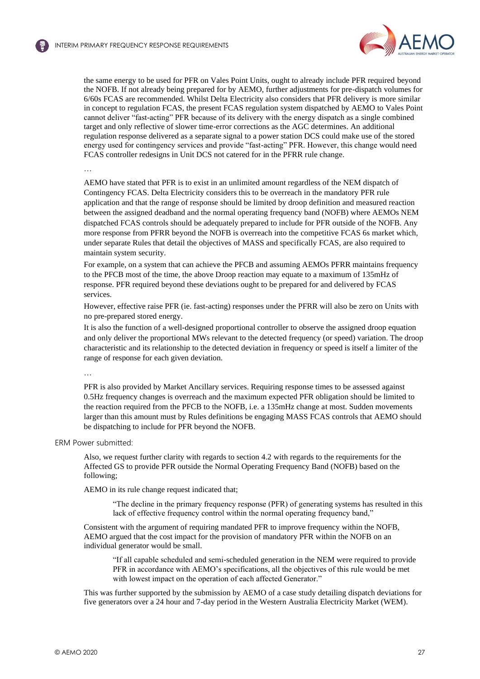

the same energy to be used for PFR on Vales Point Units, ought to already include PFR required beyond the NOFB. If not already being prepared for by AEMO, further adjustments for pre-dispatch volumes for 6/60s FCAS are recommended. Whilst Delta Electricity also considers that PFR delivery is more similar in concept to regulation FCAS, the present FCAS regulation system dispatched by AEMO to Vales Point cannot deliver "fast-acting" PFR because of its delivery with the energy dispatch as a single combined target and only reflective of slower time-error corrections as the AGC determines. An additional regulation response delivered as a separate signal to a power station DCS could make use of the stored energy used for contingency services and provide "fast-acting" PFR. However, this change would need FCAS controller redesigns in Unit DCS not catered for in the PFRR rule change.

…

AEMO have stated that PFR is to exist in an unlimited amount regardless of the NEM dispatch of Contingency FCAS. Delta Electricity considers this to be overreach in the mandatory PFR rule application and that the range of response should be limited by droop definition and measured reaction between the assigned deadband and the normal operating frequency band (NOFB) where AEMOs NEM dispatched FCAS controls should be adequately prepared to include for PFR outside of the NOFB. Any more response from PFRR beyond the NOFB is overreach into the competitive FCAS 6s market which, under separate Rules that detail the objectives of MASS and specifically FCAS, are also required to maintain system security.

For example, on a system that can achieve the PFCB and assuming AEMOs PFRR maintains frequency to the PFCB most of the time, the above Droop reaction may equate to a maximum of 135mHz of response. PFR required beyond these deviations ought to be prepared for and delivered by FCAS services.

However, effective raise PFR (ie. fast-acting) responses under the PFRR will also be zero on Units with no pre-prepared stored energy.

It is also the function of a well-designed proportional controller to observe the assigned droop equation and only deliver the proportional MWs relevant to the detected frequency (or speed) variation. The droop characteristic and its relationship to the detected deviation in frequency or speed is itself a limiter of the range of response for each given deviation.

…

PFR is also provided by Market Ancillary services. Requiring response times to be assessed against 0.5Hz frequency changes is overreach and the maximum expected PFR obligation should be limited to the reaction required from the PFCB to the NOFB, i.e. a 135mHz change at most. Sudden movements larger than this amount must by Rules definitions be engaging MASS FCAS controls that AEMO should be dispatching to include for PFR beyond the NOFB.

ERM Power submitted:

Also, we request further clarity with regards to section 4.2 with regards to the requirements for the Affected GS to provide PFR outside the Normal Operating Frequency Band (NOFB) based on the following;

AEMO in its rule change request indicated that;

"The decline in the primary frequency response (PFR) of generating systems has resulted in this lack of effective frequency control within the normal operating frequency band,"

Consistent with the argument of requiring mandated PFR to improve frequency within the NOFB, AEMO argued that the cost impact for the provision of mandatory PFR within the NOFB on an individual generator would be small.

"If all capable scheduled and semi-scheduled generation in the NEM were required to provide PFR in accordance with AEMO's specifications, all the objectives of this rule would be met with lowest impact on the operation of each affected Generator."

This was further supported by the submission by AEMO of a case study detailing dispatch deviations for five generators over a 24 hour and 7-day period in the Western Australia Electricity Market (WEM).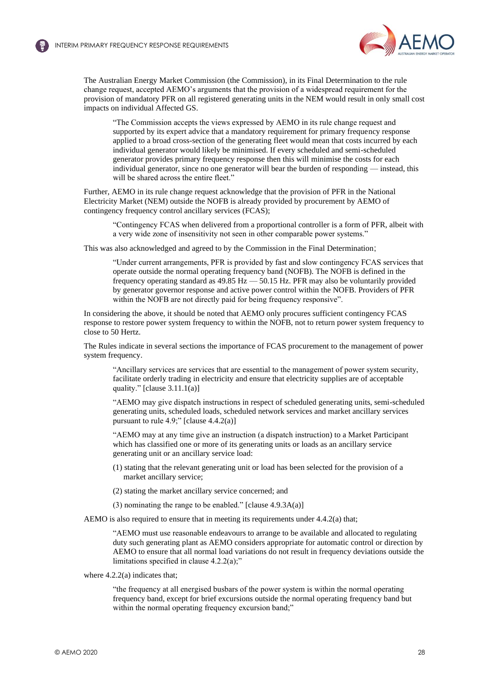

The Australian Energy Market Commission (the Commission), in its Final Determination to the rule change request, accepted AEMO's arguments that the provision of a widespread requirement for the provision of mandatory PFR on all registered generating units in the NEM would result in only small cost impacts on individual Affected GS.

"The Commission accepts the views expressed by AEMO in its rule change request and supported by its expert advice that a mandatory requirement for primary frequency response applied to a broad cross-section of the generating fleet would mean that costs incurred by each individual generator would likely be minimised. If every scheduled and semi-scheduled generator provides primary frequency response then this will minimise the costs for each individual generator, since no one generator will bear the burden of responding — instead, this will be shared across the entire fleet."

Further, AEMO in its rule change request acknowledge that the provision of PFR in the National Electricity Market (NEM) outside the NOFB is already provided by procurement by AEMO of contingency frequency control ancillary services (FCAS);

"Contingency FCAS when delivered from a proportional controller is a form of PFR, albeit with a very wide zone of insensitivity not seen in other comparable power systems."

This was also acknowledged and agreed to by the Commission in the Final Determination;

"Under current arrangements, PFR is provided by fast and slow contingency FCAS services that operate outside the normal operating frequency band (NOFB). The NOFB is defined in the frequency operating standard as 49.85 Hz — 50.15 Hz. PFR may also be voluntarily provided by generator governor response and active power control within the NOFB. Providers of PFR within the NOFB are not directly paid for being frequency responsive".

In considering the above, it should be noted that AEMO only procures sufficient contingency FCAS response to restore power system frequency to within the NOFB, not to return power system frequency to close to 50 Hertz.

The Rules indicate in several sections the importance of FCAS procurement to the management of power system frequency.

"Ancillary services are services that are essential to the management of power system security, facilitate orderly trading in electricity and ensure that electricity supplies are of acceptable quality." [clause 3.11.1(a)]

"AEMO may give dispatch instructions in respect of scheduled generating units, semi-scheduled generating units, scheduled loads, scheduled network services and market ancillary services pursuant to rule 4.9;" [clause  $4.4.2(a)$ ]

"AEMO may at any time give an instruction (a dispatch instruction) to a Market Participant which has classified one or more of its generating units or loads as an ancillary service generating unit or an ancillary service load:

- (1) stating that the relevant generating unit or load has been selected for the provision of a market ancillary service;
- (2) stating the market ancillary service concerned; and
- (3) nominating the range to be enabled." [clause 4.9.3A(a)]

AEMO is also required to ensure that in meeting its requirements under 4.4.2(a) that;

"AEMO must use reasonable endeavours to arrange to be available and allocated to regulating duty such generating plant as AEMO considers appropriate for automatic control or direction by AEMO to ensure that all normal load variations do not result in frequency deviations outside the limitations specified in clause 4.2.2(a);"

where 4.2.2(a) indicates that;

"the frequency at all energised busbars of the power system is within the normal operating frequency band, except for brief excursions outside the normal operating frequency band but within the normal operating frequency excursion band;"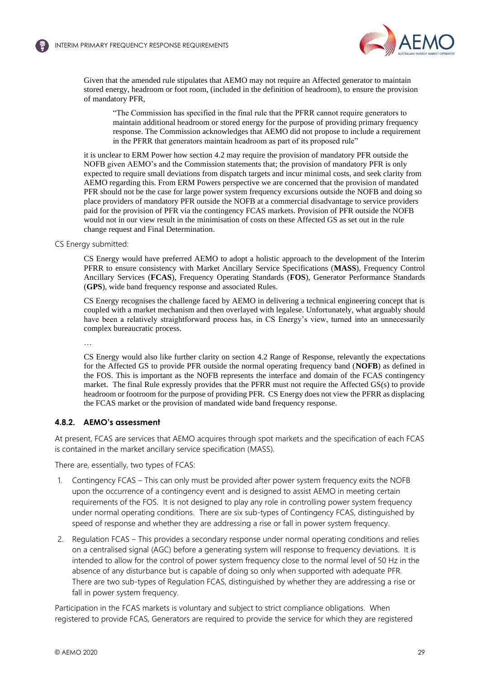

Given that the amended rule stipulates that AEMO may not require an Affected generator to maintain stored energy, headroom or foot room, (included in the definition of headroom), to ensure the provision of mandatory PFR,

"The Commission has specified in the final rule that the PFRR cannot require generators to maintain additional headroom or stored energy for the purpose of providing primary frequency response. The Commission acknowledges that AEMO did not propose to include a requirement in the PFRR that generators maintain headroom as part of its proposed rule"

it is unclear to ERM Power how section 4.2 may require the provision of mandatory PFR outside the NOFB given AEMO's and the Commission statements that; the provision of mandatory PFR is only expected to require small deviations from dispatch targets and incur minimal costs, and seek clarity from AEMO regarding this. From ERM Powers perspective we are concerned that the provision of mandated PFR should not be the case for large power system frequency excursions outside the NOFB and doing so place providers of mandatory PFR outside the NOFB at a commercial disadvantage to service providers paid for the provision of PFR via the contingency FCAS markets. Provision of PFR outside the NOFB would not in our view result in the minimisation of costs on these Affected GS as set out in the rule change request and Final Determination.

<span id="page-28-0"></span>CS Energy submitted:

CS Energy would have preferred AEMO to adopt a holistic approach to the development of the Interim PFRR to ensure consistency with Market Ancillary Service Specifications (**MASS**), Frequency Control Ancillary Services (**FCAS**), Frequency Operating Standards (**FOS**), Generator Performance Standards (**GPS**), wide band frequency response and associated Rules.

CS Energy recognises the challenge faced by AEMO in delivering a technical engineering concept that is coupled with a market mechanism and then overlayed with legalese. Unfortunately, what arguably should have been a relatively straightforward process has, in CS Energy's view, turned into an unnecessarily complex bureaucratic process.

…

CS Energy would also like further clarity on section 4.2 Range of Response, relevantly the expectations for the Affected GS to provide PFR outside the normal operating frequency band (**NOFB**) as defined in the FOS. This is important as the NOFB represents the interface and domain of the FCAS contingency market. The final Rule expressly provides that the PFRR must not require the Affected GS(s) to provide headroom or footroom for the purpose of providing PFR. CS Energy does not view the PFRR as displacing the FCAS market or the provision of mandated wide band frequency response.

# **4.8.2. AEMO's assessment**

At present, FCAS are services that AEMO acquires through spot markets and the specification of each FCAS is contained in the market ancillary service specification (MASS).

There are, essentially, two types of FCAS:

- 1. Contingency FCAS This can only must be provided after power system frequency exits the NOFB upon the occurrence of a contingency event and is designed to assist AEMO in meeting certain requirements of the FOS. It is not designed to play any role in controlling power system frequency under normal operating conditions. There are six sub-types of Contingency FCAS, distinguished by speed of response and whether they are addressing a rise or fall in power system frequency.
- 2. Regulation FCAS This provides a secondary response under normal operating conditions and relies on a centralised signal (AGC) before a generating system will response to frequency deviations. It is intended to allow for the control of power system frequency close to the normal level of 50 Hz in the absence of any disturbance but is capable of doing so only when supported with adequate PFR. There are two sub-types of Regulation FCAS, distinguished by whether they are addressing a rise or fall in power system frequency.

Participation in the FCAS markets is voluntary and subject to strict compliance obligations. When registered to provide FCAS, Generators are required to provide the service for which they are registered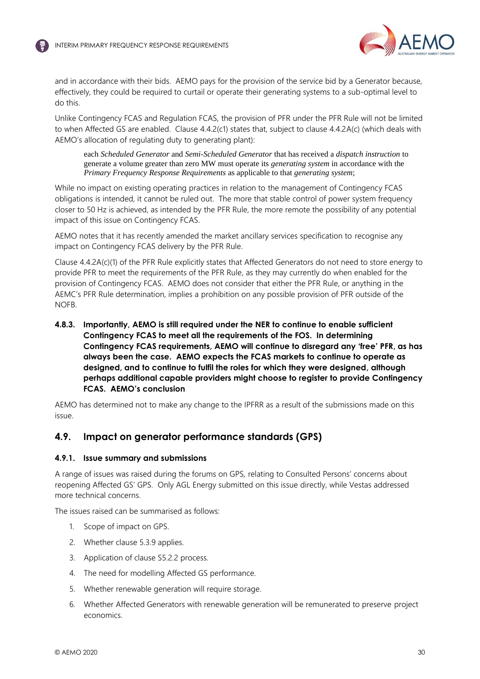

and in accordance with their bids. AEMO pays for the provision of the service bid by a Generator because, effectively, they could be required to curtail or operate their generating systems to a sub-optimal level to do this.

Unlike Contingency FCAS and Regulation FCAS, the provision of PFR under the PFR Rule will not be limited to when Affected GS are enabled. Clause 4.4.2(c1) states that, subject to clause 4.4.2A(c) (which deals with AEMO's allocation of regulating duty to generating plant):

<span id="page-29-1"></span>each *Scheduled Generator* and *Semi-Scheduled Generator* that has received a *dispatch instruction* to generate a volume greater than zero MW must operate its *generating system* in accordance with the *Primary Frequency Response Requirements* as applicable to that *generating system*;

While no impact on existing operating practices in relation to the management of Contingency FCAS obligations is intended, it cannot be ruled out. The more that stable control of power system frequency closer to 50 Hz is achieved, as intended by the PFR Rule, the more remote the possibility of any potential impact of this issue on Contingency FCAS.

AEMO notes that it has recently amended the market ancillary services specification to recognise any impact on Contingency FCAS delivery by the PFR Rule.

Clause 4.4.2A(c)(1) of the PFR Rule explicitly states that Affected Generators do not need to store energy to provide PFR to meet the requirements of the PFR Rule, as they may currently do when enabled for the provision of Contingency FCAS. AEMO does not consider that either the PFR Rule, or anything in the AEMC's PFR Rule determination, implies a prohibition on any possible provision of PFR outside of the NOFB.

**4.8.3. Importantly, AEMO is still required under the NER to continue to enable sufficient Contingency FCAS to meet all the requirements of the FOS. In determining Contingency FCAS requirements, AEMO will continue to disregard any 'free' PFR, as has always been the case. AEMO expects the FCAS markets to continue to operate as designed, and to continue to fulfil the roles for which they were designed, although perhaps additional capable providers might choose to register to provide Contingency FCAS. AEMO's conclusion**

AEMO has determined not to make any change to the IPFRR as a result of the submissions made on this issue.

# <span id="page-29-0"></span>**4.9. Impact on generator performance standards (GPS)**

# **4.9.1. Issue summary and submissions**

A range of issues was raised during the forums on GPS, relating to Consulted Persons' concerns about reopening Affected GS' GPS. Only AGL Energy submitted on this issue directly, while Vestas addressed more technical concerns.

The issues raised can be summarised as follows:

- 1. Scope of impact on GPS.
- 2. Whether clause 5.3.9 applies.
- 3. Application of clause S5.2.2 process.
- 4. The need for modelling Affected GS performance.
- 5. Whether renewable generation will require storage.
- 6. Whether Affected Generators with renewable generation will be remunerated to preserve project economics.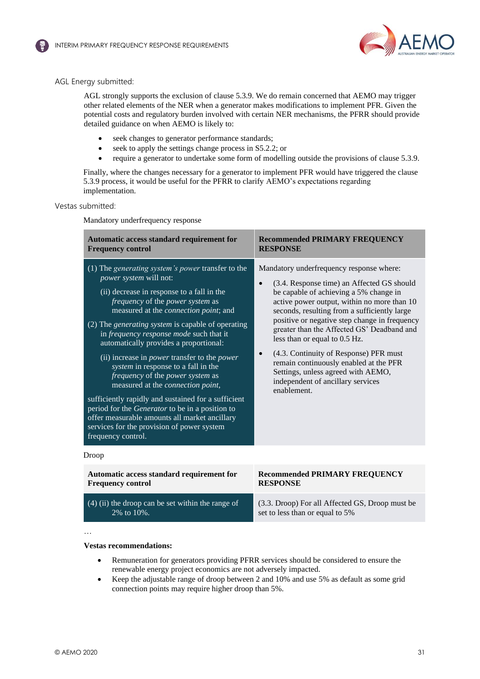



### AGL Energy submitted:

AGL strongly supports the exclusion of clause 5.3.9. We do remain concerned that AEMO may trigger other related elements of the NER when a generator makes modifications to implement PFR. Given the potential costs and regulatory burden involved with certain NER mechanisms, the PFRR should provide detailed guidance on when AEMO is likely to:

- seek changes to generator performance standards;
- seek to apply the settings change process in S5.2.2; or
- require a generator to undertake some form of modelling outside the provisions of clause 5.3.9.

Finally, where the changes necessary for a generator to implement PFR would have triggered the clause 5.3.9 process, it would be useful for the PFRR to clarify AEMO's expectations regarding implementation.

### Vestas submitted:

Mandatory underfrequency response

| Automatic access standard requirement for                                                                                                                                                                                                                                                                                                                                                                                                                                                                                                                                                                                                                                                                                                                                    | <b>Recommended PRIMARY FREQUENCY</b>                                                                                                                                                                                                                                                                                                                                                                                                                                                                                                          |  |
|------------------------------------------------------------------------------------------------------------------------------------------------------------------------------------------------------------------------------------------------------------------------------------------------------------------------------------------------------------------------------------------------------------------------------------------------------------------------------------------------------------------------------------------------------------------------------------------------------------------------------------------------------------------------------------------------------------------------------------------------------------------------------|-----------------------------------------------------------------------------------------------------------------------------------------------------------------------------------------------------------------------------------------------------------------------------------------------------------------------------------------------------------------------------------------------------------------------------------------------------------------------------------------------------------------------------------------------|--|
| <b>Frequency control</b>                                                                                                                                                                                                                                                                                                                                                                                                                                                                                                                                                                                                                                                                                                                                                     | <b>RESPONSE</b>                                                                                                                                                                                                                                                                                                                                                                                                                                                                                                                               |  |
| (1) The generating system's power transfer to the<br>power system will not:<br>(ii) decrease in response to a fall in the<br>frequency of the power system as<br>measured at the <i>connection point</i> ; and<br>(2) The <i>generating system</i> is capable of operating<br>in frequency response mode such that it<br>automatically provides a proportional:<br>(ii) increase in <i>power</i> transfer to the <i>power</i><br>system in response to a fall in the<br>frequency of the power system as<br>measured at the connection point,<br>sufficiently rapidly and sustained for a sufficient<br>period for the Generator to be in a position to<br>offer measurable amounts all market ancillary<br>services for the provision of power system<br>frequency control. | Mandatory underfrequency response where:<br>(3.4. Response time) an Affected GS should<br>be capable of achieving a 5% change in<br>active power output, within no more than 10<br>seconds, resulting from a sufficiently large<br>positive or negative step change in frequency<br>greater than the Affected GS' Deadband and<br>less than or equal to 0.5 Hz.<br>(4.3. Continuity of Response) PFR must<br>remain continuously enabled at the PFR<br>Settings, unless agreed with AEMO,<br>independent of ancillary services<br>enablement. |  |
| Droop                                                                                                                                                                                                                                                                                                                                                                                                                                                                                                                                                                                                                                                                                                                                                                        |                                                                                                                                                                                                                                                                                                                                                                                                                                                                                                                                               |  |
| Automatic access standard requirement for                                                                                                                                                                                                                                                                                                                                                                                                                                                                                                                                                                                                                                                                                                                                    | <b>Recommended PRIMARY FREQUENCY</b>                                                                                                                                                                                                                                                                                                                                                                                                                                                                                                          |  |
| <b>Frequency control</b>                                                                                                                                                                                                                                                                                                                                                                                                                                                                                                                                                                                                                                                                                                                                                     | <b>RESPONSE</b>                                                                                                                                                                                                                                                                                                                                                                                                                                                                                                                               |  |

(4) (ii) the droop can be set within the range of 2% to 10%.

### (3.3. Droop) For all Affected GS, Droop must be set to less than or equal to 5%

…

#### **Vestas recommendations:**

- Remuneration for generators providing PFRR services should be considered to ensure the renewable energy project economics are not adversely impacted.
- Keep the adjustable range of droop between 2 and 10% and use 5% as default as some grid connection points may require higher droop than 5%.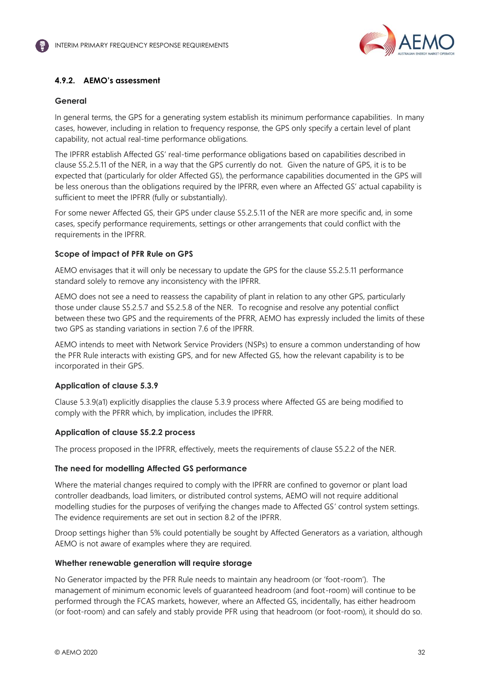

# **4.9.2. AEMO's assessment**

### **General**

In general terms, the GPS for a generating system establish its minimum performance capabilities. In many cases, however, including in relation to frequency response, the GPS only specify a certain level of plant capability, not actual real-time performance obligations.

The IPFRR establish Affected GS' real-time performance obligations based on capabilities described in clause S5.2.5.11 of the NER, in a way that the GPS currently do not. Given the nature of GPS, it is to be expected that (particularly for older Affected GS), the performance capabilities documented in the GPS will be less onerous than the obligations required by the IPFRR, even where an Affected GS' actual capability is sufficient to meet the IPFRR (fully or substantially).

For some newer Affected GS, their GPS under clause S5.2.5.11 of the NER are more specific and, in some cases, specify performance requirements, settings or other arrangements that could conflict with the requirements in the IPFRR.

### **Scope of impact of PFR Rule on GPS**

AEMO envisages that it will only be necessary to update the GPS for the clause S5.2.5.11 performance standard solely to remove any inconsistency with the IPFRR.

AEMO does not see a need to reassess the capability of plant in relation to any other GPS, particularly those under clause S5.2.5.7 and S5.2.5.8 of the NER. To recognise and resolve any potential conflict between these two GPS and the requirements of the PFRR, AEMO has expressly included the limits of these two GPS as standing variations in section 7.6 of the IPFRR.

AEMO intends to meet with Network Service Providers (NSPs) to ensure a common understanding of how the PFR Rule interacts with existing GPS, and for new Affected GS, how the relevant capability is to be incorporated in their GPS.

# **Application of clause 5.3.9**

Clause 5.3.9(a1) explicitly disapplies the clause 5.3.9 process where Affected GS are being modified to comply with the PFRR which, by implication, includes the IPFRR.

# **Application of clause S5.2.2 process**

The process proposed in the IPFRR, effectively, meets the requirements of clause S5.2.2 of the NER.

# **The need for modelling Affected GS performance**

Where the material changes required to comply with the IPFRR are confined to governor or plant load controller deadbands, load limiters, or distributed control systems, AEMO will not require additional modelling studies for the purposes of verifying the changes made to Affected GS' control system settings. The evidence requirements are set out in section 8.2 of the IPFRR.

Droop settings higher than 5% could potentially be sought by Affected Generators as a variation, although AEMO is not aware of examples where they are required.

### **Whether renewable generation will require storage**

No Generator impacted by the PFR Rule needs to maintain any headroom (or 'foot-room'). The management of minimum economic levels of guaranteed headroom (and foot-room) will continue to be performed through the FCAS markets, however, where an Affected GS, incidentally, has either headroom (or foot-room) and can safely and stably provide PFR using that headroom (or foot-room), it should do so.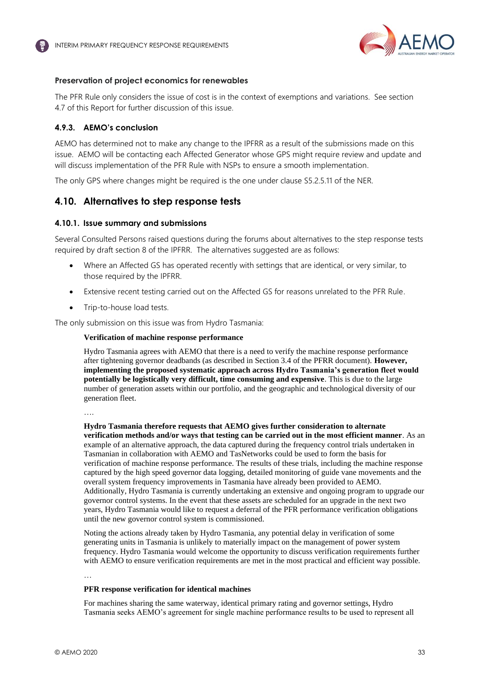

# **Preservation of project economics for renewables**

The PFR Rule only considers the issue of cost is in the context of exemptions and variations. See section 4.7 of this Report for further discussion of this issue.

### **4.9.3. AEMO's conclusion**

AEMO has determined not to make any change to the IPFRR as a result of the submissions made on this issue. AEMO will be contacting each Affected Generator whose GPS might require review and update and will discuss implementation of the PFR Rule with NSPs to ensure a smooth implementation.

The only GPS where changes might be required is the one under clause S5.2.5.11 of the NER.

# <span id="page-32-0"></span>**4.10. Alternatives to step response tests**

### **4.10.1. Issue summary and submissions**

Several Consulted Persons raised questions during the forums about alternatives to the step response tests required by draft section 8 of the IPFRR. The alternatives suggested are as follows:

- Where an Affected GS has operated recently with settings that are identical, or very similar, to those required by the IPFRR.
- Extensive recent testing carried out on the Affected GS for reasons unrelated to the PFR Rule.
- Trip-to-house load tests.

The only submission on this issue was from Hydro Tasmania:

#### **Verification of machine response performance**

Hydro Tasmania agrees with AEMO that there is a need to verify the machine response performance after tightening governor deadbands (as described in Section 3.4 of the PFRR document). **However, implementing the proposed systematic approach across Hydro Tasmania's generation fleet would potentially be logistically very difficult, time consuming and expensive**. This is due to the large number of generation assets within our portfolio, and the geographic and technological diversity of our generation fleet.

….

**Hydro Tasmania therefore requests that AEMO gives further consideration to alternate verification methods and/or ways that testing can be carried out in the most efficient manner**. As an example of an alternative approach, the data captured during the frequency control trials undertaken in Tasmanian in collaboration with AEMO and TasNetworks could be used to form the basis for verification of machine response performance. The results of these trials, including the machine response captured by the high speed governor data logging, detailed monitoring of guide vane movements and the overall system frequency improvements in Tasmania have already been provided to AEMO. Additionally, Hydro Tasmania is currently undertaking an extensive and ongoing program to upgrade our governor control systems. In the event that these assets are scheduled for an upgrade in the next two years, Hydro Tasmania would like to request a deferral of the PFR performance verification obligations until the new governor control system is commissioned.

Noting the actions already taken by Hydro Tasmania, any potential delay in verification of some generating units in Tasmania is unlikely to materially impact on the management of power system frequency. Hydro Tasmania would welcome the opportunity to discuss verification requirements further with AEMO to ensure verification requirements are met in the most practical and efficient way possible.

…

#### **PFR response verification for identical machines**

For machines sharing the same waterway, identical primary rating and governor settings, Hydro Tasmania seeks AEMO's agreement for single machine performance results to be used to represent all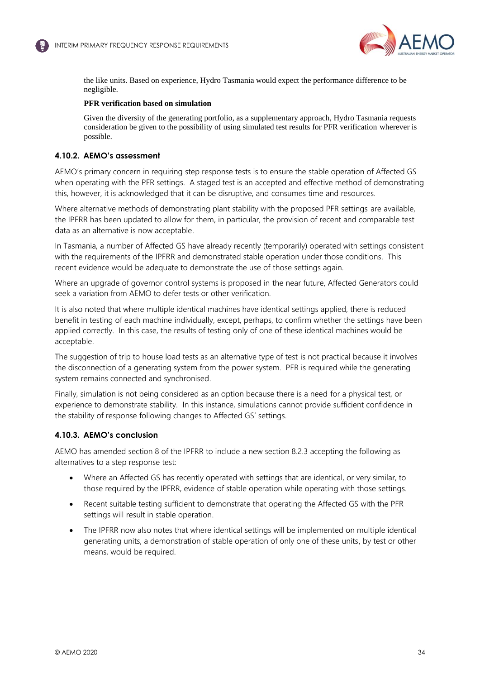

the like units. Based on experience, Hydro Tasmania would expect the performance difference to be negligible.

### **PFR verification based on simulation**

Given the diversity of the generating portfolio, as a supplementary approach, Hydro Tasmania requests consideration be given to the possibility of using simulated test results for PFR verification wherever is possible.

### **4.10.2. AEMO's assessment**

AEMO's primary concern in requiring step response tests is to ensure the stable operation of Affected GS when operating with the PFR settings. A staged test is an accepted and effective method of demonstrating this, however, it is acknowledged that it can be disruptive, and consumes time and resources.

Where alternative methods of demonstrating plant stability with the proposed PFR settings are available, the IPFRR has been updated to allow for them, in particular, the provision of recent and comparable test data as an alternative is now acceptable.

In Tasmania, a number of Affected GS have already recently (temporarily) operated with settings consistent with the requirements of the IPFRR and demonstrated stable operation under those conditions. This recent evidence would be adequate to demonstrate the use of those settings again.

Where an upgrade of governor control systems is proposed in the near future, Affected Generators could seek a variation from AEMO to defer tests or other verification.

It is also noted that where multiple identical machines have identical settings applied, there is reduced benefit in testing of each machine individually, except, perhaps, to confirm whether the settings have been applied correctly. In this case, the results of testing only of one of these identical machines would be acceptable.

The suggestion of trip to house load tests as an alternative type of test is not practical because it involves the disconnection of a generating system from the power system. PFR is required while the generating system remains connected and synchronised.

Finally, simulation is not being considered as an option because there is a need for a physical test, or experience to demonstrate stability. In this instance, simulations cannot provide sufficient confidence in the stability of response following changes to Affected GS' settings.

# **4.10.3. AEMO's conclusion**

AEMO has amended section 8 of the IPFRR to include a new section 8.2.3 accepting the following as alternatives to a step response test:

- Where an Affected GS has recently operated with settings that are identical, or very similar, to those required by the IPFRR, evidence of stable operation while operating with those settings.
- Recent suitable testing sufficient to demonstrate that operating the Affected GS with the PFR settings will result in stable operation.
- The IPFRR now also notes that where identical settings will be implemented on multiple identical generating units, a demonstration of stable operation of only one of these units, by test or other means, would be required.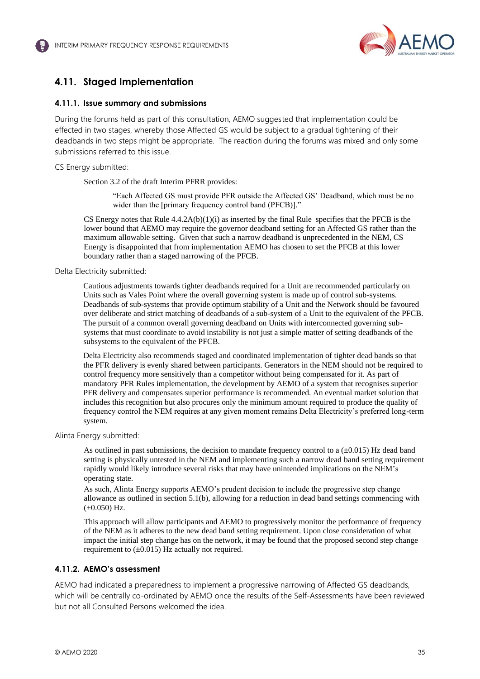

# <span id="page-34-3"></span><span id="page-34-1"></span><span id="page-34-0"></span>**4.11. Staged Implementation**

# **4.11.1. Issue summary and submissions**

During the forums held as part of this consultation, AEMO suggested that implementation could be effected in two stages, whereby those Affected GS would be subject to a gradual tightening of their deadbands in two steps might be appropriate. The reaction during the forums was mixed and only some submissions referred to this issue.

CS Energy submitted:

Section 3.2 of the draft Interim PFRR provides:

"Each Affected GS must provide PFR outside the Affected GS' Deadband, which must be no wider than the [primary frequency control band (PFCB)]."

CS Energy notes that Rule  $4.4.2A(b)(1)(i)$  as inserted by the final Rule specifies that the PFCB is the lower bound that AEMO may require the governor deadband setting for an Affected GS rather than the maximum allowable setting. Given that such a narrow deadband is unprecedented in the NEM, CS Energy is disappointed that from implementation AEMO has chosen to set the PFCB at this lower boundary rather than a staged narrowing of the PFCB.

Delta Electricity submitted:

Cautious adjustments towards tighter deadbands required for a Unit are recommended particularly on Units such as Vales Point where the overall governing system is made up of control sub-systems. Deadbands of sub-systems that provide optimum stability of a Unit and the Network should be favoured over deliberate and strict matching of deadbands of a sub-system of a Unit to the equivalent of the PFCB. The pursuit of a common overall governing deadband on Units with interconnected governing subsystems that must coordinate to avoid instability is not just a simple matter of setting deadbands of the subsystems to the equivalent of the PFCB.

<span id="page-34-2"></span>Delta Electricity also recommends staged and coordinated implementation of tighter dead bands so that the PFR delivery is evenly shared between participants. Generators in the NEM should not be required to control frequency more sensitively than a competitor without being compensated for it. As part of mandatory PFR Rules implementation, the development by AEMO of a system that recognises superior PFR delivery and compensates superior performance is recommended. An eventual market solution that includes this recognition but also procures only the minimum amount required to produce the quality of frequency control the NEM requires at any given moment remains Delta Electricity's preferred long-term system.

Alinta Energy submitted:

As outlined in past submissions, the decision to mandate frequency control to a  $(\pm 0.015)$  Hz dead band setting is physically untested in the NEM and implementing such a narrow dead band setting requirement rapidly would likely introduce several risks that may have unintended implications on the NEM's operating state.

As such, Alinta Energy supports AEMO's prudent decision to include the progressive step change allowance as outlined in section 5.1(b), allowing for a reduction in dead band settings commencing with  $(\pm 0.050)$  Hz.

This approach will allow participants and AEMO to progressively monitor the performance of frequency of the NEM as it adheres to the new dead band setting requirement. Upon close consideration of what impact the initial step change has on the network, it may be found that the proposed second step change requirement to  $(\pm 0.015)$  Hz actually not required.

# **4.11.2. AEMO's assessment**

AEMO had indicated a preparedness to implement a progressive narrowing of Affected GS deadbands, which will be centrally co-ordinated by AEMO once the results of the Self-Assessments have been reviewed but not all Consulted Persons welcomed the idea.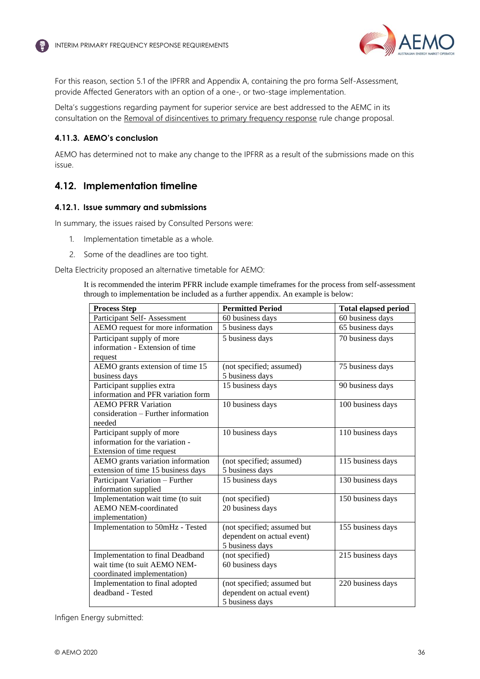

<span id="page-35-2"></span><span id="page-35-1"></span>For this reason, section 5.1 of the IPFRR and Appendix A, containing the pro forma Self-Assessment, provide Affected Generators with an option of a one-, or two-stage implementation.

Delta's suggestions regarding payment for superior service are best addressed to the AEMC in its consultation on the [Removal of disincentives to primary frequency response](https://www.aemc.gov.au/rule-changes/removal-disincentives-primary-frequency-response) rule change proposal.

### **4.11.3. AEMO's conclusion**

AEMO has determined not to make any change to the IPFRR as a result of the submissions made on this issue.

# <span id="page-35-0"></span>**4.12. Implementation timeline**

### **4.12.1. Issue summary and submissions**

In summary, the issues raised by Consulted Persons were:

- 1. Implementation timetable as a whole.
- 2. Some of the deadlines are too tight.

Delta Electricity proposed an alternative timetable for AEMO:

It is recommended the interim PFRR include example timeframes for the process from self-assessment through to implementation be included as a further appendix. An example is below:

| <b>Process Step</b>                 | <b>Permitted Period</b>                          | <b>Total elapsed period</b> |
|-------------------------------------|--------------------------------------------------|-----------------------------|
| Participant Self-Assessment         | 60 business days                                 | 60 business days            |
| AEMO request for more information   | 5 business days                                  | 65 business days            |
| Participant supply of more          | 5 business days                                  | 70 business days            |
| information - Extension of time     |                                                  |                             |
| request                             |                                                  |                             |
| AEMO grants extension of time 15    | (not specified; assumed)                         | 75 business days            |
| business days                       | 5 business days                                  |                             |
| Participant supplies extra          | 15 business days                                 | 90 business days            |
| information and PFR variation form  |                                                  |                             |
| <b>AEMO PFRR Variation</b>          | 10 business days                                 | 100 business days           |
| consideration – Further information |                                                  |                             |
| needed                              |                                                  |                             |
| Participant supply of more          | 10 business days                                 | 110 business days           |
| information for the variation -     |                                                  |                             |
| Extension of time request           |                                                  |                             |
| AEMO grants variation information   | (not specified; assumed)                         | 115 business days           |
| extension of time 15 business days  | 5 business days                                  |                             |
| Participant Variation - Further     | 15 business days                                 | 130 business days           |
| information supplied                |                                                  |                             |
| Implementation wait time (to suit   | (not specified)                                  | 150 business days           |
| <b>AEMO NEM-coordinated</b>         | 20 business days                                 |                             |
| implementation)                     |                                                  |                             |
| Implementation to 50mHz - Tested    | (not specified; assumed but                      | 155 business days           |
|                                     | dependent on actual event)                       |                             |
|                                     | 5 business days                                  |                             |
| Implementation to final Deadband    | (not specified)                                  | 215 business days           |
| wait time (to suit AEMO NEM-        | 60 business days                                 |                             |
| coordinated implementation)         |                                                  |                             |
| Implementation to final adopted     | (not specified; assumed but<br>220 business days |                             |
| deadband - Tested                   | dependent on actual event)                       |                             |
|                                     | 5 business days                                  |                             |

Infigen Energy submitted: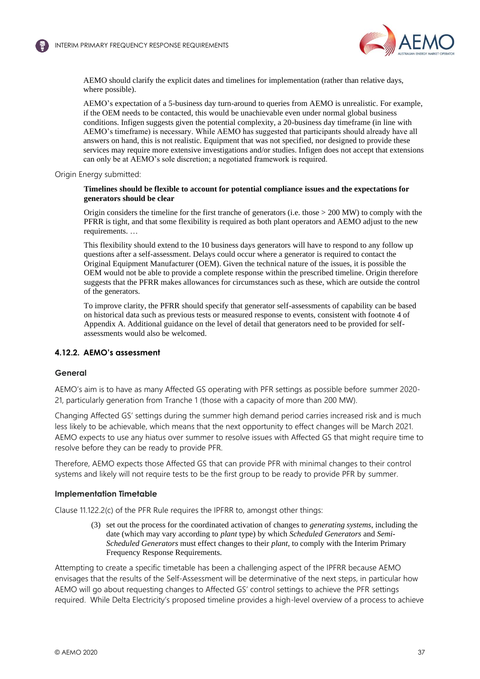

AEMO should clarify the explicit dates and timelines for implementation (rather than relative days, where possible).

AEMO's expectation of a 5-business day turn-around to queries from AEMO is unrealistic. For example, if the OEM needs to be contacted, this would be unachievable even under normal global business conditions. Infigen suggests given the potential complexity, a 20-business day timeframe (in line with AEMO's timeframe) is necessary. While AEMO has suggested that participants should already have all answers on hand, this is not realistic. Equipment that was not specified, nor designed to provide these services may require more extensive investigations and/or studies. Infigen does not accept that extensions can only be at AEMO's sole discretion; a negotiated framework is required.

<span id="page-36-0"></span>Origin Energy submitted:

#### **Timelines should be flexible to account for potential compliance issues and the expectations for generators should be clear**

Origin considers the timeline for the first tranche of generators (i.e. those > 200 MW) to comply with the PFRR is tight, and that some flexibility is required as both plant operators and AEMO adjust to the new requirements. …

This flexibility should extend to the 10 business days generators will have to respond to any follow up questions after a self-assessment. Delays could occur where a generator is required to contact the Original Equipment Manufacturer (OEM). Given the technical nature of the issues, it is possible the OEM would not be able to provide a complete response within the prescribed timeline. Origin therefore suggests that the PFRR makes allowances for circumstances such as these, which are outside the control of the generators.

To improve clarity, the PFRR should specify that generator self-assessments of capability can be based on historical data such as previous tests or measured response to events, consistent with footnote 4 of Appendix A. Additional guidance on the level of detail that generators need to be provided for selfassessments would also be welcomed.

# **4.12.2. AEMO's assessment**

### **General**

AEMO's aim is to have as many Affected GS operating with PFR settings as possible before summer 2020- 21, particularly generation from Tranche 1 (those with a capacity of more than 200 MW).

Changing Affected GS' settings during the summer high demand period carries increased risk and is much less likely to be achievable, which means that the next opportunity to effect changes will be March 2021. AEMO expects to use any hiatus over summer to resolve issues with Affected GS that might require time to resolve before they can be ready to provide PFR.

Therefore, AEMO expects those Affected GS that can provide PFR with minimal changes to their control systems and likely will not require tests to be the first group to be ready to provide PFR by summer.

### **Implementation Timetable**

Clause 11.122.2(c) of the PFR Rule requires the IPFRR to, amongst other things:

(3) set out the process for the coordinated activation of changes to *generating systems*, including the date (which may vary according to *plant* type) by which *Scheduled Generators* and *Semi-Scheduled Generators* must effect changes to their *plant*, to comply with the Interim Primary Frequency Response Requirements.

Attempting to create a specific timetable has been a challenging aspect of the IPFRR because AEMO envisages that the results of the Self-Assessment will be determinative of the next steps, in particular how AEMO will go about requesting changes to Affected GS' control settings to achieve the PFR settings required. While Delta Electricity's proposed timeline provides a high-level overview of a process to achieve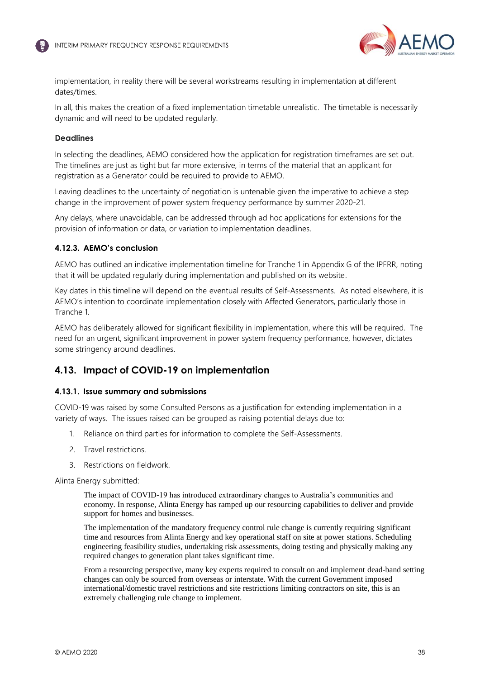<span id="page-37-1"></span>



implementation, in reality there will be several workstreams resulting in implementation at different dates/times.

In all, this makes the creation of a fixed implementation timetable unrealistic. The timetable is necessarily dynamic and will need to be updated regularly.

### **Deadlines**

In selecting the deadlines, AEMO considered how the application for registration timeframes are set out. The timelines are just as tight but far more extensive, in terms of the material that an applicant for registration as a Generator could be required to provide to AEMO.

Leaving deadlines to the uncertainty of negotiation is untenable given the imperative to achieve a step change in the improvement of power system frequency performance by summer 2020-21.

Any delays, where unavoidable, can be addressed through ad hoc applications for extensions for the provision of information or data, or variation to implementation deadlines.

### **4.12.3. AEMO's conclusion**

AEMO has outlined an indicative implementation timeline for Tranche 1 in Appendix G of the IPFRR, noting that it will be updated regularly during implementation and published on its website.

Key dates in this timeline will depend on the eventual results of Self-Assessments. As noted elsewhere, it is AEMO's intention to coordinate implementation closely with Affected Generators, particularly those in Tranche 1.

AEMO has deliberately allowed for significant flexibility in implementation, where this will be required. The need for an urgent, significant improvement in power system frequency performance, however, dictates some stringency around deadlines.

# <span id="page-37-0"></span>**4.13. Impact of COVID-19 on implementation**

# **4.13.1. Issue summary and submissions**

COVID-19 was raised by some Consulted Persons as a justification for extending implementation in a variety of ways. The issues raised can be grouped as raising potential delays due to:

- 1. Reliance on third parties for information to complete the Self-Assessments.
- 2. Travel restrictions.
- 3. Restrictions on fieldwork.

Alinta Energy submitted:

The impact of COVID-19 has introduced extraordinary changes to Australia's communities and economy. In response, Alinta Energy has ramped up our resourcing capabilities to deliver and provide support for homes and businesses.

The implementation of the mandatory frequency control rule change is currently requiring significant time and resources from Alinta Energy and key operational staff on site at power stations. Scheduling engineering feasibility studies, undertaking risk assessments, doing testing and physically making any required changes to generation plant takes significant time.

From a resourcing perspective, many key experts required to consult on and implement dead-band setting changes can only be sourced from overseas or interstate. With the current Government imposed international/domestic travel restrictions and site restrictions limiting contractors on site, this is an extremely challenging rule change to implement.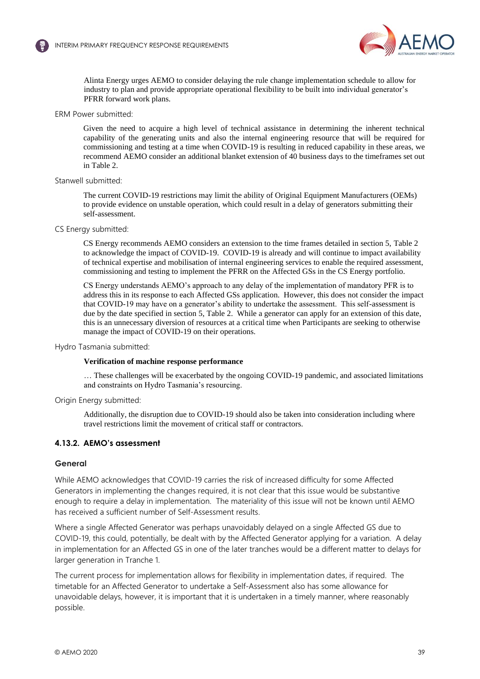

Alinta Energy urges AEMO to consider delaying the rule change implementation schedule to allow for industry to plan and provide appropriate operational flexibility to be built into individual generator's PFRR forward work plans.

#### ERM Power submitted:

Given the need to acquire a high level of technical assistance in determining the inherent technical capability of the generating units and also the internal engineering resource that will be required for commissioning and testing at a time when COVID-19 is resulting in reduced capability in these areas, we recommend AEMO consider an additional blanket extension of 40 business days to the timeframes set out in Table 2.

#### Stanwell submitted:

The current COVID-19 restrictions may limit the ability of Original Equipment Manufacturers (OEMs) to provide evidence on unstable operation, which could result in a delay of generators submitting their self-assessment.

### CS Energy submitted:

CS Energy recommends AEMO considers an extension to the time frames detailed in section 5, Table 2 to acknowledge the impact of COVID-19. COVID-19 is already and will continue to impact availability of technical expertise and mobilisation of internal engineering services to enable the required assessment, commissioning and testing to implement the PFRR on the Affected GSs in the CS Energy portfolio.

CS Energy understands AEMO's approach to any delay of the implementation of mandatory PFR is to address this in its response to each Affected GSs application. However, this does not consider the impact that COVID-19 may have on a generator's ability to undertake the assessment. This self-assessment is due by the date specified in section 5, Table 2. While a generator can apply for an extension of this date, this is an unnecessary diversion of resources at a critical time when Participants are seeking to otherwise manage the impact of COVID-19 on their operations.

### Hydro Tasmania submitted:

### **Verification of machine response performance**

… These challenges will be exacerbated by the ongoing COVID-19 pandemic, and associated limitations and constraints on Hydro Tasmania's resourcing.

Origin Energy submitted:

Additionally, the disruption due to COVID-19 should also be taken into consideration including where travel restrictions limit the movement of critical staff or contractors.

### **4.13.2. AEMO's assessment**

### **General**

While AEMO acknowledges that COVID-19 carries the risk of increased difficulty for some Affected Generators in implementing the changes required, it is not clear that this issue would be substantive enough to require a delay in implementation. The materiality of this issue will not be known until AEMO has received a sufficient number of Self-Assessment results.

Where a single Affected Generator was perhaps unavoidably delayed on a single Affected GS due to COVID-19, this could, potentially, be dealt with by the Affected Generator applying for a variation. A delay in implementation for an Affected GS in one of the later tranches would be a different matter to delays for larger generation in Tranche 1.

The current process for implementation allows for flexibility in implementation dates, if required. The timetable for an Affected Generator to undertake a Self-Assessment also has some allowance for unavoidable delays, however, it is important that it is undertaken in a timely manner, where reasonably possible.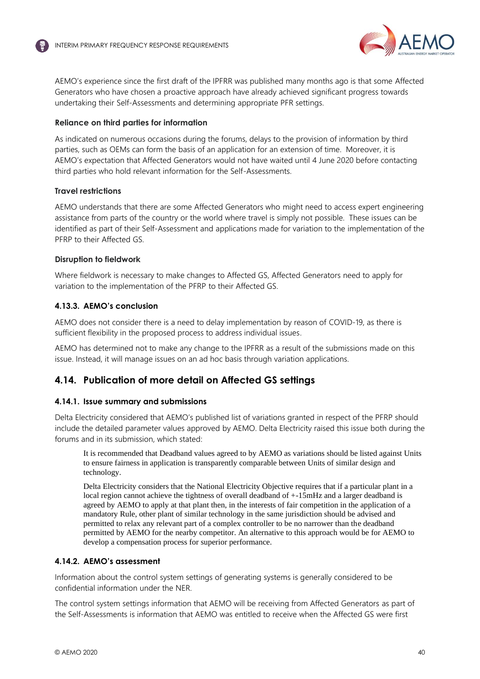

AEMO's experience since the first draft of the IPFRR was published many months ago is that some Affected Generators who have chosen a proactive approach have already achieved significant progress towards undertaking their Self-Assessments and determining appropriate PFR settings.

# **Reliance on third parties for information**

As indicated on numerous occasions during the forums, delays to the provision of information by third parties, such as OEMs can form the basis of an application for an extension of time. Moreover, it is AEMO's expectation that Affected Generators would not have waited until 4 June 2020 before contacting third parties who hold relevant information for the Self-Assessments.

# <span id="page-39-1"></span>**Travel restrictions**

AEMO understands that there are some Affected Generators who might need to access expert engineering assistance from parts of the country or the world where travel is simply not possible. These issues can be identified as part of their Self-Assessment and applications made for variation to the implementation of the PFRP to their Affected GS.

# **Disruption to fieldwork**

Where fieldwork is necessary to make changes to Affected GS, Affected Generators need to apply for variation to the implementation of the PFRP to their Affected GS.

# **4.13.3. AEMO's conclusion**

AEMO does not consider there is a need to delay implementation by reason of COVID-19, as there is sufficient flexibility in the proposed process to address individual issues.

<span id="page-39-2"></span>AEMO has determined not to make any change to the IPFRR as a result of the submissions made on this issue. Instead, it will manage issues on an ad hoc basis through variation applications.

# <span id="page-39-0"></span>**4.14. Publication of more detail on Affected GS settings**

# **4.14.1. Issue summary and submissions**

Delta Electricity considered that AEMO's published list of variations granted in respect of the PFRP should include the detailed parameter values approved by AEMO. Delta Electricity raised this issue both during the forums and in its submission, which stated:

It is recommended that Deadband values agreed to by AEMO as variations should be listed against Units to ensure fairness in application is transparently comparable between Units of similar design and technology.

Delta Electricity considers that the National Electricity Objective requires that if a particular plant in a local region cannot achieve the tightness of overall deadband of  $+15mHz$  and a larger deadband is agreed by AEMO to apply at that plant then, in the interests of fair competition in the application of a mandatory Rule, other plant of similar technology in the same jurisdiction should be advised and permitted to relax any relevant part of a complex controller to be no narrower than the deadband permitted by AEMO for the nearby competitor. An alternative to this approach would be for AEMO to develop a compensation process for superior performance.

# **4.14.2. AEMO's assessment**

Information about the control system settings of generating systems is generally considered to be confidential information under the NER.

The control system settings information that AEMO will be receiving from Affected Generators as part of the Self-Assessments is information that AEMO was entitled to receive when the Affected GS were first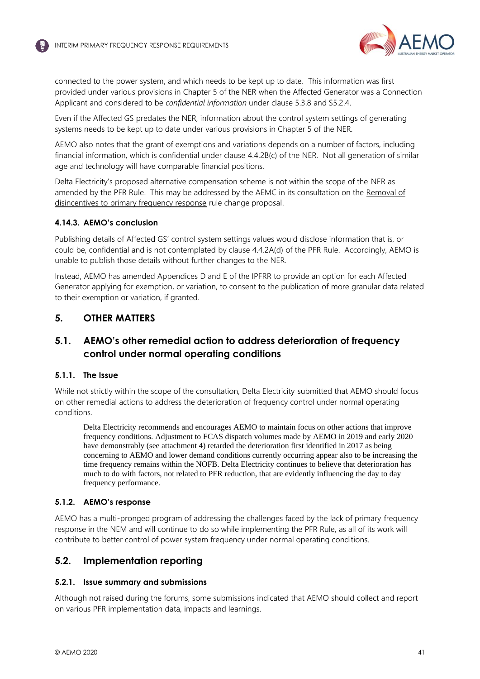

<span id="page-40-3"></span>connected to the power system, and which needs to be kept up to date. This information was first provided under various provisions in Chapter 5 of the NER when the Affected Generator was a Connection Applicant and considered to be *confidential information* under clause 5.3.8 and S5.2.4.

Even if the Affected GS predates the NER, information about the control system settings of generating systems needs to be kept up to date under various provisions in Chapter 5 of the NER.

AEMO also notes that the grant of exemptions and variations depends on a number of factors, including financial information, which is confidential under clause 4.4.2B(c) of the NER. Not all generation of similar age and technology will have comparable financial positions.

Delta Electricity's proposed alternative compensation scheme is not within the scope of the NER as amended by the PFR Rule. This may be addressed by the AEMC in its consultation on the [Removal of](https://www.aemc.gov.au/rule-changes/removal-disincentives-primary-frequency-response)  [disincentives to primary frequency response](https://www.aemc.gov.au/rule-changes/removal-disincentives-primary-frequency-response) rule change proposal.

# **4.14.3. AEMO's conclusion**

Publishing details of Affected GS' control system settings values would disclose information that is, or could be, confidential and is not contemplated by clause 4.4.2A(d) of the PFR Rule. Accordingly, AEMO is unable to publish those details without further changes to the NER.

Instead, AEMO has amended Appendices D and E of the IPFRR to provide an option for each Affected Generator applying for exemption, or variation, to consent to the publication of more granular data related to their exemption or variation, if granted.

# <span id="page-40-0"></span>**5. OTHER MATTERS**

# <span id="page-40-1"></span>**5.1. AEMO's other remedial action to address deterioration of frequency control under normal operating conditions**

# **5.1.1. The Issue**

While not strictly within the scope of the consultation, Delta Electricity submitted that AEMO should focus on other remedial actions to address the deterioration of frequency control under normal operating conditions.

Delta Electricity recommends and encourages AEMO to maintain focus on other actions that improve frequency conditions. Adjustment to FCAS dispatch volumes made by AEMO in 2019 and early 2020 have demonstrably (see attachment 4) retarded the deterioration first identified in 2017 as being concerning to AEMO and lower demand conditions currently occurring appear also to be increasing the time frequency remains within the NOFB. Delta Electricity continues to believe that deterioration has much to do with factors, not related to PFR reduction, that are evidently influencing the day to day frequency performance.

# **5.1.2. AEMO's response**

AEMO has a multi-pronged program of addressing the challenges faced by the lack of primary frequency response in the NEM and will continue to do so while implementing the PFR Rule, as all of its work will contribute to better control of power system frequency under normal operating conditions.

# <span id="page-40-2"></span>**5.2. Implementation reporting**

# **5.2.1. Issue summary and submissions**

Although not raised during the forums, some submissions indicated that AEMO should collect and report on various PFR implementation data, impacts and learnings.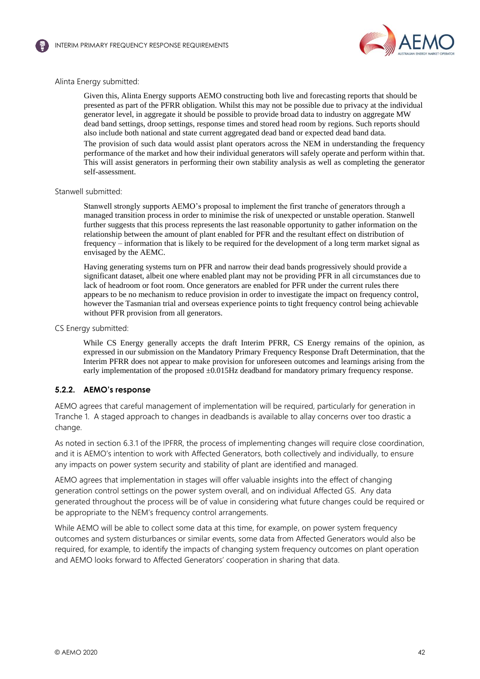



### Alinta Energy submitted:

Given this, Alinta Energy supports AEMO constructing both live and forecasting reports that should be presented as part of the PFRR obligation. Whilst this may not be possible due to privacy at the individual generator level, in aggregate it should be possible to provide broad data to industry on aggregate MW dead band settings, droop settings, response times and stored head room by regions. Such reports should also include both national and state current aggregated dead band or expected dead band data. The provision of such data would assist plant operators across the NEM in understanding the frequency performance of the market and how their individual generators will safely operate and perform within that. This will assist generators in performing their own stability analysis as well as completing the generator self-assessment.

#### Stanwell submitted:

Stanwell strongly supports AEMO's proposal to implement the first tranche of generators through a managed transition process in order to minimise the risk of unexpected or unstable operation. Stanwell further suggests that this process represents the last reasonable opportunity to gather information on the relationship between the amount of plant enabled for PFR and the resultant effect on distribution of frequency – information that is likely to be required for the development of a long term market signal as envisaged by the AEMC.

Having generating systems turn on PFR and narrow their dead bands progressively should provide a significant dataset, albeit one where enabled plant may not be providing PFR in all circumstances due to lack of headroom or foot room. Once generators are enabled for PFR under the current rules there appears to be no mechanism to reduce provision in order to investigate the impact on frequency control, however the Tasmanian trial and overseas experience points to tight frequency control being achievable without PFR provision from all generators.

CS Energy submitted:

While CS Energy generally accepts the draft Interim PFRR, CS Energy remains of the opinion, as expressed in our submission on the Mandatory Primary Frequency Response Draft Determination, that the Interim PFRR does not appear to make provision for unforeseen outcomes and learnings arising from the early implementation of the proposed  $\pm 0.015$  Hz deadband for mandatory primary frequency response.

### **5.2.2. AEMO's response**

AEMO agrees that careful management of implementation will be required, particularly for generation in Tranche 1. A staged approach to changes in deadbands is available to allay concerns over too drastic a change.

As noted in section 6.3.1 of the IPFRR, the process of implementing changes will require close coordination, and it is AEMO's intention to work with Affected Generators, both collectively and individually, to ensure any impacts on power system security and stability of plant are identified and managed.

AEMO agrees that implementation in stages will offer valuable insights into the effect of changing generation control settings on the power system overall, and on individual Affected GS. Any data generated throughout the process will be of value in considering what future changes could be required or be appropriate to the NEM's frequency control arrangements.

While AEMO will be able to collect some data at this time, for example, on power system frequency outcomes and system disturbances or similar events, some data from Affected Generators would also be required, for example, to identify the impacts of changing system frequency outcomes on plant operation and AEMO looks forward to Affected Generators' cooperation in sharing that data.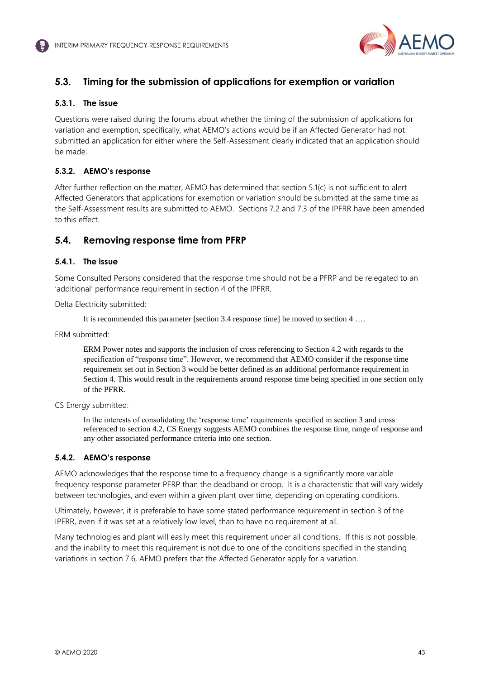

# <span id="page-42-2"></span><span id="page-42-0"></span>**5.3. Timing for the submission of applications for exemption or variation**

# **5.3.1. The issue**

Questions were raised during the forums about whether the timing of the submission of applications for variation and exemption, specifically, what AEMO's actions would be if an Affected Generator had not submitted an application for either where the Self-Assessment clearly indicated that an application should be made.

# **5.3.2. AEMO's response**

After further reflection on the matter, AEMO has determined that section 5.1(c) is not sufficient to alert Affected Generators that applications for exemption or variation should be submitted at the same time as the Self-Assessment results are submitted to AEMO. Sections 7.2 and 7.3 of the IPFRR have been amended to this effect.

# <span id="page-42-1"></span>**5.4. Removing response time from PFRP**

# <span id="page-42-3"></span>**5.4.1. The issue**

Some Consulted Persons considered that the response time should not be a PFRP and be relegated to an 'additional' performance requirement in section 4 of the IPFRR.

Delta Electricity submitted:

It is recommended this parameter [section 3.4 response time] be moved to section 4 ….

ERM submitted:

ERM Power notes and supports the inclusion of cross referencing to Section 4.2 with regards to the specification of "response time". However, we recommend that AEMO consider if the response time requirement set out in Section 3 would be better defined as an additional performance requirement in Section 4. This would result in the requirements around response time being specified in one section only of the PFRR.

CS Energy submitted:

In the interests of consolidating the 'response time' requirements specified in section 3 and cross referenced to section 4.2, CS Energy suggests AEMO combines the response time, range of response and any other associated performance criteria into one section.

# **5.4.2. AEMO's response**

AEMO acknowledges that the response time to a frequency change is a significantly more variable frequency response parameter PFRP than the deadband or droop. It is a characteristic that will vary widely between technologies, and even within a given plant over time, depending on operating conditions.

Ultimately, however, it is preferable to have some stated performance requirement in section 3 of the IPFRR, even if it was set at a relatively low level, than to have no requirement at all.

Many technologies and plant will easily meet this requirement under all conditions. If this is not possible, and the inability to meet this requirement is not due to one of the conditions specified in the standing variations in section 7.6, AEMO prefers that the Affected Generator apply for a variation.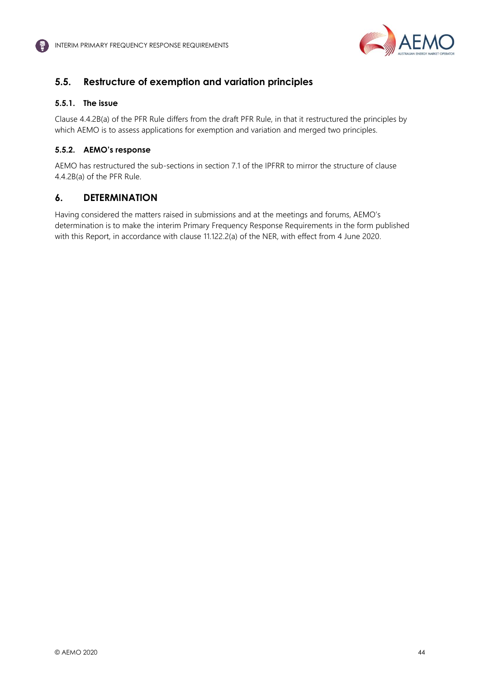

# <span id="page-43-0"></span>**5.5. Restructure of exemption and variation principles**

# **5.5.1. The issue**

Clause 4.4.2B(a) of the PFR Rule differs from the draft PFR Rule, in that it restructured the principles by which AEMO is to assess applications for exemption and variation and merged two principles.

# **5.5.2. AEMO's response**

AEMO has restructured the sub-sections in section 7.1 of the IPFRR to mirror the structure of clause 4.4.2B(a) of the PFR Rule.

# <span id="page-43-1"></span>**6. DETERMINATION**

Having considered the matters raised in submissions and at the meetings and forums, AEMO's determination is to make the interim Primary Frequency Response Requirements in the form published with this Report, in accordance with clause 11.122.2(a) of the NER, with effect from 4 June 2020.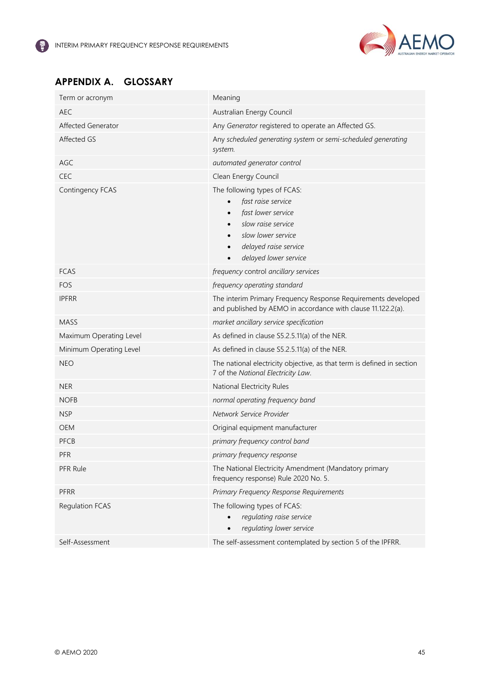

# <span id="page-44-0"></span>**APPENDIX A. GLOSSARY**

| Term or acronym         | Meaning                                                                                                                                                                                          |
|-------------------------|--------------------------------------------------------------------------------------------------------------------------------------------------------------------------------------------------|
| <b>AEC</b>              | Australian Energy Council                                                                                                                                                                        |
| Affected Generator      | Any Generator registered to operate an Affected GS.                                                                                                                                              |
| Affected GS             | Any scheduled generating system or semi-scheduled generating<br>system.                                                                                                                          |
| AGC                     | automated generator control                                                                                                                                                                      |
| <b>CEC</b>              | Clean Energy Council                                                                                                                                                                             |
| Contingency FCAS        | The following types of FCAS:<br>fast raise service<br>fast lower service<br>slow raise service<br>$\bullet$<br>slow lower service<br>$\bullet$<br>delayed raise service<br>delayed lower service |
| <b>FCAS</b>             | frequency control ancillary services                                                                                                                                                             |
| FOS                     | frequency operating standard                                                                                                                                                                     |
| <b>IPFRR</b>            | The interim Primary Frequency Response Requirements developed<br>and published by AEMO in accordance with clause 11.122.2(a).                                                                    |
| <b>MASS</b>             | market ancillary service specification                                                                                                                                                           |
| Maximum Operating Level | As defined in clause S5.2.5.11(a) of the NER.                                                                                                                                                    |
| Minimum Operating Level | As defined in clause S5.2.5.11(a) of the NER.                                                                                                                                                    |
| <b>NEO</b>              | The national electricity objective, as that term is defined in section<br>7 of the National Electricity Law.                                                                                     |
| <b>NER</b>              | National Electricity Rules                                                                                                                                                                       |
| <b>NOFB</b>             | normal operating frequency band                                                                                                                                                                  |
| <b>NSP</b>              | Network Service Provider                                                                                                                                                                         |
| <b>OEM</b>              | Original equipment manufacturer                                                                                                                                                                  |
| PFCB                    | primary frequency control band                                                                                                                                                                   |
| PFR                     | primary frequency response                                                                                                                                                                       |
| PFR Rule                | The National Electricity Amendment (Mandatory primary<br>frequency response) Rule 2020 No. 5.                                                                                                    |
| PFRR                    | Primary Frequency Response Requirements                                                                                                                                                          |
| <b>Regulation FCAS</b>  | The following types of FCAS:<br>regulating raise service<br>regulating lower service                                                                                                             |
| Self-Assessment         | The self-assessment contemplated by section 5 of the IPFRR.                                                                                                                                      |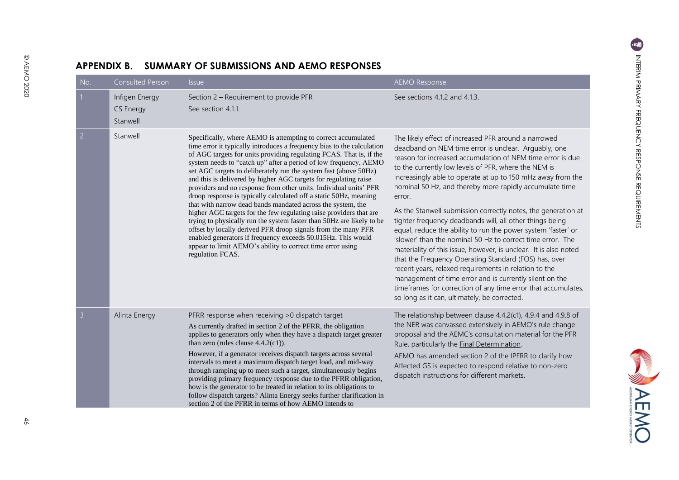WAEMO

<span id="page-45-0"></span>

| No.            | <b>Consulted Person</b>                        | <i><b>Issue</b></i>                                                                                                                                                                                                                                                                                                                                                                                                                                                                                                                                                                                                                                                                                                                                                                                                                                                                                                                                                                                   | <b>AEMO Response</b>                                                                                                                                                                                                                                                                                                                                                                                                                                                                                                                                                                                                                                                                                                                                                                                                                                                                                                                                                                                 |
|----------------|------------------------------------------------|-------------------------------------------------------------------------------------------------------------------------------------------------------------------------------------------------------------------------------------------------------------------------------------------------------------------------------------------------------------------------------------------------------------------------------------------------------------------------------------------------------------------------------------------------------------------------------------------------------------------------------------------------------------------------------------------------------------------------------------------------------------------------------------------------------------------------------------------------------------------------------------------------------------------------------------------------------------------------------------------------------|------------------------------------------------------------------------------------------------------------------------------------------------------------------------------------------------------------------------------------------------------------------------------------------------------------------------------------------------------------------------------------------------------------------------------------------------------------------------------------------------------------------------------------------------------------------------------------------------------------------------------------------------------------------------------------------------------------------------------------------------------------------------------------------------------------------------------------------------------------------------------------------------------------------------------------------------------------------------------------------------------|
|                | Infigen Energy<br><b>CS Energy</b><br>Stanwell | Section 2 - Requirement to provide PFR<br>See section 4.1.1.                                                                                                                                                                                                                                                                                                                                                                                                                                                                                                                                                                                                                                                                                                                                                                                                                                                                                                                                          | See sections 4.1.2 and 4.1.3.                                                                                                                                                                                                                                                                                                                                                                                                                                                                                                                                                                                                                                                                                                                                                                                                                                                                                                                                                                        |
| $\overline{2}$ | Stanwell                                       | Specifically, where AEMO is attempting to correct accumulated<br>time error it typically introduces a frequency bias to the calculation<br>of AGC targets for units providing regulating FCAS. That is, if the<br>system needs to "catch up" after a period of low frequency, AEMO<br>set AGC targets to deliberately run the system fast (above 50Hz)<br>and this is delivered by higher AGC targets for regulating raise<br>providers and no response from other units. Individual units' PFR<br>droop response is typically calculated off a static 50Hz, meaning<br>that with narrow dead bands mandated across the system, the<br>higher AGC targets for the few regulating raise providers that are<br>trying to physically run the system faster than 50Hz are likely to be<br>offset by locally derived PFR droop signals from the many PFR<br>enabled generators if frequency exceeds 50.015Hz. This would<br>appear to limit AEMO's ability to correct time error using<br>regulation FCAS. | The likely effect of increased PFR around a narrowed<br>deadband on NEM time error is unclear. Arguably, one<br>reason for increased accumulation of NEM time error is due<br>to the currently low levels of PFR, where the NEM is<br>increasingly able to operate at up to 150 mHz away from the<br>nominal 50 Hz, and thereby more rapidly accumulate time<br>error.<br>As the Stanwell submission correctly notes, the generation at<br>tighter frequency deadbands will, all other things being<br>equal, reduce the ability to run the power system 'faster' or<br>'slower' than the nominal 50 Hz to correct time error. The<br>materiality of this issue, however, is unclear. It is also noted<br>that the Frequency Operating Standard (FOS) has, over<br>recent years, relaxed requirements in relation to the<br>management of time error and is currently silent on the<br>timeframes for correction of any time error that accumulates,<br>so long as it can, ultimately, be corrected. |
| 3              | Alinta Energy                                  | PFRR response when receiving >0 dispatch target<br>As currently drafted in section 2 of the PFRR, the obligation<br>applies to generators only when they have a dispatch target greater<br>than zero (rules clause $4.4.2(c1)$ ).<br>However, if a generator receives dispatch targets across several<br>intervals to meet a maximum dispatch target load, and mid-way<br>through ramping up to meet such a target, simultaneously begins<br>providing primary frequency response due to the PFRR obligation,<br>how is the generator to be treated in relation to its obligations to<br>follow dispatch targets? Alinta Energy seeks further clarification in<br>section 2 of the PFRR in terms of how AEMO intends to                                                                                                                                                                                                                                                                               | The relationship between clause 4.4.2(c1), 4.9.4 and 4.9.8 of<br>the NER was canvassed extensively in AEMO's rule change<br>proposal and the AEMC's consultation material for the PFR<br>Rule, particularly the Final Determination.<br>AEMO has amended section 2 of the IPFRR to clarify how<br>Affected GS is expected to respond relative to non-zero<br>dispatch instructions for different markets.                                                                                                                                                                                                                                                                                                                                                                                                                                                                                                                                                                                            |

# **APPENDIX B. SUMMARY OF SUBMISSIONS AND AEMO RESPONSES**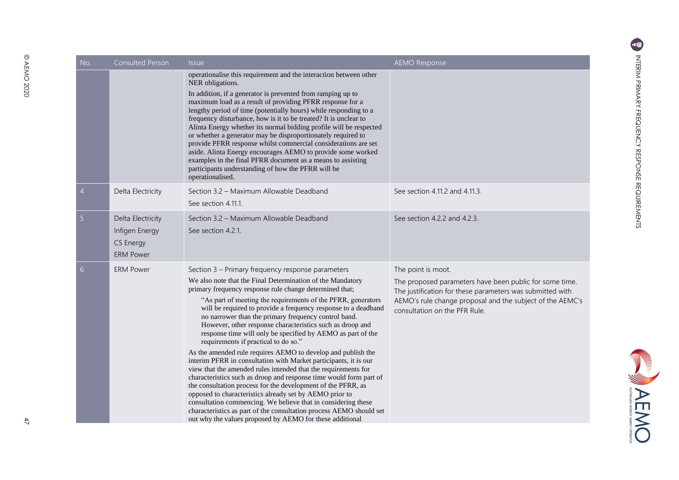| No.            | Consulted Person                                                            | <i>Issue</i>                                                                                                                                                                                                                                                                                                                                                                                                                                                                                                                                                                                                                                                                                                                                                                                                                                                                                                                                                                                                                                                                            | <b>AEMO Response</b>                                                                                                                                                                                                                     |
|----------------|-----------------------------------------------------------------------------|-----------------------------------------------------------------------------------------------------------------------------------------------------------------------------------------------------------------------------------------------------------------------------------------------------------------------------------------------------------------------------------------------------------------------------------------------------------------------------------------------------------------------------------------------------------------------------------------------------------------------------------------------------------------------------------------------------------------------------------------------------------------------------------------------------------------------------------------------------------------------------------------------------------------------------------------------------------------------------------------------------------------------------------------------------------------------------------------|------------------------------------------------------------------------------------------------------------------------------------------------------------------------------------------------------------------------------------------|
|                |                                                                             | operationalise this requirement and the interaction between other<br>NER obligations.<br>In addition, if a generator is prevented from ramping up to<br>maximum load as a result of providing PFRR response for a<br>lengthy period of time (potentially hours) while responding to a<br>frequency disturbance, how is it to be treated? It is unclear to<br>Alinta Energy whether its normal bidding profile will be respected<br>or whether a generator may be disproportionately required to<br>provide PFRR response whilst commercial considerations are set<br>aside. Alinta Energy encourages AEMO to provide some worked<br>examples in the final PFRR document as a means to assisting<br>participants understanding of how the PFRR will be<br>operationalised.                                                                                                                                                                                                                                                                                                               |                                                                                                                                                                                                                                          |
| 4              | Delta Electricity                                                           | Section 3.2 - Maximum Allowable Deadband<br>See section 4.11.1.                                                                                                                                                                                                                                                                                                                                                                                                                                                                                                                                                                                                                                                                                                                                                                                                                                                                                                                                                                                                                         | See section 4.11.2 and 4.11.3.                                                                                                                                                                                                           |
| 5              | Delta Electricity<br>Infigen Energy<br><b>CS Energy</b><br><b>ERM Power</b> | Section 3.2 - Maximum Allowable Deadband<br>See section 4.2.1.                                                                                                                                                                                                                                                                                                                                                                                                                                                                                                                                                                                                                                                                                                                                                                                                                                                                                                                                                                                                                          | See section 4.2.2 and 4.2.3.                                                                                                                                                                                                             |
| 6 <sup>1</sup> | <b>ERM Power</b>                                                            | Section 3 - Primary frequency response parameters<br>We also note that the Final Determination of the Mandatory<br>primary frequency response rule change determined that;<br>"As part of meeting the requirements of the PFRR, generators<br>will be required to provide a frequency response to a deadband<br>no narrower than the primary frequency control band.<br>However, other response characteristics such as droop and<br>response time will only be specified by AEMO as part of the<br>requirements if practical to do so."<br>As the amended rule requires AEMO to develop and publish the<br>interim PFRR in consultation with Market participants, it is our<br>view that the amended rules intended that the requirements for<br>characteristics such as droop and response time would form part of<br>the consultation process for the development of the PFRR, as<br>opposed to characteristics already set by AEMO prior to<br>consultation commencing. We believe that in considering these<br>characteristics as part of the consultation process AEMO should set | The point is moot.<br>The proposed parameters have been public for some time.<br>The justification for these parameters was submitted with<br>AEMO's rule change proposal and the subject of the AEMC's<br>consultation on the PFR Rule. |

out why the values proposed by AEMO for these additional

4 Delta

5 Delta

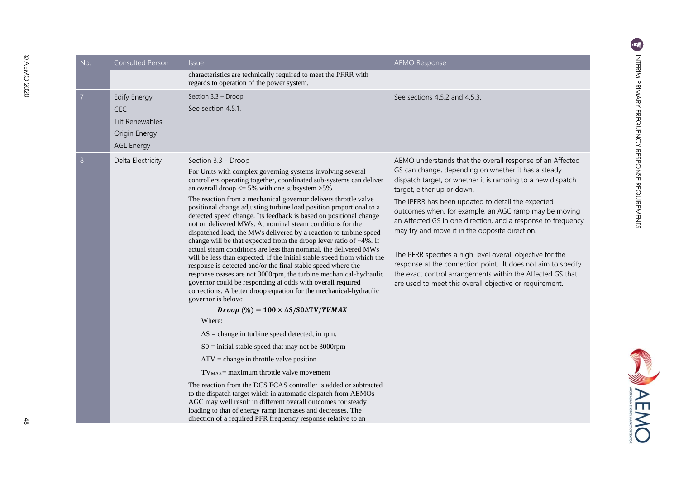NEWC

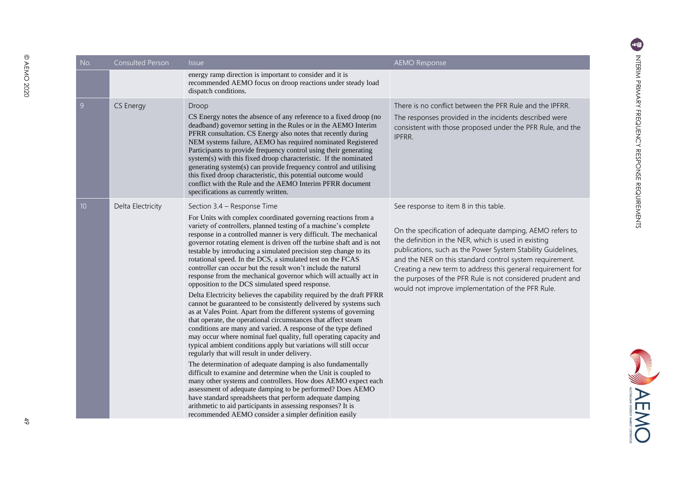**SALEMO** 

| No.             | <b>Consulted Person</b> | <b>Issue</b>                                                                                                                                                                                                                                                                                                                                                                                                                                                                                                                                                                                                                                                                                                                                                                                                                                                                                                                                                                                                                                                                                                                                                                                                                                                                                                                                                                                                                                                                                                                                                                                                                             | <b>AEMO Response</b>                                                                                                                                                                                                                                                                                                                                                                                                                                                    |
|-----------------|-------------------------|------------------------------------------------------------------------------------------------------------------------------------------------------------------------------------------------------------------------------------------------------------------------------------------------------------------------------------------------------------------------------------------------------------------------------------------------------------------------------------------------------------------------------------------------------------------------------------------------------------------------------------------------------------------------------------------------------------------------------------------------------------------------------------------------------------------------------------------------------------------------------------------------------------------------------------------------------------------------------------------------------------------------------------------------------------------------------------------------------------------------------------------------------------------------------------------------------------------------------------------------------------------------------------------------------------------------------------------------------------------------------------------------------------------------------------------------------------------------------------------------------------------------------------------------------------------------------------------------------------------------------------------|-------------------------------------------------------------------------------------------------------------------------------------------------------------------------------------------------------------------------------------------------------------------------------------------------------------------------------------------------------------------------------------------------------------------------------------------------------------------------|
|                 |                         | energy ramp direction is important to consider and it is<br>recommended AEMO focus on droop reactions under steady load<br>dispatch conditions.                                                                                                                                                                                                                                                                                                                                                                                                                                                                                                                                                                                                                                                                                                                                                                                                                                                                                                                                                                                                                                                                                                                                                                                                                                                                                                                                                                                                                                                                                          |                                                                                                                                                                                                                                                                                                                                                                                                                                                                         |
| 9               | CS Energy               | Droop<br>CS Energy notes the absence of any reference to a fixed droop (no<br>deadband) governor setting in the Rules or in the AEMO Interim<br>PFRR consultation. CS Energy also notes that recently during<br>NEM systems failure, AEMO has required nominated Registered<br>Participants to provide frequency control using their generating<br>system(s) with this fixed droop characteristic. If the nominated<br>generating system(s) can provide frequency control and utilising<br>this fixed droop characteristic, this potential outcome would<br>conflict with the Rule and the AEMO Interim PFRR document<br>specifications as currently written.                                                                                                                                                                                                                                                                                                                                                                                                                                                                                                                                                                                                                                                                                                                                                                                                                                                                                                                                                                            | There is no conflict between the PFR Rule and the IPFRR.<br>The responses provided in the incidents described were<br>consistent with those proposed under the PFR Rule, and the<br>IPFRR.                                                                                                                                                                                                                                                                              |
| 10 <sup>1</sup> | Delta Electricity       | Section 3.4 - Response Time<br>For Units with complex coordinated governing reactions from a<br>variety of controllers, planned testing of a machine's complete<br>response in a controlled manner is very difficult. The mechanical<br>governor rotating element is driven off the turbine shaft and is not<br>testable by introducing a simulated precision step change to its<br>rotational speed. In the DCS, a simulated test on the FCAS<br>controller can occur but the result won't include the natural<br>response from the mechanical governor which will actually act in<br>opposition to the DCS simulated speed response.<br>Delta Electricity believes the capability required by the draft PFRR<br>cannot be guaranteed to be consistently delivered by systems such<br>as at Vales Point. Apart from the different systems of governing<br>that operate, the operational circumstances that affect steam<br>conditions are many and varied. A response of the type defined<br>may occur where nominal fuel quality, full operating capacity and<br>typical ambient conditions apply but variations will still occur<br>regularly that will result in under delivery.<br>The determination of adequate damping is also fundamentally<br>difficult to examine and determine when the Unit is coupled to<br>many other systems and controllers. How does AEMO expect each<br>assessment of adequate damping to be performed? Does AEMO<br>have standard spreadsheets that perform adequate damping<br>arithmetic to aid participants in assessing responses? It is<br>recommended AEMO consider a simpler definition easily | See response to item 8 in this table.<br>On the specification of adequate damping, AEMO refers to<br>the definition in the NER, which is used in existing<br>publications, such as the Power System Stability Guidelines,<br>and the NER on this standard control system requirement.<br>Creating a new term to address this general requirement for<br>the purposes of the PFR Rule is not considered prudent and<br>would not improve implementation of the PFR Rule. |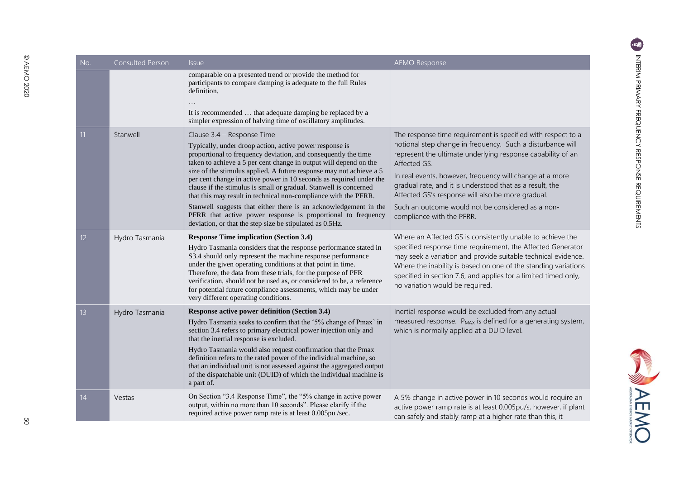| No.             | <b>Consulted Person</b> | <b>Issue</b>                                                                                                                                                                                                                                                                                                                                                                                                                                                                                                                         | <b>AEMO Response</b>                                                                                                                                                                                                                                                                                                                                               |
|-----------------|-------------------------|--------------------------------------------------------------------------------------------------------------------------------------------------------------------------------------------------------------------------------------------------------------------------------------------------------------------------------------------------------------------------------------------------------------------------------------------------------------------------------------------------------------------------------------|--------------------------------------------------------------------------------------------------------------------------------------------------------------------------------------------------------------------------------------------------------------------------------------------------------------------------------------------------------------------|
|                 |                         | comparable on a presented trend or provide the method for<br>participants to compare damping is adequate to the full Rules<br>definition.<br>It is recommended  that adequate damping be replaced by a<br>simpler expression of halving time of oscillatory amplitudes.                                                                                                                                                                                                                                                              |                                                                                                                                                                                                                                                                                                                                                                    |
| 11              | Stanwell                | Clause 3.4 - Response Time                                                                                                                                                                                                                                                                                                                                                                                                                                                                                                           | The response time requirement is specified with respect to a                                                                                                                                                                                                                                                                                                       |
|                 |                         | Typically, under droop action, active power response is<br>proportional to frequency deviation, and consequently the time<br>taken to achieve a 5 per cent change in output will depend on the<br>size of the stimulus applied. A future response may not achieve a 5<br>per cent change in active power in 10 seconds as required under the<br>clause if the stimulus is small or gradual. Stanwell is concerned<br>that this may result in technical non-compliance with the PFRR.                                                 | notional step change in frequency. Such a disturbance will<br>represent the ultimate underlying response capability of an<br>Affected GS.<br>In real events, however, frequency will change at a more<br>gradual rate, and it is understood that as a result, the<br>Affected GS's response will also be more gradual.                                             |
|                 |                         | Stanwell suggests that either there is an acknowledgement in the<br>PFRR that active power response is proportional to frequency<br>deviation, or that the step size be stipulated as 0.5Hz.                                                                                                                                                                                                                                                                                                                                         | Such an outcome would not be considered as a non-<br>compliance with the PFRR.                                                                                                                                                                                                                                                                                     |
| 12 <sup>2</sup> | Hydro Tasmania          | <b>Response Time implication (Section 3.4)</b><br>Hydro Tasmania considers that the response performance stated in<br>S3.4 should only represent the machine response performance<br>under the given operating conditions at that point in time.<br>Therefore, the data from these trials, for the purpose of PFR<br>verification, should not be used as, or considered to be, a reference<br>for potential future compliance assessments, which may be under<br>very different operating conditions.                                | Where an Affected GS is consistently unable to achieve the<br>specified response time requirement, the Affected Generator<br>may seek a variation and provide suitable technical evidence.<br>Where the inability is based on one of the standing variations<br>specified in section 7.6, and applies for a limited timed only,<br>no variation would be required. |
| 13 <sup>2</sup> | Hydro Tasmania          | Response active power definition (Section 3.4)<br>Hydro Tasmania seeks to confirm that the '5% change of Pmax' in<br>section 3.4 refers to primary electrical power injection only and<br>that the inertial response is excluded.<br>Hydro Tasmania would also request confirmation that the Pmax<br>definition refers to the rated power of the individual machine, so<br>that an individual unit is not assessed against the aggregated output<br>of the dispatchable unit (DUID) of which the individual machine is<br>a part of. | Inertial response would be excluded from any actual<br>measured response. P <sub>MAX</sub> is defined for a generating system,<br>which is normally applied at a DUID level.                                                                                                                                                                                       |
| 14              | Vestas                  | On Section "3.4 Response Time", the "5% change in active power<br>output, within no more than 10 seconds". Please clarify if the<br>required active power ramp rate is at least 0.005pu/sec.                                                                                                                                                                                                                                                                                                                                         | A 5% change in active power in 10 seconds would require an<br>active power ramp rate is at least 0.005pu/s, however, if plant<br>can safely and stably ramp at a higher rate than this, it                                                                                                                                                                         |

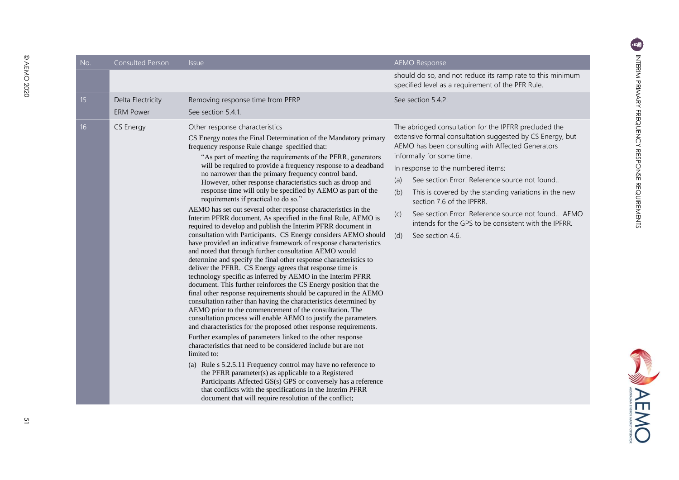**EMD** 

| No. | <b>Consulted Person</b>               | <i>Issue</i>                                                                                                                                                                                                                                                                                                                                                                                                                                                                                                                                                                                                                                                                                                                                                                                                                                                                                                                                                                                                                                                                                                                                                                                                                                                                                                                                                                                                                                                                                                                                                                                                                                                                                                                                                                                                                                                                                                                                                                                                | <b>AEMO Response</b>                                                                                                                                                                                                                                                                                                                                                                                                                                                                                                                            |
|-----|---------------------------------------|-------------------------------------------------------------------------------------------------------------------------------------------------------------------------------------------------------------------------------------------------------------------------------------------------------------------------------------------------------------------------------------------------------------------------------------------------------------------------------------------------------------------------------------------------------------------------------------------------------------------------------------------------------------------------------------------------------------------------------------------------------------------------------------------------------------------------------------------------------------------------------------------------------------------------------------------------------------------------------------------------------------------------------------------------------------------------------------------------------------------------------------------------------------------------------------------------------------------------------------------------------------------------------------------------------------------------------------------------------------------------------------------------------------------------------------------------------------------------------------------------------------------------------------------------------------------------------------------------------------------------------------------------------------------------------------------------------------------------------------------------------------------------------------------------------------------------------------------------------------------------------------------------------------------------------------------------------------------------------------------------------------|-------------------------------------------------------------------------------------------------------------------------------------------------------------------------------------------------------------------------------------------------------------------------------------------------------------------------------------------------------------------------------------------------------------------------------------------------------------------------------------------------------------------------------------------------|
|     |                                       |                                                                                                                                                                                                                                                                                                                                                                                                                                                                                                                                                                                                                                                                                                                                                                                                                                                                                                                                                                                                                                                                                                                                                                                                                                                                                                                                                                                                                                                                                                                                                                                                                                                                                                                                                                                                                                                                                                                                                                                                             | should do so, and not reduce its ramp rate to this minimum<br>specified level as a requirement of the PFR Rule.                                                                                                                                                                                                                                                                                                                                                                                                                                 |
| 15  | Delta Electricity<br><b>ERM Power</b> | Removing response time from PFRP<br>See section 5.4.1.                                                                                                                                                                                                                                                                                                                                                                                                                                                                                                                                                                                                                                                                                                                                                                                                                                                                                                                                                                                                                                                                                                                                                                                                                                                                                                                                                                                                                                                                                                                                                                                                                                                                                                                                                                                                                                                                                                                                                      | See section 5.4.2.                                                                                                                                                                                                                                                                                                                                                                                                                                                                                                                              |
| 16  | CS Energy                             | Other response characteristics<br>CS Energy notes the Final Determination of the Mandatory primary<br>frequency response Rule change specified that:<br>"As part of meeting the requirements of the PFRR, generators<br>will be required to provide a frequency response to a deadband<br>no narrower than the primary frequency control band.<br>However, other response characteristics such as droop and<br>response time will only be specified by AEMO as part of the<br>requirements if practical to do so."<br>AEMO has set out several other response characteristics in the<br>Interim PFRR document. As specified in the final Rule, AEMO is<br>required to develop and publish the Interim PFRR document in<br>consultation with Participants. CS Energy considers AEMO should<br>have provided an indicative framework of response characteristics<br>and noted that through further consultation AEMO would<br>determine and specify the final other response characteristics to<br>deliver the PFRR. CS Energy agrees that response time is<br>technology specific as inferred by AEMO in the Interim PFRR<br>document. This further reinforces the CS Energy position that the<br>final other response requirements should be captured in the AEMO<br>consultation rather than having the characteristics determined by<br>AEMO prior to the commencement of the consultation. The<br>consultation process will enable AEMO to justify the parameters<br>and characteristics for the proposed other response requirements.<br>Further examples of parameters linked to the other response<br>characteristics that need to be considered include but are not<br>limited to:<br>(a) Rule s 5.2.5.11 Frequency control may have no reference to<br>the PFRR parameter(s) as applicable to a Registered<br>Participants Affected GS(s) GPS or conversely has a reference<br>that conflicts with the specifications in the Interim PFRR<br>document that will require resolution of the conflict; | The abridged consultation for the IPFRR precluded the<br>extensive formal consultation suggested by CS Energy, but<br>AEMO has been consulting with Affected Generators<br>informally for some time.<br>In response to the numbered items:<br>See section Error! Reference source not found<br>(a)<br>This is covered by the standing variations in the new<br>(b)<br>section 7.6 of the IPFRR.<br>See section Error! Reference source not found AEMO<br>(c)<br>intends for the GPS to be consistent with the IPFRR.<br>See section 4.6.<br>(d) |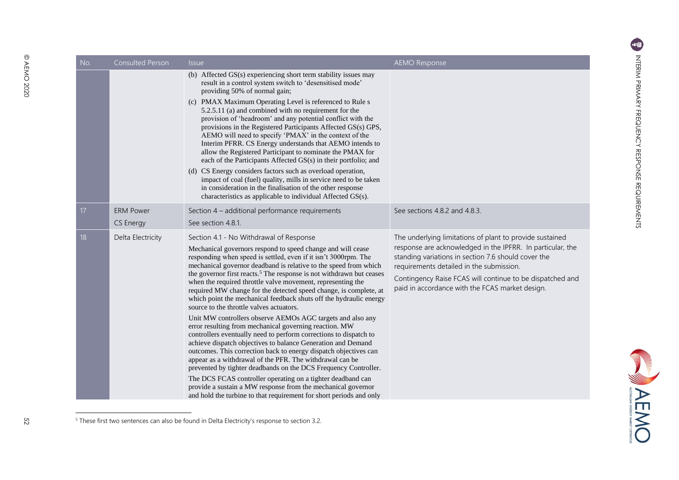| INIERIN FRIMARY FREQUENCY REVEUNDE REQUERTMENTIU |
|--------------------------------------------------|
|                                                  |

| No.             | Consulted Person              | <i><u><b>Issue</b></u></i>                                                                                                                                                                                                                                                                                                                                                                                                                                                                                                                                                                                                                                                                                                                                                                                                                                                                                                                                                                                                                                                                                                                                                                                                                                    | <b>AEMO Response</b>                                                                                                                                                                                                                                                                                                                      |
|-----------------|-------------------------------|---------------------------------------------------------------------------------------------------------------------------------------------------------------------------------------------------------------------------------------------------------------------------------------------------------------------------------------------------------------------------------------------------------------------------------------------------------------------------------------------------------------------------------------------------------------------------------------------------------------------------------------------------------------------------------------------------------------------------------------------------------------------------------------------------------------------------------------------------------------------------------------------------------------------------------------------------------------------------------------------------------------------------------------------------------------------------------------------------------------------------------------------------------------------------------------------------------------------------------------------------------------|-------------------------------------------------------------------------------------------------------------------------------------------------------------------------------------------------------------------------------------------------------------------------------------------------------------------------------------------|
|                 |                               | (b) Affected GS(s) experiencing short term stability issues may<br>result in a control system switch to 'desensitised mode'<br>providing 50% of normal gain;<br>(c) PMAX Maximum Operating Level is referenced to Rule s<br>5.2.5.11 (a) and combined with no requirement for the<br>provision of 'headroom' and any potential conflict with the<br>provisions in the Registered Participants Affected GS(s) GPS,<br>AEMO will need to specify 'PMAX' in the context of the<br>Interim PFRR. CS Energy understands that AEMO intends to<br>allow the Registered Participant to nominate the PMAX for<br>each of the Participants Affected GS(s) in their portfolio; and<br>(d) CS Energy considers factors such as overload operation,<br>impact of coal (fuel) quality, mills in service need to be taken<br>in consideration in the finalisation of the other response<br>characteristics as applicable to individual Affected GS(s).                                                                                                                                                                                                                                                                                                                       |                                                                                                                                                                                                                                                                                                                                           |
| 17 <sup>2</sup> | <b>ERM Power</b><br>CS Energy | Section 4 - additional performance requirements<br>See section 4.8.1.                                                                                                                                                                                                                                                                                                                                                                                                                                                                                                                                                                                                                                                                                                                                                                                                                                                                                                                                                                                                                                                                                                                                                                                         | See sections 4.8.2 and 4.8.3.                                                                                                                                                                                                                                                                                                             |
| 18              | Delta Electricity             | Section 4.1 - No Withdrawal of Response<br>Mechanical governors respond to speed change and will cease<br>responding when speed is settled, even if it isn't 3000rpm. The<br>mechanical governor deadband is relative to the speed from which<br>the governor first reacts. <sup>5</sup> The response is not withdrawn but ceases<br>when the required throttle valve movement, representing the<br>required MW change for the detected speed change, is complete, at<br>which point the mechanical feedback shuts off the hydraulic energy<br>source to the throttle valves actuators.<br>Unit MW controllers observe AEMOs AGC targets and also any<br>error resulting from mechanical governing reaction. MW<br>controllers eventually need to perform corrections to dispatch to<br>achieve dispatch objectives to balance Generation and Demand<br>outcomes. This correction back to energy dispatch objectives can<br>appear as a withdrawal of the PFR. The withdrawal can be<br>prevented by tighter deadbands on the DCS Frequency Controller.<br>The DCS FCAS controller operating on a tighter deadband can<br>provide a sustain a MW response from the mechanical governor<br>and hold the turbine to that requirement for short periods and only | The underlying limitations of plant to provide sustained<br>response are acknowledged in the IPFRR. In particular, the<br>standing variations in section 7.6 should cover the<br>requirements detailed in the submission.<br>Contingency Raise FCAS will continue to be dispatched and<br>paid in accordance with the FCAS market design. |

 $5$  These first two sentences can also be found in Delta Electricity's response to section 3.2.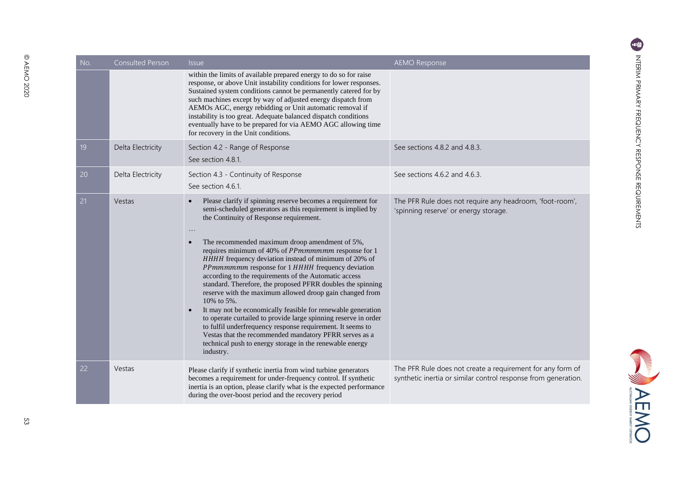| No. | <b>Consulted Person</b> | <i>Issue</i><br>within the limits of available prepared energy to do so for raise<br>response, or above Unit instability conditions for lower responses.<br>Sustained system conditions cannot be permanently catered for by<br>such machines except by way of adjusted energy dispatch from<br>AEMOs AGC, energy rebidding or Unit automatic removal if<br>instability is too great. Adequate balanced dispatch conditions<br>eventually have to be prepared for via AEMO AGC allowing time<br>for recovery in the Unit conditions.                                                                                                                                                                                                                                                                                                                                                                                                                                           | <b>AEMO Response</b>                                                                                                         |
|-----|-------------------------|--------------------------------------------------------------------------------------------------------------------------------------------------------------------------------------------------------------------------------------------------------------------------------------------------------------------------------------------------------------------------------------------------------------------------------------------------------------------------------------------------------------------------------------------------------------------------------------------------------------------------------------------------------------------------------------------------------------------------------------------------------------------------------------------------------------------------------------------------------------------------------------------------------------------------------------------------------------------------------|------------------------------------------------------------------------------------------------------------------------------|
| 19  | Delta Electricity       | Section 4.2 - Range of Response<br>See section 4.8.1.                                                                                                                                                                                                                                                                                                                                                                                                                                                                                                                                                                                                                                                                                                                                                                                                                                                                                                                          | See sections 4.8.2 and 4.8.3.                                                                                                |
| 20  | Delta Electricity       | Section 4.3 - Continuity of Response<br>See section 4.6.1.                                                                                                                                                                                                                                                                                                                                                                                                                                                                                                                                                                                                                                                                                                                                                                                                                                                                                                                     | See sections 4.6.2 and 4.6.3.                                                                                                |
| 21  | Vestas                  | Please clarify if spinning reserve becomes a requirement for<br>semi-scheduled generators as this requirement is implied by<br>the Continuity of Response requirement.<br>$\ddots$<br>The recommended maximum droop amendment of 5%,<br>$\bullet$<br>requires minimum of 40% of <i>PPmmmmmm</i> response for 1<br>HHHH frequency deviation instead of minimum of 20% of<br>PPmmmmmm response for 1 HHHH frequency deviation<br>according to the requirements of the Automatic access<br>standard. Therefore, the proposed PFRR doubles the spinning<br>reserve with the maximum allowed droop gain changed from<br>10% to 5%.<br>It may not be economically feasible for renewable generation<br>$\bullet$<br>to operate curtailed to provide large spinning reserve in order<br>to fulfil underfrequency response requirement. It seems to<br>Vestas that the recommended mandatory PFRR serves as a<br>technical push to energy storage in the renewable energy<br>industry. | The PFR Rule does not require any headroom, 'foot-room',<br>'spinning reserve' or energy storage.                            |
| 22  | Vestas                  | Please clarify if synthetic inertia from wind turbine generators<br>becomes a requirement for under-frequency control. If synthetic<br>inertia is an option, please clarify what is the expected performance<br>during the over-boost period and the recovery period                                                                                                                                                                                                                                                                                                                                                                                                                                                                                                                                                                                                                                                                                                           | The PFR Rule does not create a requirement for any form of<br>synthetic inertia or similar control response from generation. |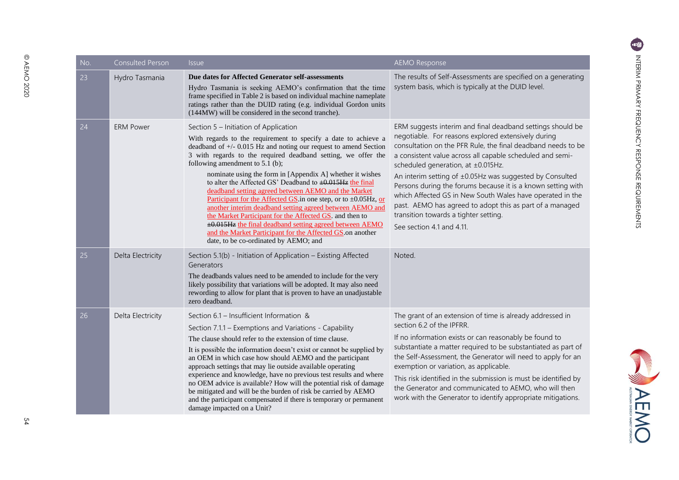**SANDARY** 

| No. | Consulted Person  | <i>Issue</i>                                                                                                                                                                                                                                                                                                                                                                                                                                                                                                                                                                                                                                                                                                                                                                                                                                    | <b>AEMO Response</b>                                                                                                                                                                                                                                                                                                                                                                                                                                                                                                                                                                                            |
|-----|-------------------|-------------------------------------------------------------------------------------------------------------------------------------------------------------------------------------------------------------------------------------------------------------------------------------------------------------------------------------------------------------------------------------------------------------------------------------------------------------------------------------------------------------------------------------------------------------------------------------------------------------------------------------------------------------------------------------------------------------------------------------------------------------------------------------------------------------------------------------------------|-----------------------------------------------------------------------------------------------------------------------------------------------------------------------------------------------------------------------------------------------------------------------------------------------------------------------------------------------------------------------------------------------------------------------------------------------------------------------------------------------------------------------------------------------------------------------------------------------------------------|
| 23  | Hydro Tasmania    | Due dates for Affected Generator self-assessments<br>Hydro Tasmania is seeking AEMO's confirmation that the time<br>frame specified in Table 2 is based on individual machine nameplate<br>ratings rather than the DUID rating (e.g. individual Gordon units<br>(144MW) will be considered in the second tranche).                                                                                                                                                                                                                                                                                                                                                                                                                                                                                                                              | The results of Self-Assessments are specified on a generating<br>system basis, which is typically at the DUID level.                                                                                                                                                                                                                                                                                                                                                                                                                                                                                            |
| 24  | <b>ERM Power</b>  | Section 5 - Initiation of Application<br>With regards to the requirement to specify a date to achieve a<br>deadband of $+/-$ 0.015 Hz and noting our request to amend Section<br>3 with regards to the required deadband setting, we offer the<br>following amendment to $5.1$ (b);<br>nominate using the form in [Appendix A] whether it wishes<br>to alter the Affected GS' Deadband to $\pm 0.015$ Hz the final<br>deadband setting agreed between AEMO and the Market<br>Participant for the Affected GS in one step, or to $\pm 0.05$ Hz, or<br>another interim deadband setting agreed between AEMO and<br>the Market Participant for the Affected GS. and then to<br>$\pm 0.015$ Hz the final deadband setting agreed between AEMO<br>and the Market Participant for the Affected GS on another<br>date, to be co-ordinated by AEMO; and | ERM suggests interim and final deadband settings should be<br>negotiable. For reasons explored extensively during<br>consultation on the PFR Rule, the final deadband needs to be<br>a consistent value across all capable scheduled and semi-<br>scheduled generation, at ±0.015Hz.<br>An interim setting of ±0.05Hz was suggested by Consulted<br>Persons during the forums because it is a known setting with<br>which Affected GS in New South Wales have operated in the<br>past. AEMO has agreed to adopt this as part of a managed<br>transition towards a tighter setting.<br>See section 4.1 and 4.11. |
| 25  | Delta Electricity | Section 5.1(b) - Initiation of Application - Existing Affected<br>Generators<br>The deadbands values need to be amended to include for the very<br>likely possibility that variations will be adopted. It may also need<br>rewording to allow for plant that is proven to have an unadjustable<br>zero deadband.                                                                                                                                                                                                                                                                                                                                                                                                                                                                                                                                | Noted.                                                                                                                                                                                                                                                                                                                                                                                                                                                                                                                                                                                                          |
| 26  | Delta Electricity | Section 6.1 - Insufficient Information &<br>Section 7.1.1 - Exemptions and Variations - Capability<br>The clause should refer to the extension of time clause.<br>It is possible the information doesn't exist or cannot be supplied by<br>an OEM in which case how should AEMO and the participant<br>approach settings that may lie outside available operating<br>experience and knowledge, have no previous test results and where<br>no OEM advice is available? How will the potential risk of damage<br>be mitigated and will be the burden of risk be carried by AEMO<br>and the participant compensated if there is temporary or permanent<br>damage impacted on a Unit?                                                                                                                                                               | The grant of an extension of time is already addressed in<br>section 6.2 of the IPFRR.<br>If no information exists or can reasonably be found to<br>substantiate a matter required to be substantiated as part of<br>the Self-Assessment, the Generator will need to apply for an<br>exemption or variation, as applicable.<br>This risk identified in the submission is must be identified by<br>the Generator and communicated to AEMO, who will then<br>work with the Generator to identify appropriate mitigations.                                                                                         |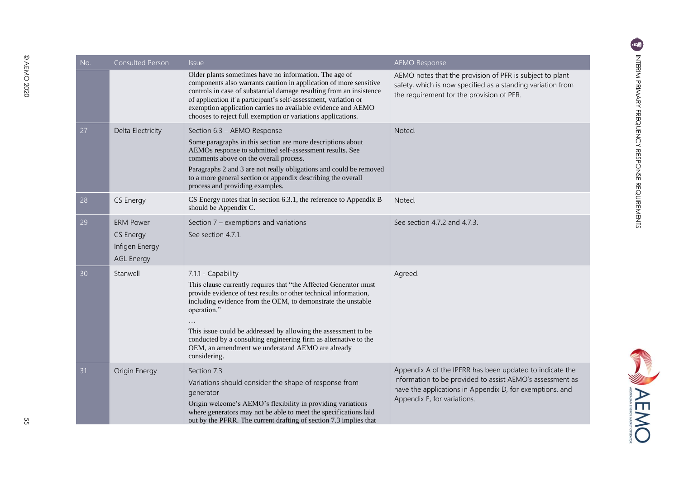| No. | <b>Consulted Person</b>                                              | <i>Issue</i>                                                                                                                                                                                                                                                                                                                                                                                                                                        | <b>AEMO Response</b>                                                                                                                                                                                             |
|-----|----------------------------------------------------------------------|-----------------------------------------------------------------------------------------------------------------------------------------------------------------------------------------------------------------------------------------------------------------------------------------------------------------------------------------------------------------------------------------------------------------------------------------------------|------------------------------------------------------------------------------------------------------------------------------------------------------------------------------------------------------------------|
|     |                                                                      | Older plants sometimes have no information. The age of<br>components also warrants caution in application of more sensitive<br>controls in case of substantial damage resulting from an insistence<br>of application if a participant's self-assessment, variation or<br>exemption application carries no available evidence and AEMO<br>chooses to reject full exemption or variations applications.                                               | AEMO notes that the provision of PFR is subject to plant<br>safety, which is now specified as a standing variation from<br>the requirement for the provision of PFR.                                             |
| 27  | Delta Electricity                                                    | Section 6.3 - AEMO Response<br>Some paragraphs in this section are more descriptions about<br>AEMOs response to submitted self-assessment results. See<br>comments above on the overall process.<br>Paragraphs 2 and 3 are not really obligations and could be removed<br>to a more general section or appendix describing the overall<br>process and providing examples.                                                                           | Noted.                                                                                                                                                                                                           |
| 28  | CS Energy                                                            | CS Energy notes that in section 6.3.1, the reference to Appendix B<br>should be Appendix C.                                                                                                                                                                                                                                                                                                                                                         | Noted.                                                                                                                                                                                                           |
| 29  | <b>ERM Power</b><br>CS Energy<br>Infigen Energy<br><b>AGL Energy</b> | Section 7 – exemptions and variations<br>See section 4.7.1.                                                                                                                                                                                                                                                                                                                                                                                         | See section 4.7.2 and 4.7.3.                                                                                                                                                                                     |
| 30  | Stanwell                                                             | 7.1.1 - Capability<br>This clause currently requires that "the Affected Generator must<br>provide evidence of test results or other technical information,<br>including evidence from the OEM, to demonstrate the unstable<br>operation."<br>This issue could be addressed by allowing the assessment to be<br>conducted by a consulting engineering firm as alternative to the<br>OEM, an amendment we understand AEMO are already<br>considering. | Agreed.                                                                                                                                                                                                          |
| 31  | Origin Energy                                                        | Section 7.3<br>Variations should consider the shape of response from<br>generator<br>Origin welcome's AEMO's flexibility in providing variations<br>where generators may not be able to meet the specifications laid<br>out by the PFRR. The current drafting of section 7.3 implies that                                                                                                                                                           | Appendix A of the IPFRR has been updated to indicate the<br>information to be provided to assist AEMO's assessment as<br>have the applications in Appendix D, for exemptions, and<br>Appendix E, for variations. |

55

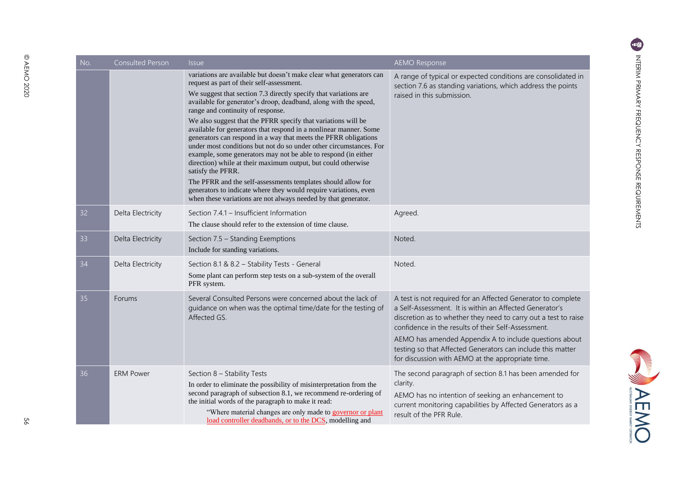| No. | <b>Consulted Person</b> | <i><u><b>Issue</b></u></i>                                                                                                                                                                                                                                                                                                                                                                                                                                                                                                                                                                                                                                                                                                                                                                                                                                                                                                                 | <b>AEMO Response</b>                                                                                                                                                                                                                                                                                                                                                                                                            |
|-----|-------------------------|--------------------------------------------------------------------------------------------------------------------------------------------------------------------------------------------------------------------------------------------------------------------------------------------------------------------------------------------------------------------------------------------------------------------------------------------------------------------------------------------------------------------------------------------------------------------------------------------------------------------------------------------------------------------------------------------------------------------------------------------------------------------------------------------------------------------------------------------------------------------------------------------------------------------------------------------|---------------------------------------------------------------------------------------------------------------------------------------------------------------------------------------------------------------------------------------------------------------------------------------------------------------------------------------------------------------------------------------------------------------------------------|
|     |                         | variations are available but doesn't make clear what generators can<br>request as part of their self-assessment.<br>We suggest that section 7.3 directly specify that variations are<br>available for generator's droop, deadband, along with the speed,<br>range and continuity of response.<br>We also suggest that the PFRR specify that variations will be<br>available for generators that respond in a nonlinear manner. Some<br>generators can respond in a way that meets the PFRR obligations<br>under most conditions but not do so under other circumstances. For<br>example, some generators may not be able to respond (in either<br>direction) while at their maximum output, but could otherwise<br>satisfy the PFRR.<br>The PFRR and the self-assessments templates should allow for<br>generators to indicate where they would require variations, even<br>when these variations are not always needed by that generator. | A range of typical or expected conditions are consolidated in<br>section 7.6 as standing variations, which address the points<br>raised in this submission.                                                                                                                                                                                                                                                                     |
| 32  | Delta Electricity       | Section 7.4.1 - Insufficient Information<br>The clause should refer to the extension of time clause.                                                                                                                                                                                                                                                                                                                                                                                                                                                                                                                                                                                                                                                                                                                                                                                                                                       | Agreed.                                                                                                                                                                                                                                                                                                                                                                                                                         |
| 33  | Delta Electricity       | Section 7.5 - Standing Exemptions<br>Include for standing variations.                                                                                                                                                                                                                                                                                                                                                                                                                                                                                                                                                                                                                                                                                                                                                                                                                                                                      | Noted.                                                                                                                                                                                                                                                                                                                                                                                                                          |
| 34  | Delta Electricity       | Section 8.1 & 8.2 - Stability Tests - General<br>Some plant can perform step tests on a sub-system of the overall<br>PFR system.                                                                                                                                                                                                                                                                                                                                                                                                                                                                                                                                                                                                                                                                                                                                                                                                           | Noted.                                                                                                                                                                                                                                                                                                                                                                                                                          |
| 35  | Forums                  | Several Consulted Persons were concerned about the lack of<br>guidance on when was the optimal time/date for the testing of<br>Affected GS.                                                                                                                                                                                                                                                                                                                                                                                                                                                                                                                                                                                                                                                                                                                                                                                                | A test is not required for an Affected Generator to complete<br>a Self-Assessment. It is within an Affected Generator's<br>discretion as to whether they need to carry out a test to raise<br>confidence in the results of their Self-Assessment.<br>AEMO has amended Appendix A to include questions about<br>testing so that Affected Generators can include this matter<br>for discussion with AEMO at the appropriate time. |
| 36  | <b>ERM Power</b>        | Section 8 - Stability Tests<br>In order to eliminate the possibility of misinterpretation from the<br>second paragraph of subsection 8.1, we recommend re-ordering of<br>the initial words of the paragraph to make it read:<br>"Where material changes are only made to governor or plant<br>load controller deadbands, or to the DCS, modelling and                                                                                                                                                                                                                                                                                                                                                                                                                                                                                                                                                                                      | The second paragraph of section 8.1 has been amended for<br>clarity.<br>AEMO has no intention of seeking an enhancement to<br>current monitoring capabilities by Affected Generators as a<br>result of the PFR Rule.                                                                                                                                                                                                            |

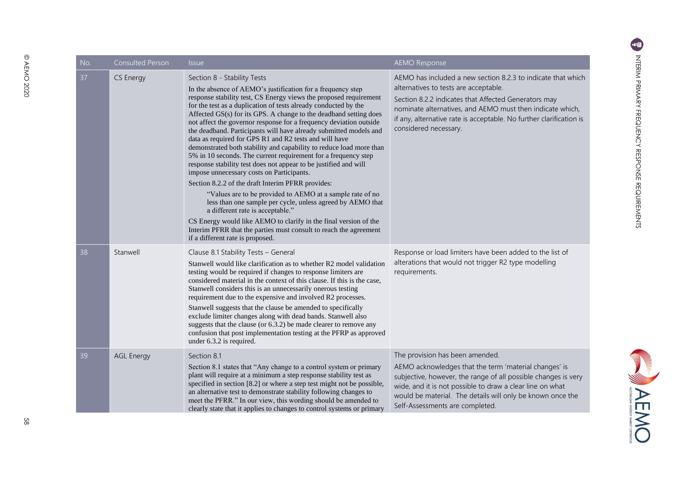| No. | <b>Consulted Person</b> | <i><b>Issue</b></i>                                                                                                                                                                                                                                                                                                                                                                                                                                                                                                                                                                                                                                                                                                                                                                                                                                                                                                                                                                                                                                                                                                                                                     | <b>AEMO Response</b>                                                                                                                                                                                                                                                                                                       |
|-----|-------------------------|-------------------------------------------------------------------------------------------------------------------------------------------------------------------------------------------------------------------------------------------------------------------------------------------------------------------------------------------------------------------------------------------------------------------------------------------------------------------------------------------------------------------------------------------------------------------------------------------------------------------------------------------------------------------------------------------------------------------------------------------------------------------------------------------------------------------------------------------------------------------------------------------------------------------------------------------------------------------------------------------------------------------------------------------------------------------------------------------------------------------------------------------------------------------------|----------------------------------------------------------------------------------------------------------------------------------------------------------------------------------------------------------------------------------------------------------------------------------------------------------------------------|
| 37  | CS Energy               | Section 8 - Stability Tests<br>In the absence of AEMO's justification for a frequency step<br>response stability test, CS Energy views the proposed requirement<br>for the test as a duplication of tests already conducted by the<br>Affected GS(s) for its GPS. A change to the deadband setting does<br>not affect the governor response for a frequency deviation outside<br>the deadband. Participants will have already submitted models and<br>data as required for GPS R1 and R2 tests and will have<br>demonstrated both stability and capability to reduce load more than<br>5% in 10 seconds. The current requirement for a frequency step<br>response stability test does not appear to be justified and will<br>impose unnecessary costs on Participants.<br>Section 8.2.2 of the draft Interim PFRR provides:<br>"Values are to be provided to AEMO at a sample rate of no<br>less than one sample per cycle, unless agreed by AEMO that<br>a different rate is acceptable."<br>CS Energy would like AEMO to clarify in the final version of the<br>Interim PFRR that the parties must consult to reach the agreement<br>if a different rate is proposed. | AEMO has included a new section 8.2.3 to indicate that which<br>alternatives to tests are acceptable.<br>Section 8.2.2 indicates that Affected Generators may<br>nominate alternatives, and AEMO must then indicate which,<br>if any, alternative rate is acceptable. No further clarification is<br>considered necessary. |
| 38  | Stanwell                | Clause 8.1 Stability Tests - General<br>Stanwell would like clarification as to whether R2 model validation<br>testing would be required if changes to response limiters are<br>considered material in the context of this clause. If this is the case,<br>Stanwell considers this is an unnecessarily onerous testing<br>requirement due to the expensive and involved R2 processes.<br>Stanwell suggests that the clause be amended to specifically<br>exclude limiter changes along with dead bands. Stanwell also<br>suggests that the clause (or 6.3.2) be made clearer to remove any<br>confusion that post implementation testing at the PFRP as approved<br>under 6.3.2 is required.                                                                                                                                                                                                                                                                                                                                                                                                                                                                            | Response or load limiters have been added to the list of<br>alterations that would not trigger R2 type modelling<br>requirements.                                                                                                                                                                                          |
| 39  | <b>AGL Energy</b>       | Section 8.1<br>Section 8.1 states that "Any change to a control system or primary<br>plant will require at a minimum a step response stability test as<br>specified in section [8.2] or where a step test might not be possible,<br>an alternative test to demonstrate stability following changes to<br>meet the PFRR." In our view, this wording should be amended to<br>clearly state that it applies to changes to control systems or primary                                                                                                                                                                                                                                                                                                                                                                                                                                                                                                                                                                                                                                                                                                                       | The provision has been amended.<br>AEMO acknowledges that the term 'material changes' is<br>subjective, however, the range of all possible changes is very<br>wide, and it is not possible to draw a clear line on what<br>would be material. The details will only be known once the<br>Self-Assessments are completed.   |

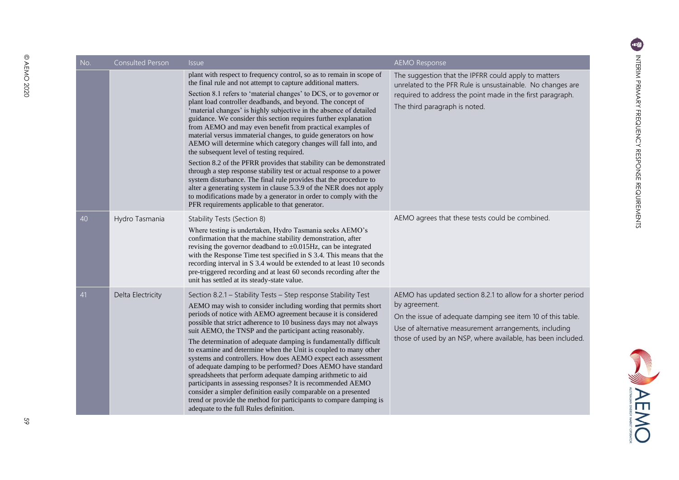**SANDARY** 

| No. | <b>Consulted Person</b> | <i><b>Issue</b></i>                                                                                                                                                                                                                                                                                                                                                                                                                                                                                                                                                                                                                                                                                                                                                                                                                                                                                                                                                                                                                                                                | <b>AEMO Response</b>                                                                                                                                                                                                                                                   |
|-----|-------------------------|------------------------------------------------------------------------------------------------------------------------------------------------------------------------------------------------------------------------------------------------------------------------------------------------------------------------------------------------------------------------------------------------------------------------------------------------------------------------------------------------------------------------------------------------------------------------------------------------------------------------------------------------------------------------------------------------------------------------------------------------------------------------------------------------------------------------------------------------------------------------------------------------------------------------------------------------------------------------------------------------------------------------------------------------------------------------------------|------------------------------------------------------------------------------------------------------------------------------------------------------------------------------------------------------------------------------------------------------------------------|
|     |                         | plant with respect to frequency control, so as to remain in scope of<br>the final rule and not attempt to capture additional matters.<br>Section 8.1 refers to 'material changes' to DCS, or to governor or<br>plant load controller deadbands, and beyond. The concept of<br>'material changes' is highly subjective in the absence of detailed<br>guidance. We consider this section requires further explanation<br>from AEMO and may even benefit from practical examples of<br>material versus immaterial changes, to guide generators on how<br>AEMO will determine which category changes will fall into, and<br>the subsequent level of testing required.<br>Section 8.2 of the PFRR provides that stability can be demonstrated<br>through a step response stability test or actual response to a power<br>system disturbance. The final rule provides that the procedure to<br>alter a generating system in clause 5.3.9 of the NER does not apply<br>to modifications made by a generator in order to comply with the<br>PFR requirements applicable to that generator. | The suggestion that the IPFRR could apply to matters<br>unrelated to the PFR Rule is unsustainable. No changes are<br>required to address the point made in the first paragraph.<br>The third paragraph is noted.                                                      |
| 40  | Hydro Tasmania          | Stability Tests (Section 8)<br>Where testing is undertaken, Hydro Tasmania seeks AEMO's<br>confirmation that the machine stability demonstration, after<br>revising the governor deadband to $\pm 0.015$ Hz, can be integrated<br>with the Response Time test specified in S 3.4. This means that the<br>recording interval in S 3.4 would be extended to at least 10 seconds<br>pre-triggered recording and at least 60 seconds recording after the<br>unit has settled at its steady-state value.                                                                                                                                                                                                                                                                                                                                                                                                                                                                                                                                                                                | AEMO agrees that these tests could be combined.                                                                                                                                                                                                                        |
| 41  | Delta Electricity       | Section 8.2.1 - Stability Tests - Step response Stability Test<br>AEMO may wish to consider including wording that permits short<br>periods of notice with AEMO agreement because it is considered<br>possible that strict adherence to 10 business days may not always<br>suit AEMO, the TNSP and the participant acting reasonably.<br>The determination of adequate damping is fundamentally difficult<br>to examine and determine when the Unit is coupled to many other<br>systems and controllers. How does AEMO expect each assessment<br>of adequate damping to be performed? Does AEMO have standard<br>spreadsheets that perform adequate damping arithmetic to aid<br>participants in assessing responses? It is recommended AEMO<br>consider a simpler definition easily comparable on a presented<br>trend or provide the method for participants to compare damping is<br>adequate to the full Rules definition.                                                                                                                                                     | AEMO has updated section 8.2.1 to allow for a shorter period<br>by agreement.<br>On the issue of adequate damping see item 10 of this table.<br>Use of alternative measurement arrangements, including<br>those of used by an NSP, where available, has been included. |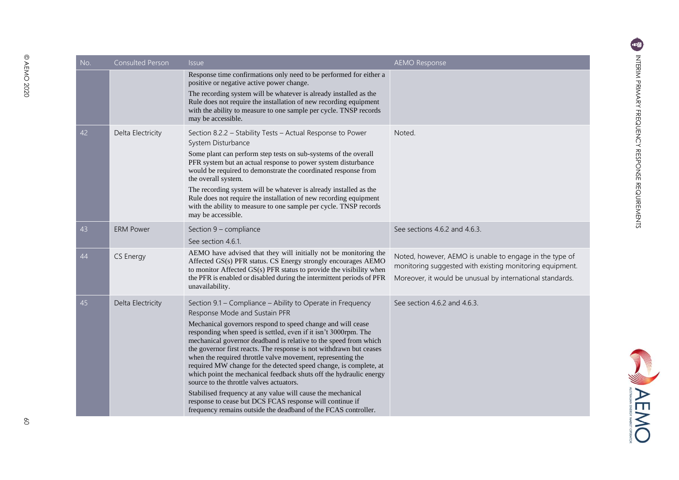| No. | <b>Consulted Person</b> | <b>Issue</b>                                                                                                                                                                                                                                                                                                                                                                                                                                                                                                                                                                                                                                                                                                                                                                                                                | <b>AEMO Response</b>                                                                                                                                                             |
|-----|-------------------------|-----------------------------------------------------------------------------------------------------------------------------------------------------------------------------------------------------------------------------------------------------------------------------------------------------------------------------------------------------------------------------------------------------------------------------------------------------------------------------------------------------------------------------------------------------------------------------------------------------------------------------------------------------------------------------------------------------------------------------------------------------------------------------------------------------------------------------|----------------------------------------------------------------------------------------------------------------------------------------------------------------------------------|
|     |                         | Response time confirmations only need to be performed for either a<br>positive or negative active power change.<br>The recording system will be whatever is already installed as the<br>Rule does not require the installation of new recording equipment<br>with the ability to measure to one sample per cycle. TNSP records<br>may be accessible.                                                                                                                                                                                                                                                                                                                                                                                                                                                                        |                                                                                                                                                                                  |
| 42  | Delta Electricity       | Section 8.2.2 - Stability Tests - Actual Response to Power<br>System Disturbance<br>Some plant can perform step tests on sub-systems of the overall<br>PFR system but an actual response to power system disturbance<br>would be required to demonstrate the coordinated response from<br>the overall system.<br>The recording system will be whatever is already installed as the<br>Rule does not require the installation of new recording equipment<br>with the ability to measure to one sample per cycle. TNSP records<br>may be accessible.                                                                                                                                                                                                                                                                          | Noted.                                                                                                                                                                           |
| 43  | <b>ERM Power</b>        | Section 9 - compliance<br>See section 4.6.1.                                                                                                                                                                                                                                                                                                                                                                                                                                                                                                                                                                                                                                                                                                                                                                                | See sections 4.6.2 and 4.6.3.                                                                                                                                                    |
| 44  | CS Energy               | AEMO have advised that they will initially not be monitoring the<br>Affected GS(s) PFR status. CS Energy strongly encourages AEMO<br>to monitor Affected GS(s) PFR status to provide the visibility when<br>the PFR is enabled or disabled during the intermittent periods of PFR<br>unavailability.                                                                                                                                                                                                                                                                                                                                                                                                                                                                                                                        | Noted, however, AEMO is unable to engage in the type of<br>monitoring suggested with existing monitoring equipment.<br>Moreover, it would be unusual by international standards. |
| 45  | Delta Electricity       | Section 9.1 - Compliance - Ability to Operate in Frequency<br>Response Mode and Sustain PFR<br>Mechanical governors respond to speed change and will cease<br>responding when speed is settled, even if it isn't 3000rpm. The<br>mechanical governor deadband is relative to the speed from which<br>the governor first reacts. The response is not withdrawn but ceases<br>when the required throttle valve movement, representing the<br>required MW change for the detected speed change, is complete, at<br>which point the mechanical feedback shuts off the hydraulic energy<br>source to the throttle valves actuators.<br>Stabilised frequency at any value will cause the mechanical<br>response to cease but DCS FCAS response will continue if<br>frequency remains outside the deadband of the FCAS controller. | See section 4.6.2 and 4.6.3.                                                                                                                                                     |

AEMO

 $\delta$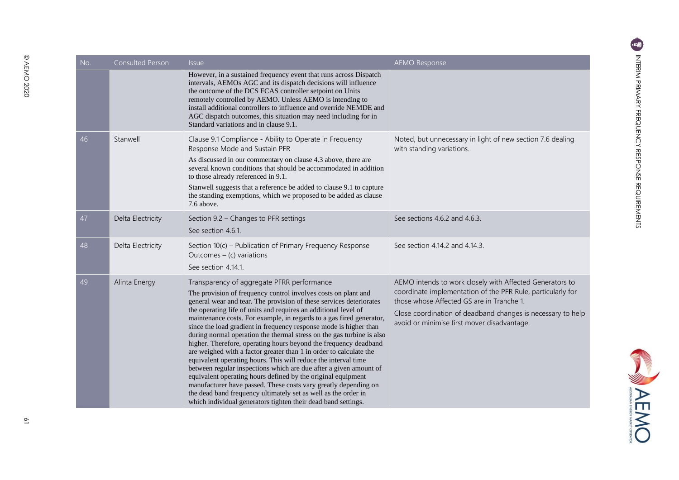NEWC

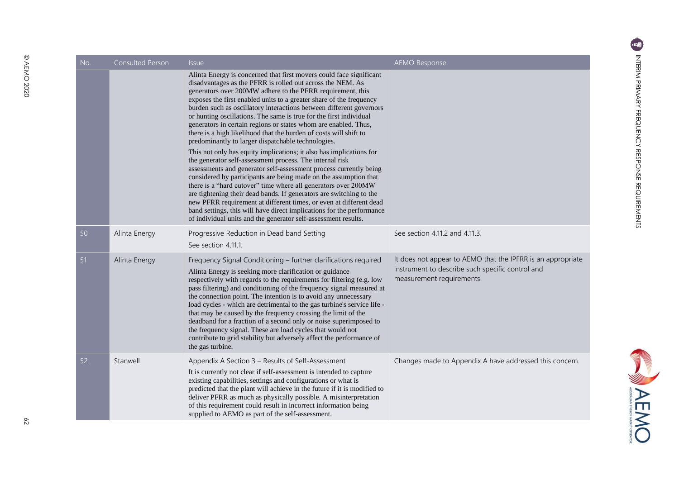| No. | <b>Consulted Person</b> | <i>Issue</i>                                                                                                                                                                                                                                                                                                                                                                                                                                                                                                                                                                                                                                                                                                                                                                                                                                                                                                                                                                                                                                                                                                                                                                                                                                            | <b>AEMO Response</b>                                                                                                                         |
|-----|-------------------------|---------------------------------------------------------------------------------------------------------------------------------------------------------------------------------------------------------------------------------------------------------------------------------------------------------------------------------------------------------------------------------------------------------------------------------------------------------------------------------------------------------------------------------------------------------------------------------------------------------------------------------------------------------------------------------------------------------------------------------------------------------------------------------------------------------------------------------------------------------------------------------------------------------------------------------------------------------------------------------------------------------------------------------------------------------------------------------------------------------------------------------------------------------------------------------------------------------------------------------------------------------|----------------------------------------------------------------------------------------------------------------------------------------------|
|     |                         | Alinta Energy is concerned that first movers could face significant<br>disadvantages as the PFRR is rolled out across the NEM. As<br>generators over 200MW adhere to the PFRR requirement, this<br>exposes the first enabled units to a greater share of the frequency<br>burden such as oscillatory interactions between different governors<br>or hunting oscillations. The same is true for the first individual<br>generators in certain regions or states whom are enabled. Thus,<br>there is a high likelihood that the burden of costs will shift to<br>predominantly to larger dispatchable technologies.<br>This not only has equity implications; it also has implications for<br>the generator self-assessment process. The internal risk<br>assessments and generator self-assessment process currently being<br>considered by participants are being made on the assumption that<br>there is a "hard cutover" time where all generators over 200MW<br>are tightening their dead bands. If generators are switching to the<br>new PFRR requirement at different times, or even at different dead<br>band settings, this will have direct implications for the performance<br>of individual units and the generator self-assessment results. |                                                                                                                                              |
| 50  | Alinta Energy           | Progressive Reduction in Dead band Setting<br>See section 4.11.1.                                                                                                                                                                                                                                                                                                                                                                                                                                                                                                                                                                                                                                                                                                                                                                                                                                                                                                                                                                                                                                                                                                                                                                                       | See section 4.11.2 and 4.11.3.                                                                                                               |
| 51  | Alinta Energy           | Frequency Signal Conditioning - further clarifications required<br>Alinta Energy is seeking more clarification or guidance<br>respectively with regards to the requirements for filtering (e.g. low<br>pass filtering) and conditioning of the frequency signal measured at<br>the connection point. The intention is to avoid any unnecessary<br>load cycles - which are detrimental to the gas turbine's service life -<br>that may be caused by the frequency crossing the limit of the<br>deadband for a fraction of a second only or noise superimposed to<br>the frequency signal. These are load cycles that would not<br>contribute to grid stability but adversely affect the performance of<br>the gas turbine.                                                                                                                                                                                                                                                                                                                                                                                                                                                                                                                               | It does not appear to AEMO that the IPFRR is an appropriate<br>instrument to describe such specific control and<br>measurement requirements. |
| 52  | Stanwell                | Appendix A Section 3 - Results of Self-Assessment<br>It is currently not clear if self-assessment is intended to capture<br>existing capabilities, settings and configurations or what is<br>predicted that the plant will achieve in the future if it is modified to<br>deliver PFRR as much as physically possible. A misinterpretation<br>of this requirement could result in incorrect information being<br>supplied to AEMO as part of the self-assessment.                                                                                                                                                                                                                                                                                                                                                                                                                                                                                                                                                                                                                                                                                                                                                                                        | Changes made to Appendix A have addressed this concern.                                                                                      |

**SANDARYO** 

© AEMO 2020

@ AEMO 2020

 $\approx$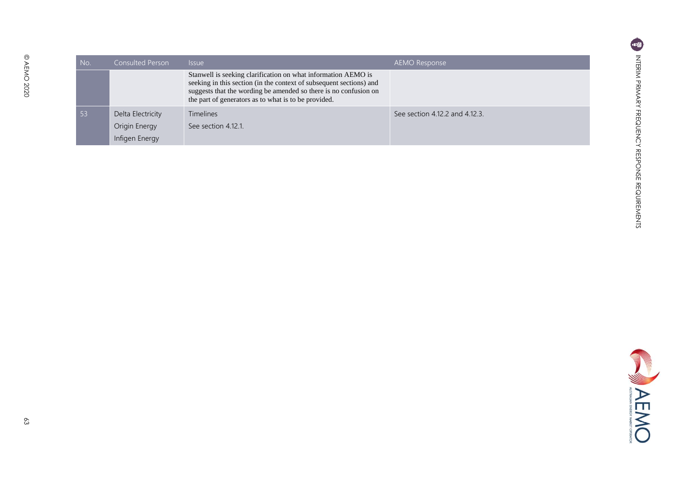| No. | <b>Consulted Person</b> | <i>Issue</i>                                                                                                                                                                                                                                                     | AEMO Response                  |
|-----|-------------------------|------------------------------------------------------------------------------------------------------------------------------------------------------------------------------------------------------------------------------------------------------------------|--------------------------------|
|     |                         | Stanwell is seeking clarification on what information AEMO is<br>seeking in this section (in the context of subsequent sections) and<br>suggests that the wording be amended so there is no confusion on<br>the part of generators as to what is to be provided. |                                |
| 53  | Delta Electricity       | <b>Timelines</b>                                                                                                                                                                                                                                                 | See section 4.12.2 and 4.12.3. |
|     | Origin Energy           | See section 4.12.1.                                                                                                                                                                                                                                              |                                |
|     | Infigen Energy          |                                                                                                                                                                                                                                                                  |                                |